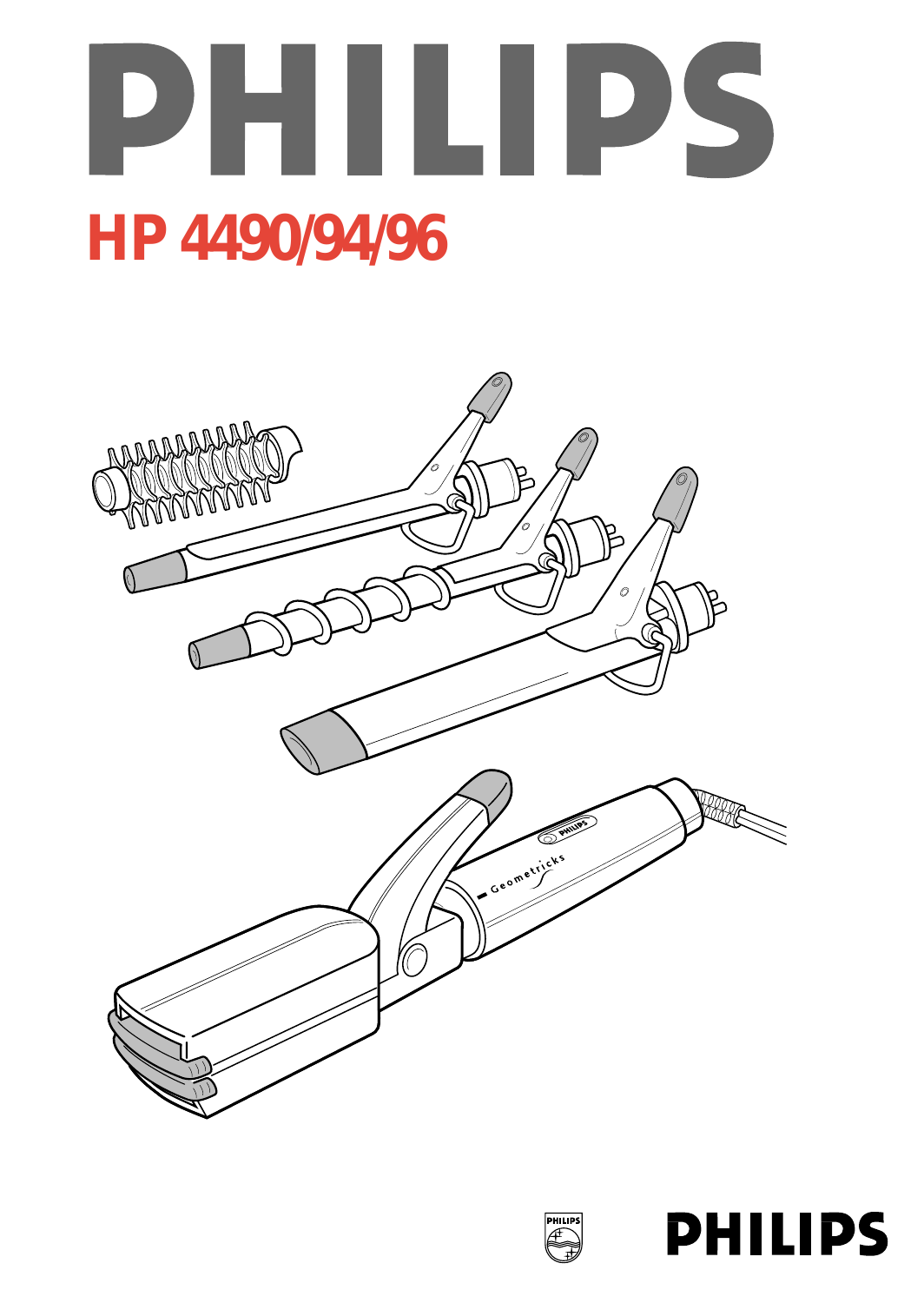





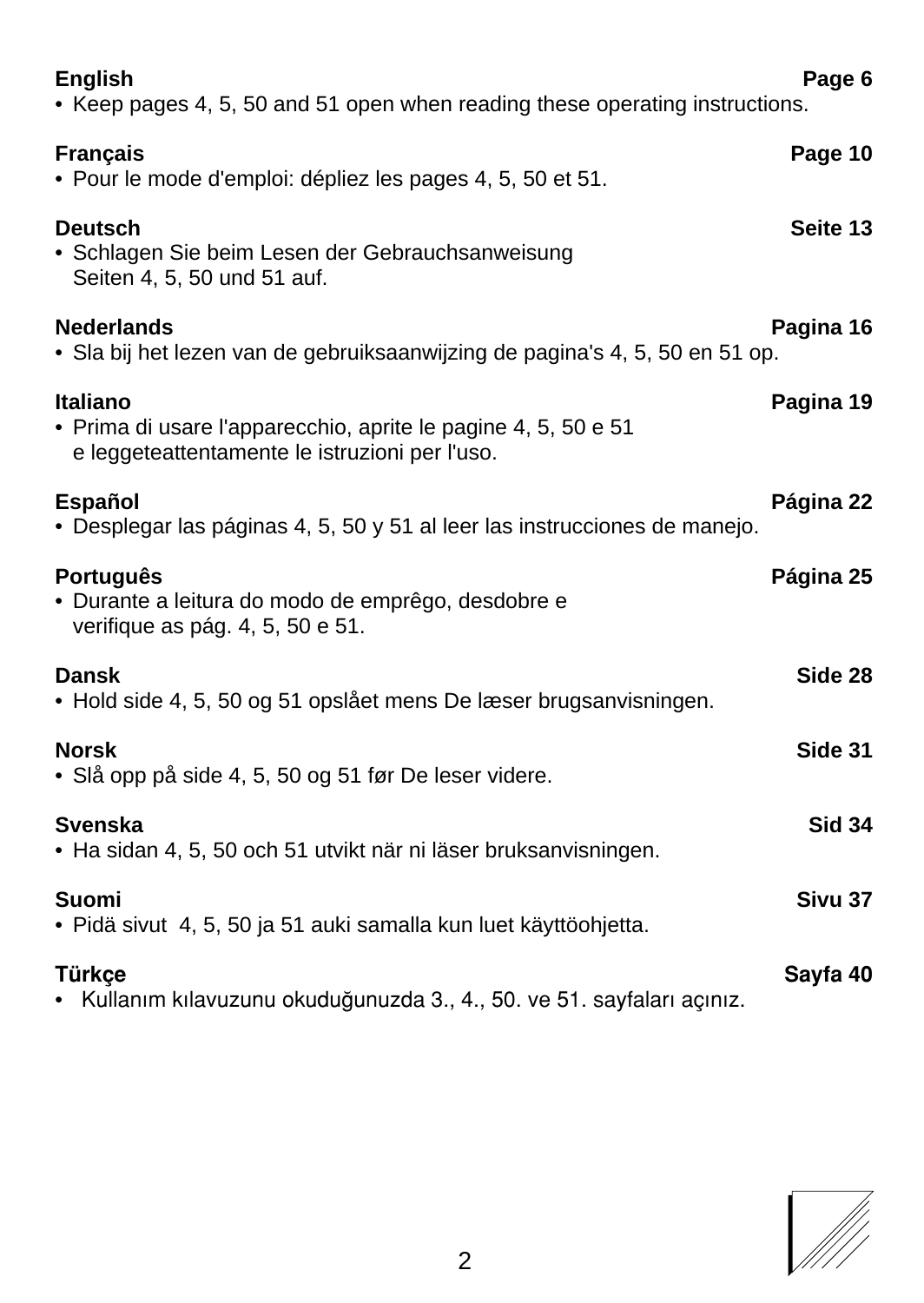| <b>English</b><br>• Keep pages 4, 5, 50 and 51 open when reading these operating instructions.                               | Page 6        |
|------------------------------------------------------------------------------------------------------------------------------|---------------|
| <b>Francais</b><br>• Pour le mode d'emploi: dépliez les pages 4, 5, 50 et 51.                                                | Page 10       |
| <b>Deutsch</b><br>• Schlagen Sie beim Lesen der Gebrauchsanweisung<br>Seiten 4, 5, 50 und 51 auf.                            | Seite 13      |
| <b>Nederlands</b><br>· Sla bij het lezen van de gebruiksaanwijzing de pagina's 4, 5, 50 en 51 op.                            | Pagina 16     |
| Italiano<br>• Prima di usare l'apparecchio, aprite le pagine 4, 5, 50 e 51<br>e leggeteattentamente le istruzioni per l'uso. | Pagina 19     |
| Español<br>· Desplegar las páginas 4, 5, 50 y 51 al leer las instrucciones de manejo.                                        | Página 22     |
| <b>Português</b><br>· Durante a leitura do modo de emprêgo, desdobre e<br>verifique as pág. 4, 5, 50 e 51.                   | Página 25     |
| Dansk<br>• Hold side 4, 5, 50 og 51 opslået mens De læser brugsanvisningen.                                                  | Side 28       |
| <b>Norsk</b><br>• Slå opp på side 4, 5, 50 og 51 før De leser videre.                                                        | Side 31       |
| <b>Svenska</b><br>• Ha sidan 4, 5, 50 och 51 utvikt när ni läser bruksanvisningen.                                           | <b>Sid 34</b> |
| Suomi<br>· Pidä sivut 4, 5, 50 ja 51 auki samalla kun luet käyttöohjetta.                                                    | Sivu 37       |
| Türkce<br>· Kullanım kılavuzunu okuduğunuzda 3., 4., 50. ve 51. sayfaları açınız.                                            | Sayfa 40      |

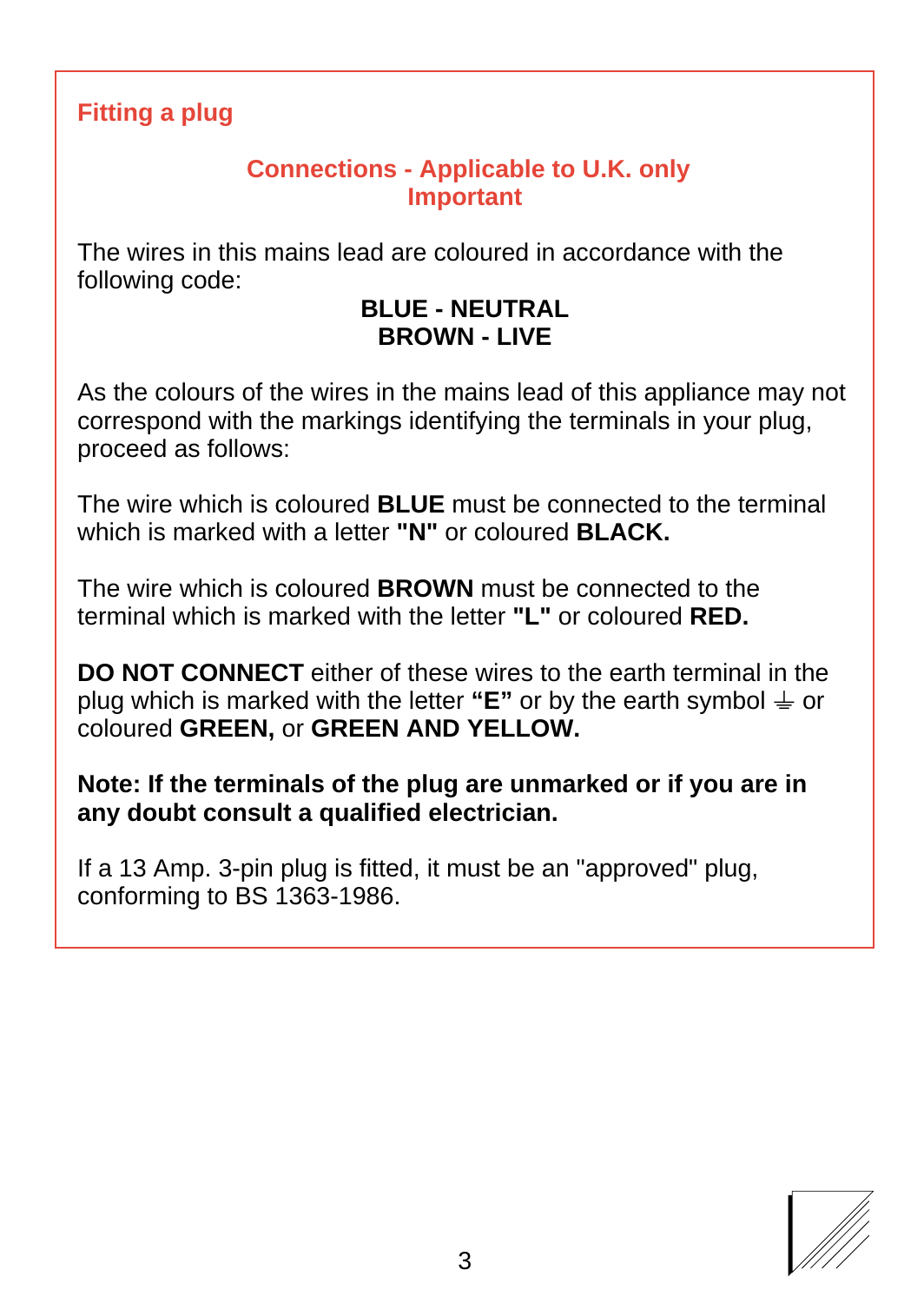### **Fitting a plug**

#### **Connections - Applicable to U.K. only Important**

The wires in this mains lead are coloured in accordance with the following code:

#### **BLUE - NEUTRAL BROWN - LIVE**

As the colours of the wires in the mains lead of this appliance may not correspond with the markings identifying the terminals in your plug, proceed as follows:

The wire which is coloured **BLUE** must be connected to the terminal which is marked with a letter **"N"** or coloured **BLACK.**

The wire which is coloured **BROWN** must be connected to the terminal which is marked with the letter **"L"** or coloured **RED.**

**DO NOT CONNECT** either of these wires to the earth terminal in the plug which is marked with the letter "**E**" or by the earth symbol  $\neq$  or coloured **GREEN,** or **GREEN AND YELLOW.**

**Note: If the terminals of the plug are unmarked or if you are in any doubt consult a qualified electrician.**

If a 13 Amp. 3-pin plug is fitted, it must be an "approved" plug, conforming to BS 1363-1986.

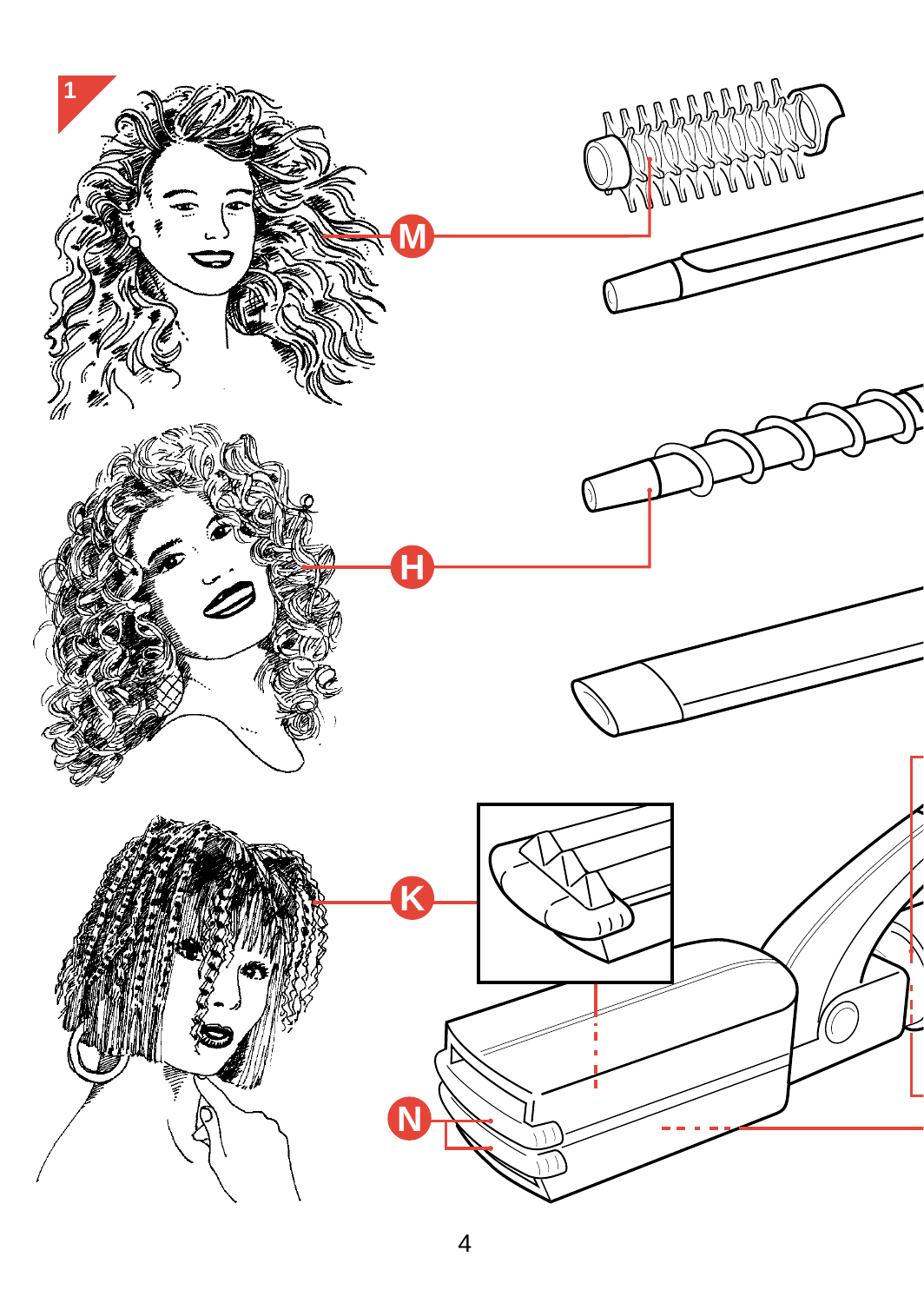<span id="page-3-0"></span>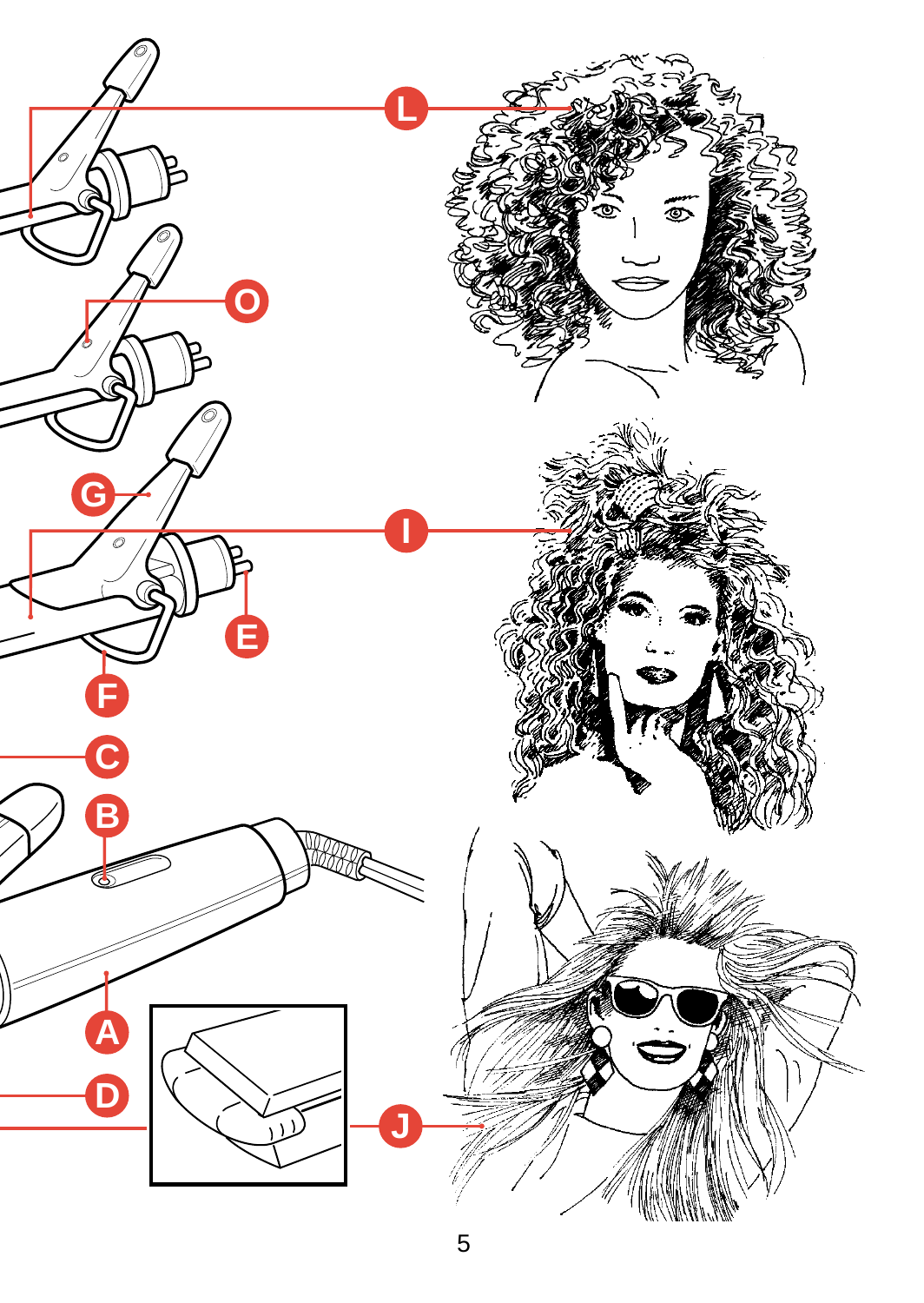<span id="page-4-0"></span>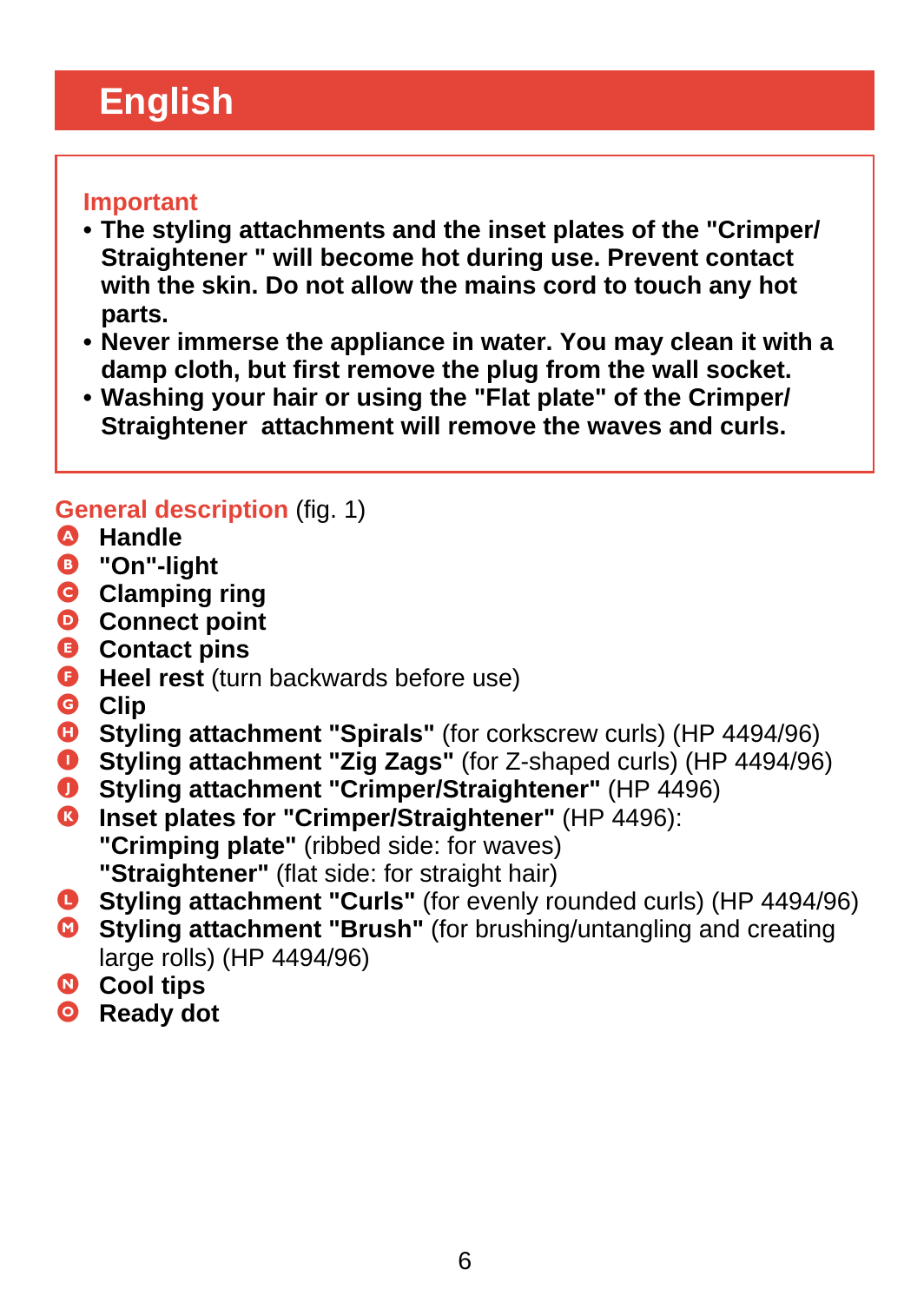# <span id="page-5-0"></span>**English**

#### **Important**

- **The styling attachments and the inset plates of the "Crimper/ Straightener " will become hot during use. Prevent contact with the skin. Do not allow the mains cord to touch any hot parts.**
- **Never immerse the appliance in water. You may clean it with a damp cloth, but first remove the plug from the wall socket.**
- **Washing your hair or using the "Flat plate" of the Crimper/ Straightener attachment will remove the waves and curls.**

#### **General description** (fig. 1)

- A **Handle**
- B **"On"-light**
- **G** Clamping ring
- D **Connect point**
- $Q$  Contact pins
- **G** Heel rest (turn backwards before use)
- G **Clip**
- **C** Styling attachment "Spirals" (for corkscrew curls) (HP 4494/96)<br>
Styling attachment "Zig Zags" (for Z-shaped curls) (HP 4494/96)
- **Styling attachment "Zig Zags"** (for Z-shaped curls) (HP 4494/96)
- **O** Styling attachment "Crimper/Straightener" (HP 4496)
- **C** Inset plates for "Crimper/Straightener" (HP 4496): **"Crimping plate"** (ribbed side: for waves) **"Straightener"** (flat side: for straight hair)
- L **Styling attachment "Curls"** (for evenly rounded curls) (HP 4494/96)
- **C** Styling attachment "Brush" (for brushing/untangling and creating large rolls) (HP 4494/96)
- N **Cool tips**
- O **Ready dot**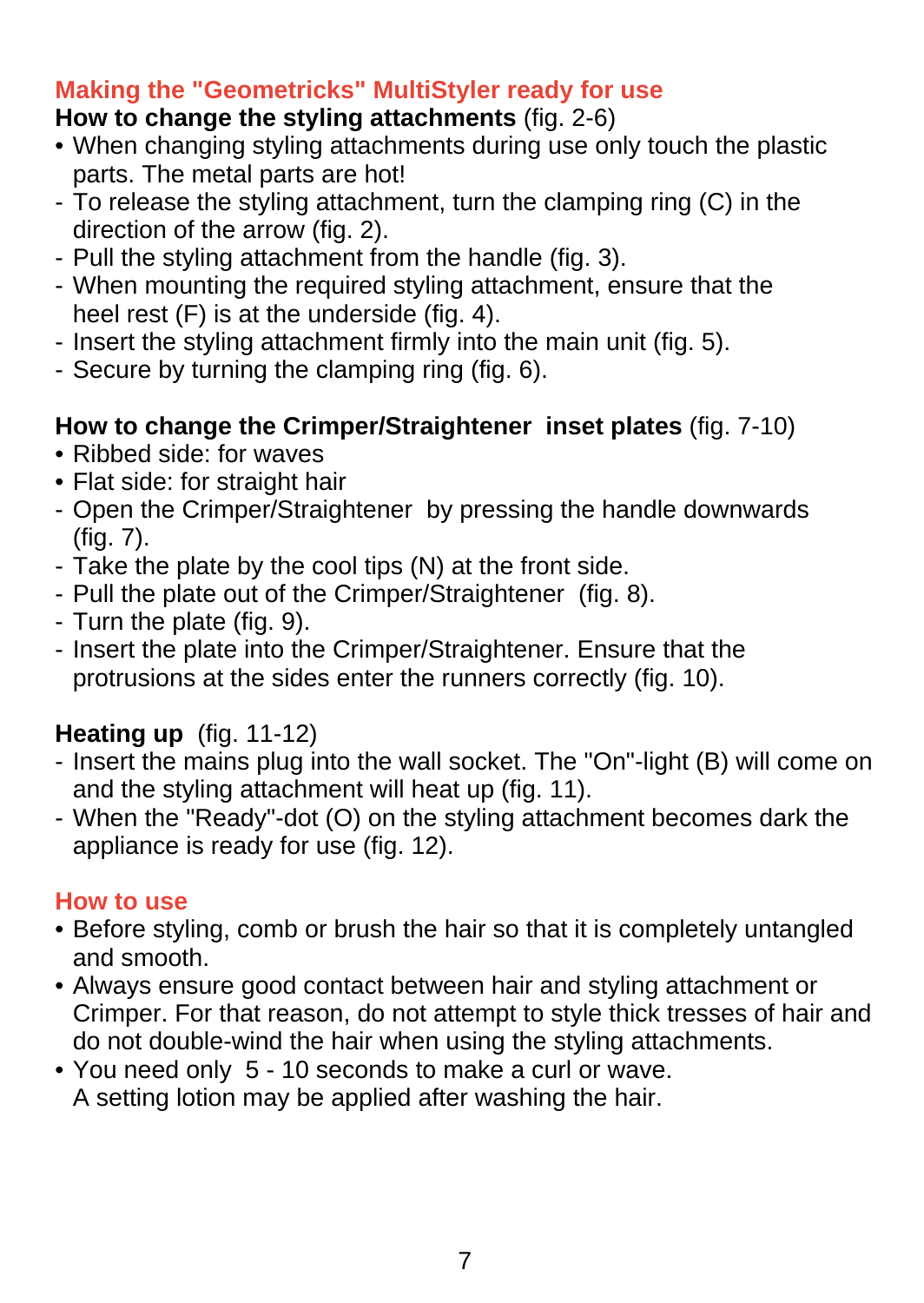### **Making the "Geometricks" MultiStyler ready for use**

#### **How to change the styling attachments** (fig. 2-6)

- When changing styling attachments during use only touch the plastic parts. The metal parts are hot!
- To release the styling attachment, turn the clamping ring (C) in the direction of the arrow (fig. 2).
- Pull the styling attachment from the handle (fig. 3).
- When mounting the required styling attachment, ensure that the heel rest (F) is at the underside (fig. 4).
- Insert the styling attachment firmly into the main unit (fig. 5).
- Secure by turning the clamping ring (fig. 6).

## **How to change the Crimper/Straightener inset plates** (fig. 7-10)

- Ribbed side: for waves
- Flat side: for straight hair
- Open the Crimper/Straightener by pressing the handle downwards  $(fia. 7)$ .
- Take the plate by the cool tips (N) at the front side.
- Pull the plate out of the Crimper/Straightener (fig. 8).
- Turn the plate (fig. 9).
- Insert the plate into the Crimper/Straightener. Ensure that the protrusions at the sides enter the runners correctly (fig. 10).

## **Heating up** (fig. 11-12)

- Insert the mains plug into the wall socket. The "On"-light (B) will come on and the styling attachment will heat up (fig. 11).
- When the "Ready"-dot (O) on the styling attachment becomes dark the appliance is ready for use (fig. 12).

### **How to use**

- Before styling, comb or brush the hair so that it is completely untangled and smooth.
- Always ensure good contact between hair and styling attachment or Crimper. For that reason, do not attempt to style thick tresses of hair and do not double-wind the hair when using the styling attachments.
- You need only 5 10 seconds to make a curl or wave. A setting lotion may be applied after washing the hair.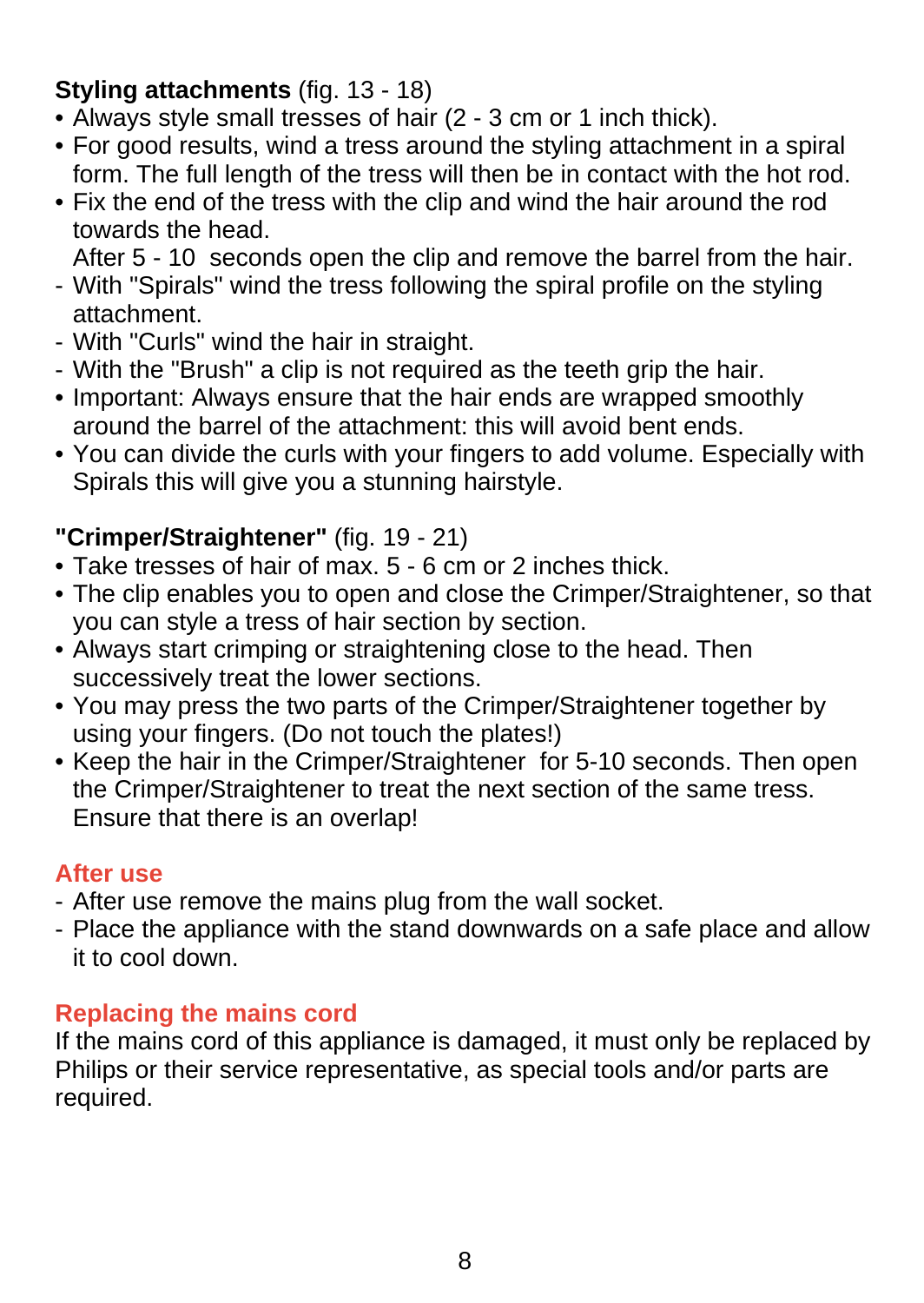## **Styling attachments** (fig. 13 - 18)

- Always style small tresses of hair (2 3 cm or 1 inch thick).
- For good results, wind a tress around the styling attachment in a spiral form. The full length of the tress will then be in contact with the hot rod.
- Fix the end of the tress with the clip and wind the hair around the rod towards the head.

After 5 - 10 seconds open the clip and remove the barrel from the hair.

- With "Spirals" wind the tress following the spiral profile on the styling attachment.
- With "Curls" wind the hair in straight.
- With the "Brush" a clip is not required as the teeth grip the hair.
- Important: Always ensure that the hair ends are wrapped smoothly around the barrel of the attachment: this will avoid bent ends.
- You can divide the curls with your fingers to add volume. Especially with Spirals this will give you a stunning hairstyle.

## **"Crimper/Straightener"** (fig. 19 - 21)

- Take tresses of hair of max. 5 6 cm or 2 inches thick.
- The clip enables you to open and close the Crimper/Straightener, so that you can style a tress of hair section by section.
- Always start crimping or straightening close to the head. Then successively treat the lower sections.
- You may press the two parts of the Crimper/Straightener together by using your fingers. (Do not touch the plates!)
- Keep the hair in the Crimper/Straightener for 5-10 seconds. Then open the Crimper/Straightener to treat the next section of the same tress. Ensure that there is an overlap!

#### **After use**

- After use remove the mains plug from the wall socket.
- Place the appliance with the stand downwards on a safe place and allow it to cool down.

### **Replacing the mains cord**

If the mains cord of this appliance is damaged, it must only be replaced by Philips or their service representative, as special tools and/or parts are required.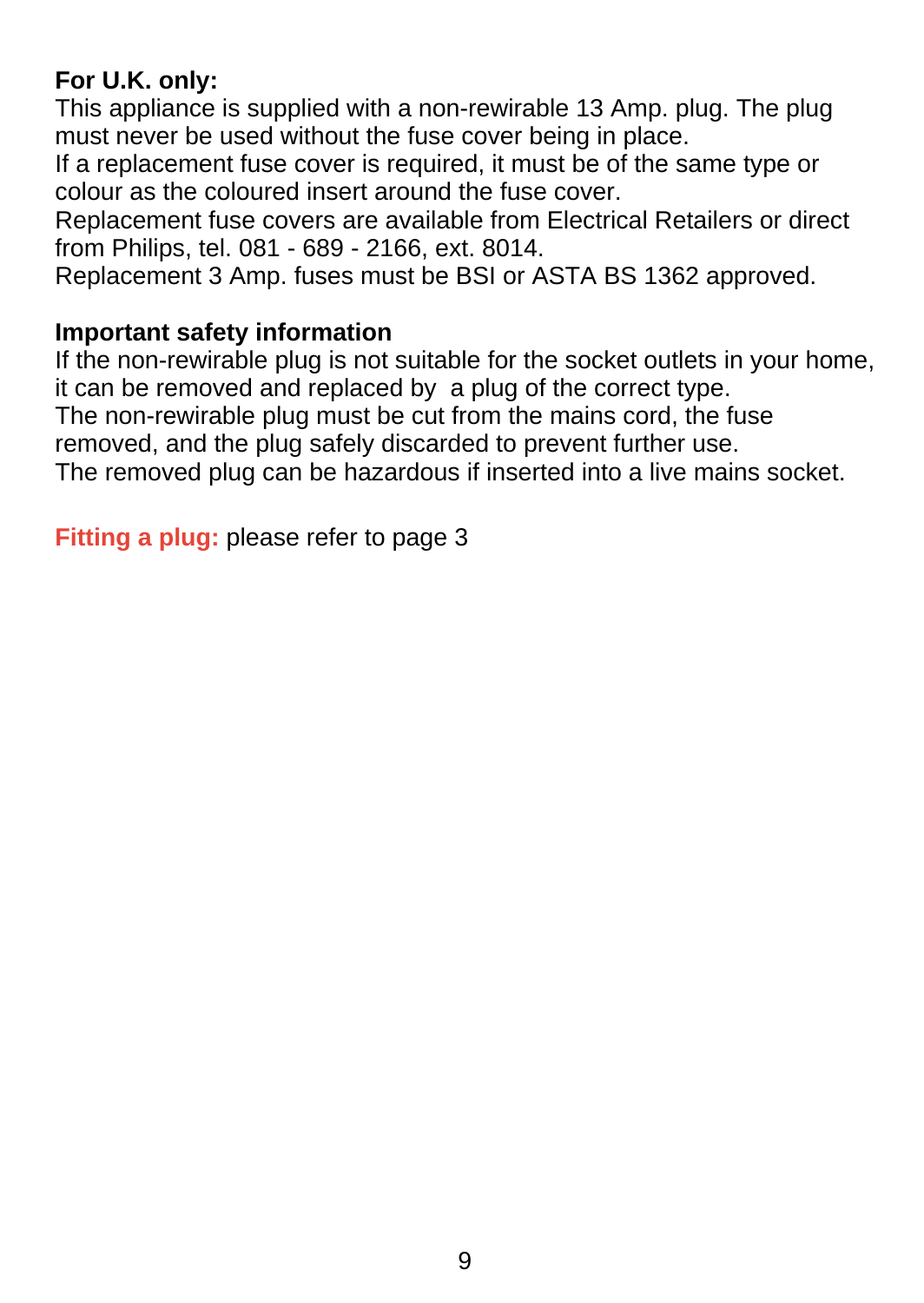### **For U.K. only:**

This appliance is supplied with a non-rewirable 13 Amp. plug. The plug must never be used without the fuse cover being in place.

If a replacement fuse cover is required, it must be of the same type or colour as the coloured insert around the fuse cover.

Replacement fuse covers are available from Electrical Retailers or direct from Philips, tel. 081 - 689 - 2166, ext. 8014.

Replacement 3 Amp. fuses must be BSI or ASTA BS 1362 approved.

#### **Important safety information**

If the non-rewirable plug is not suitable for the socket outlets in your home, it can be removed and replaced by a plug of the correct type.

The non-rewirable plug must be cut from the mains cord, the fuse

removed, and the plug safely discarded to prevent further use.

The removed plug can be hazardous if inserted into a live mains socket.

**Fitting a plug:** please refer to page 3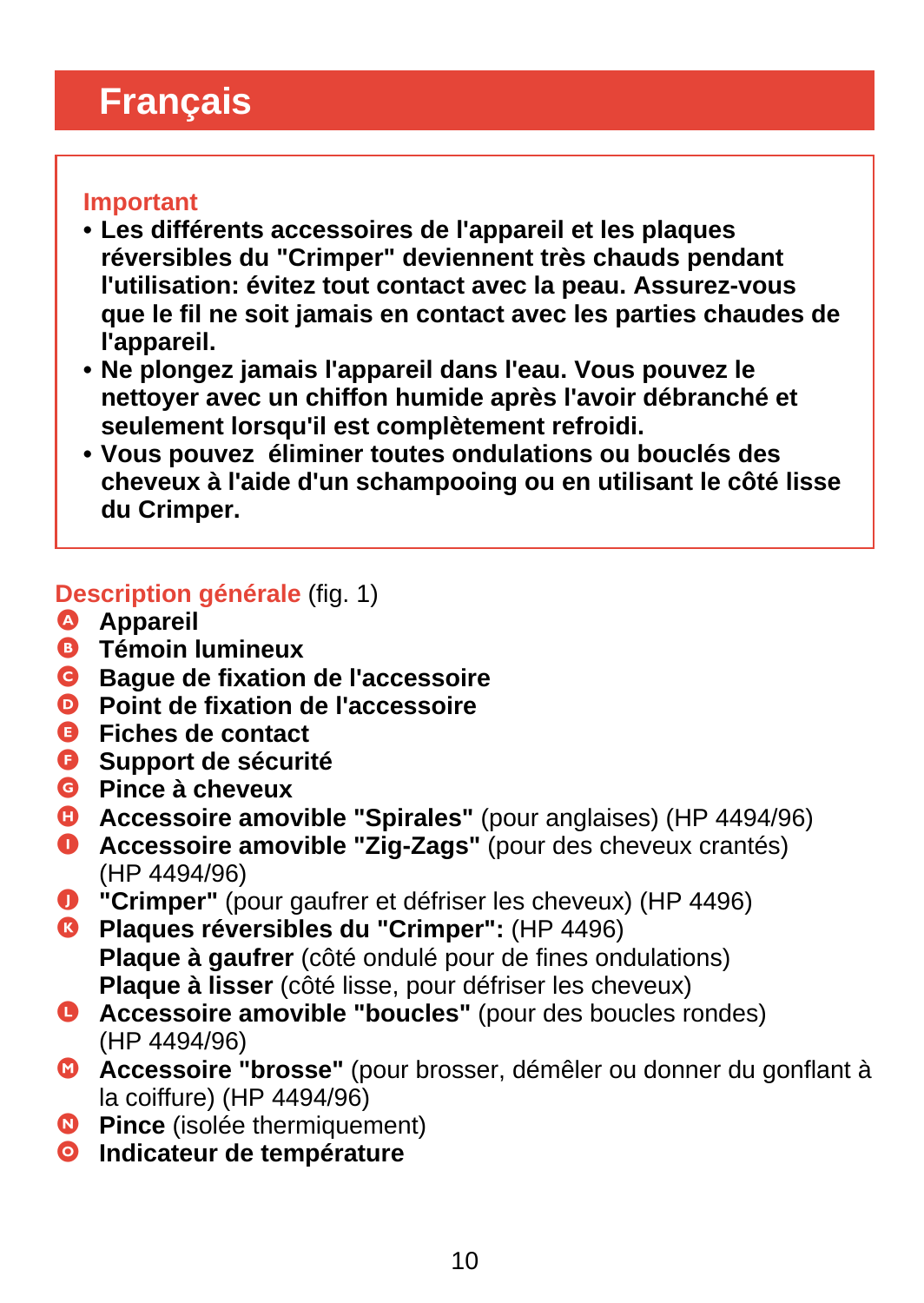# <span id="page-9-0"></span>**Français**

#### **Important**

- **Les différents accessoires de l'appareil et les plaques réversibles du "Crimper" deviennent très chauds pendant l'utilisation: évitez tout contact avec la peau. Assurez-vous que le fil ne soit jamais en contact avec les parties chaudes de l'appareil.**
- **Ne plongez jamais l'appareil dans l'eau. Vous pouvez le nettoyer avec un chiffon humide après l'avoir débranché et seulement lorsqu'il est complètement refroidi.**
- **Vous pouvez éliminer toutes ondulations ou bouclés des cheveux à l'aide d'un schampooing ou en utilisant le côté lisse du Crimper.**

### **Description générale** (fig. 1)

- A **Appareil**
- B **Témoin lumineux**
- C **Bague de fixation de l'accessoire**
- D **Point de fixation de l'accessoire**
- E **Fiches de contact**
- *<u>O</u>* Support de sécurité
- G **Pince à cheveux**
- **C** Accessoire amovible "Spirales" (pour anglaises) (HP 4494/96)
- **O** Accessoire amovible "Zig-Zags" (pour des cheveux crantés) (HP 4494/96)
- **D** "Crimper" (pour gaufrer et défriser les cheveux) (HP 4496)
- **C** Plaques réversibles du "Crimper": (HP 4496) **Plaque à gaufrer** (côté ondulé pour de fines ondulations) **Plaque à lisser** (côté lisse, pour défriser les cheveux)
- L **Accessoire amovible "boucles"** (pour des boucles rondes) (HP 4494/96)
- M **Accessoire "brosse"** (pour brosser, démêler ou donner du gonflant à la coiffure) (HP 4494/96)
- **<sup>O</sup>** Pince (isolée thermiquement)
- O **Indicateur de température**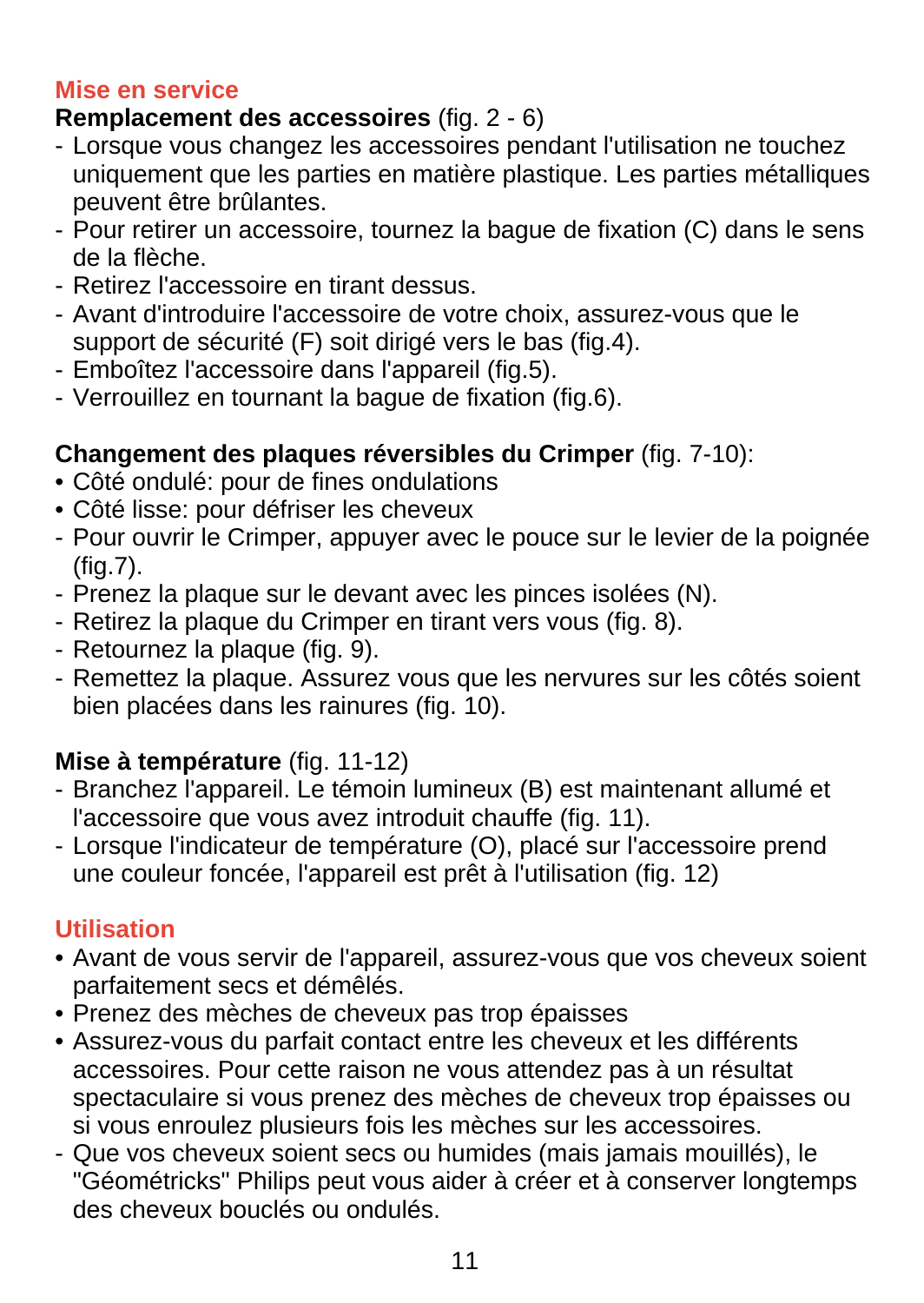#### **Mise en service**

#### **Remplacement des accessoires** (fig. 2 - 6)

- Lorsque vous changez les accessoires pendant l'utilisation ne touchez uniquement que les parties en matière plastique. Les parties métalliques peuvent être brûlantes.
- Pour retirer un accessoire, tournez la bague de fixation (C) dans le sens de la flèche.
- Retirez l'accessoire en tirant dessus.
- Avant d'introduire l'accessoire de votre choix, assurez-vous que le support de sécurité (F) soit dirigé vers le bas (fig.4).
- Emboîtez l'accessoire dans l'appareil (fig.5).
- Verrouillez en tournant la bague de fixation (fig.6).

## **Changement des plaques réversibles du Crimper** (fig. 7-10):

- Côté ondulé: pour de fines ondulations
- Côté lisse: pour défriser les cheveux
- Pour ouvrir le Crimper, appuyer avec le pouce sur le levier de la poignée  $(fia.7)$ .
- Prenez la plaque sur le devant avec les pinces isolées (N).
- Retirez la plaque du Crimper en tirant vers vous (fig. 8).
- Retournez la plaque (fig. 9).
- Remettez la plaque. Assurez vous que les nervures sur les côtés soient bien placées dans les rainures (fig. 10).

## **Mise à température** (fig. 11-12)

- Branchez l'appareil. Le témoin lumineux (B) est maintenant allumé et l'accessoire que vous avez introduit chauffe (fig. 11).
- Lorsque l'indicateur de température (O), placé sur l'accessoire prend une couleur foncée, l'appareil est prêt à l'utilisation (fig. 12)

## **Utilisation**

- Avant de vous servir de l'appareil, assurez-vous que vos cheveux soient parfaitement secs et démêlés.
- Prenez des mèches de cheveux pas trop épaisses
- Assurez-vous du parfait contact entre les cheveux et les différents accessoires. Pour cette raison ne vous attendez pas à un résultat spectaculaire si vous prenez des mèches de cheveux trop épaisses ou si vous enroulez plusieurs fois les mèches sur les accessoires.
- Que vos cheveux soient secs ou humides (mais jamais mouillés), le "Géométricks" Philips peut vous aider à créer et à conserver longtemps des cheveux bouclés ou ondulés.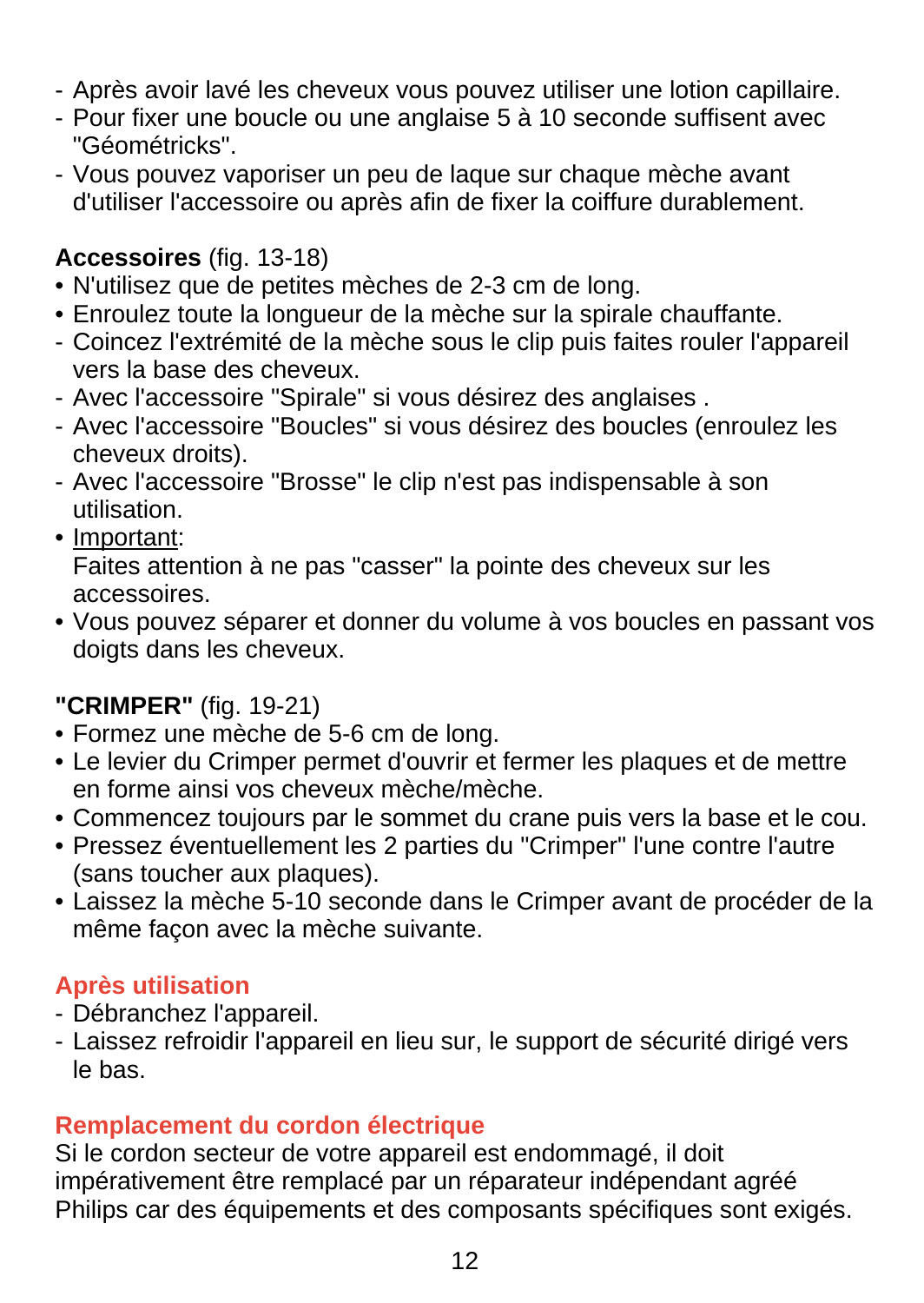- Après avoir lavé les cheveux vous pouvez utiliser une lotion capillaire.
- Pour fixer une boucle ou une anglaise 5 à 10 seconde suffisent avec "Géométricks".
- Vous pouvez vaporiser un peu de laque sur chaque mèche avant d'utiliser l'accessoire ou après afin de fixer la coiffure durablement.

#### **Accessoires** (fig. 13-18)

- N'utilisez que de petites mèches de 2-3 cm de long.
- Enroulez toute la longueur de la mèche sur la spirale chauffante.
- Coincez l'extrémité de la mèche sous le clip puis faites rouler l'appareil vers la base des cheveux.
- Avec l'accessoire "Spirale" si vous désirez des anglaises .
- Avec l'accessoire "Boucles" si vous désirez des boucles (enroulez les cheveux droits).
- Avec l'accessoire "Brosse" le clip n'est pas indispensable à son utilisation.
- Important:

Faites attention à ne pas "casser" la pointe des cheveux sur les accessoires.

• Vous pouvez séparer et donner du volume à vos boucles en passant vos doigts dans les cheveux.

### **"CRIMPER"** (fig. 19-21)

- Formez une mèche de 5-6 cm de long.
- Le levier du Crimper permet d'ouvrir et fermer les plaques et de mettre en forme ainsi vos cheveux mèche/mèche.
- Commencez toujours par le sommet du crane puis vers la base et le cou.
- Pressez éventuellement les 2 parties du "Crimper" l'une contre l'autre (sans toucher aux plaques).
- Laissez la mèche 5-10 seconde dans le Crimper avant de procéder de la même façon avec la mèche suivante.

### **Après utilisation**

- Débranchez l'appareil.
- Laissez refroidir l'appareil en lieu sur, le support de sécurité dirigé vers le bas.

### **Remplacement du cordon électrique**

Si le cordon secteur de votre appareil est endommagé, il doit impérativement être remplacé par un réparateur indépendant agréé Philips car des équipements et des composants spécifiques sont exigés.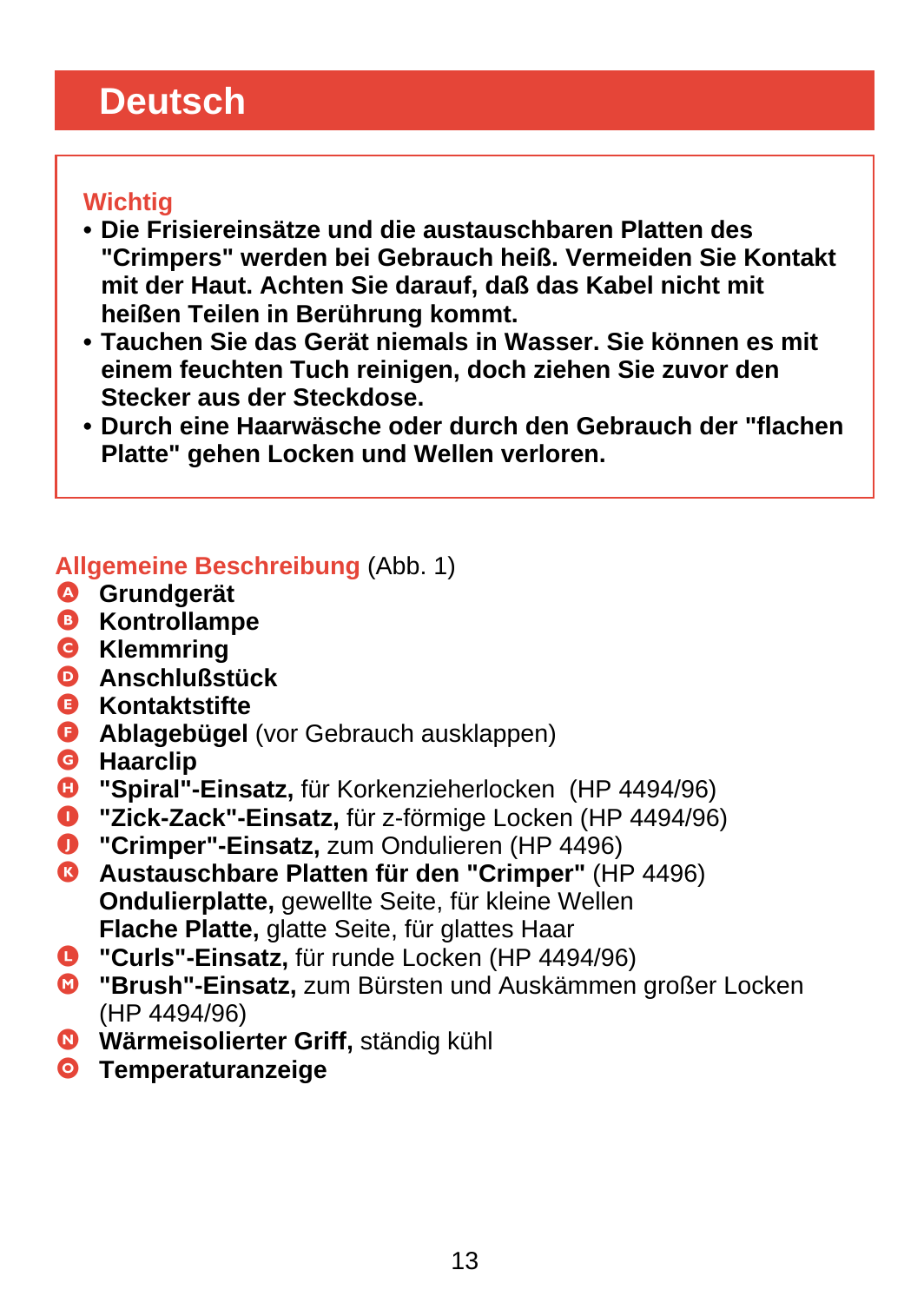# <span id="page-12-0"></span>**Deutsch**

#### **Wichtig**

- **Die Frisiereinsätze und die austauschbaren Platten des "Crimpers" werden bei Gebrauch heiß. Vermeiden Sie Kontakt mit der Haut. Achten Sie darauf, daß das Kabel nicht mit heißen Teilen in Berührung kommt.**
- **Tauchen Sie das Gerät niemals in Wasser. Sie können es mit einem feuchten Tuch reinigen, doch ziehen Sie zuvor den Stecker aus der Steckdose.**
- **Durch eine Haarwäsche oder durch den Gebrauch der "flachen Platte" gehen Locken und Wellen verloren.**

#### **Allgemeine Beschreibung** (Abb. 1)

- A **Grundgerät**
- B **Kontrollampe**
- C **Klemmring**
- D **Anschlußstück**
- E **Kontaktstifte**
- **G** Ablagebügel (vor Gebrauch ausklappen)
- **G** Haarclip<br>**C** "Spiral"-
- "Spiral"-Einsatz, für Korkenzieherlocken (HP 4494/96)
- I **"Zick-Zack"-Einsatz,** für z-förmige Locken (HP 4494/96)
- **O** "Crimper"-Einsatz, zum Ondulieren (HP 4496)
- K **Austauschbare Platten für den "Crimper"** (HP 4496) **Ondulierplatte,** gewellte Seite, für kleine Wellen **Flache Platte,** glatte Seite, für glattes Haar
- L **"Curls"-Einsatz,** für runde Locken (HP 4494/96)
- M **"Brush"-Einsatz,** zum Bürsten und Auskämmen großer Locken (HP 4494/96)
- N **Wärmeisolierter Griff,** ständig kühl
- O **Temperaturanzeige**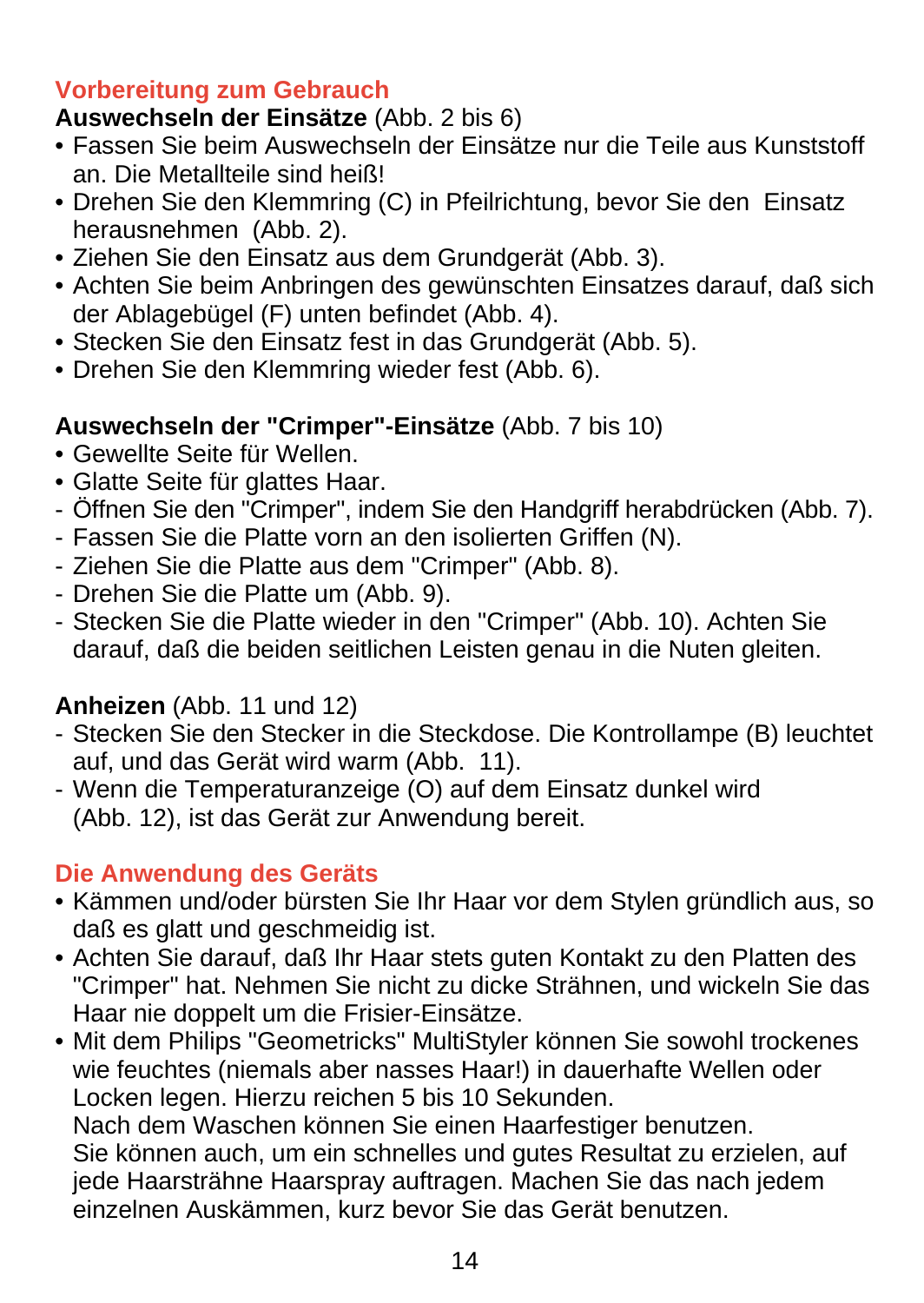#### **Vorbereitung zum Gebrauch**

# **Auswechseln der Einsätze** (Abb. 2 bis 6)

- Fassen Sie beim Auswechseln der Einsätze nur die Teile aus Kunststoff an. Die Metallteile sind heiß!
- Drehen Sie den Klemmring (C) in Pfeilrichtung, bevor Sie den Einsatz herausnehmen (Abb. 2).
- Ziehen Sie den Einsatz aus dem Grundgerät (Abb. 3).
- Achten Sie beim Anbringen des gewünschten Einsatzes darauf, daß sich der Ablagebügel (F) unten befindet (Abb. 4).
- Stecken Sie den Einsatz fest in das Grundgerät (Abb. 5).
- Drehen Sie den Klemmring wieder fest (Abb. 6).

## **Auswechseln der "Crimper"-Einsätze** (Abb. 7 bis 10)

- Gewellte Seite für Wellen.
- Glatte Seite für glattes Haar.
- Öffnen Sie den "Crimper", indem Sie den Handgriff herabdrücken (Abb. 7).
- Fassen Sie die Platte vorn an den isolierten Griffen (N).
- Ziehen Sie die Platte aus dem "Crimper" (Abb. 8).
- Drehen Sie die Platte um (Abb. 9).
- Stecken Sie die Platte wieder in den "Crimper" (Abb. 10). Achten Sie darauf, daß die beiden seitlichen Leisten genau in die Nuten gleiten.

## **Anheizen** (Abb. 11 und 12)

- Stecken Sie den Stecker in die Steckdose. Die Kontrollampe (B) leuchtet auf, und das Gerät wird warm (Abb. 11).
- Wenn die Temperaturanzeige (O) auf dem Einsatz dunkel wird (Abb. 12), ist das Gerät zur Anwendung bereit.

### **Die Anwendung des Geräts**

- Kämmen und/oder bürsten Sie Ihr Haar vor dem Stylen gründlich aus, so daß es glatt und geschmeidig ist.
- Achten Sie darauf, daß Ihr Haar stets guten Kontakt zu den Platten des "Crimper" hat. Nehmen Sie nicht zu dicke Strähnen, und wickeln Sie das Haar nie doppelt um die Frisier-Einsätze.
- Mit dem Philips "Geometricks" MultiStyler können Sie sowohl trockenes wie feuchtes (niemals aber nasses Haar!) in dauerhafte Wellen oder Locken legen. Hierzu reichen 5 bis 10 Sekunden.

Nach dem Waschen können Sie einen Haarfestiger benutzen. Sie können auch, um ein schnelles und gutes Resultat zu erzielen, auf jede Haarsträhne Haarspray auftragen. Machen Sie das nach jedem einzelnen Auskämmen, kurz bevor Sie das Gerät benutzen.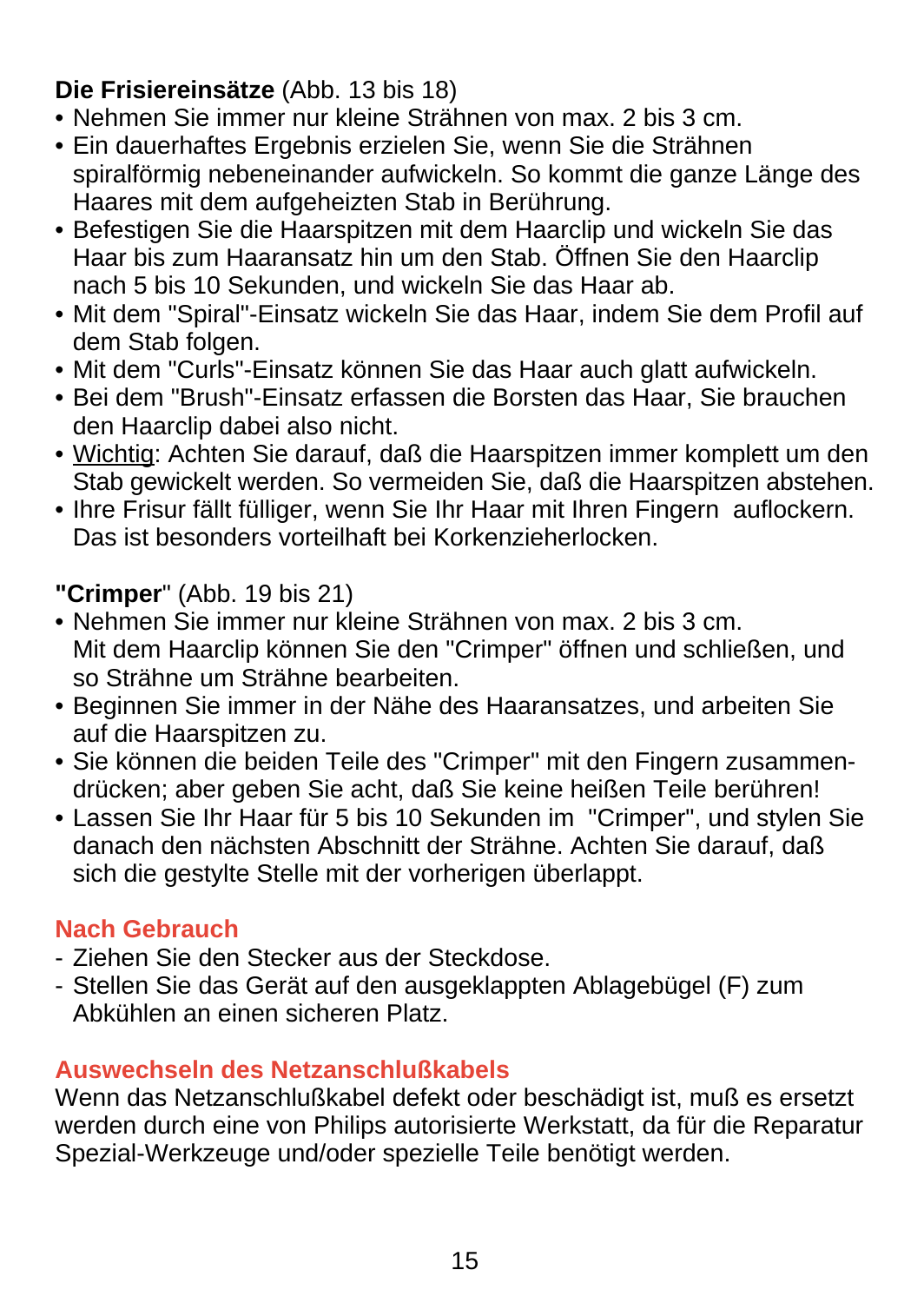## **Die Frisiereinsätze** (Abb. 13 bis 18)

- Nehmen Sie immer nur kleine Strähnen von max. 2 bis 3 cm.
- Ein dauerhaftes Ergebnis erzielen Sie, wenn Sie die Strähnen spiralförmig nebeneinander aufwickeln. So kommt die ganze Länge des Haares mit dem aufgeheizten Stab in Berührung.
- Befestigen Sie die Haarspitzen mit dem Haarclip und wickeln Sie das Haar bis zum Haaransatz hin um den Stab. Öffnen Sie den Haarclip nach 5 bis 10 Sekunden, und wickeln Sie das Haar ab.
- Mit dem "Spiral"-Einsatz wickeln Sie das Haar, indem Sie dem Profil auf dem Stab folgen.
- Mit dem "Curls"-Einsatz können Sie das Haar auch glatt aufwickeln.
- Bei dem "Brush"-Einsatz erfassen die Borsten das Haar, Sie brauchen den Haarclip dabei also nicht.
- Wichtig: Achten Sie darauf, daß die Haarspitzen immer komplett um den Stab gewickelt werden. So vermeiden Sie, daß die Haarspitzen abstehen.
- Ihre Frisur fällt fülliger, wenn Sie Ihr Haar mit Ihren Fingern auflockern. Das ist besonders vorteilhaft bei Korkenzieherlocken.

**"Crimper**" (Abb. 19 bis 21)

- Nehmen Sie immer nur kleine Strähnen von max. 2 bis 3 cm. Mit dem Haarclip können Sie den "Crimper" öffnen und schließen, und so Strähne um Strähne bearbeiten.
- Beginnen Sie immer in der Nähe des Haaransatzes, und arbeiten Sie auf die Haarspitzen zu.
- Sie können die beiden Teile des "Crimper" mit den Fingern zusammendrücken; aber geben Sie acht, daß Sie keine heißen Teile berühren!
- Lassen Sie Ihr Haar für 5 bis 10 Sekunden im "Crimper", und stylen Sie danach den nächsten Abschnitt der Strähne. Achten Sie darauf, daß sich die gestylte Stelle mit der vorherigen überlappt.

## **Nach Gebrauch**

- Ziehen Sie den Stecker aus der Steckdose.
- Stellen Sie das Gerät auf den ausgeklappten Ablagebügel (F) zum Abkühlen an einen sicheren Platz.

### **Auswechseln des Netzanschlußkabels**

Wenn das Netzanschlußkabel defekt oder beschädigt ist, muß es ersetzt werden durch eine von Philips autorisierte Werkstatt, da für die Reparatur Spezial-Werkzeuge und/oder spezielle Teile benötigt werden.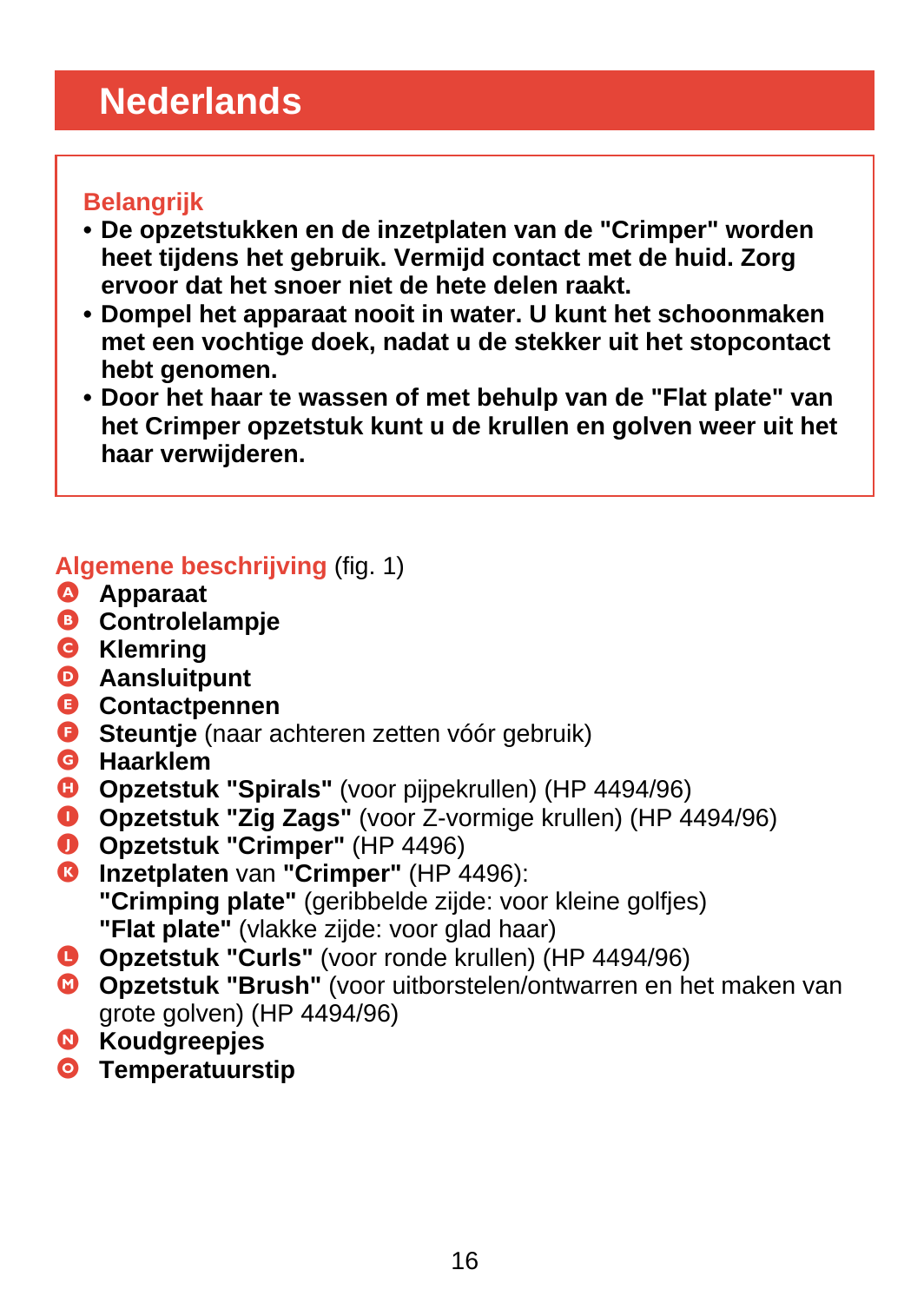# <span id="page-15-0"></span>**Nederlands**

### **Belangrijk**

- **De opzetstukken en de inzetplaten van de "Crimper" worden heet tijdens het gebruik. Vermijd contact met de huid. Zorg ervoor dat het snoer niet de hete delen raakt.**
- **Dompel het apparaat nooit in water. U kunt het schoonmaken met een vochtige doek, nadat u de stekker uit het stopcontact hebt genomen.**
- **Door het haar te wassen of met behulp van de "Flat plate" van het Crimper opzetstuk kunt u de krullen en golven weer uit het haar verwijderen.**

### **Algemene beschrijving** (fig. 1)

- A **Apparaat**
- B **Controlelampje**
- C **Klemring**
- D **Aansluitpunt**
- E **Contactpennen**
- **G** Steuntie (naar achteren zetten vóór gebruik)
- G **Haarklem**
- **D** Opzetstuk "Spirals" (voor pijpekrullen) (HP 4494/96)
- I **Opzetstuk "Zig Zags"** (voor Z-vormige krullen) (HP 4494/96)
- **O** Opzetstuk "Crimper" (HP 4496)
- **Inzetplaten van "Crimper" (HP 4496): "Crimping plate"** (geribbelde zijde: voor kleine golfjes) **"Flat plate"** (vlakke zijde: voor glad haar)
- L **Opzetstuk "Curls"** (voor ronde krullen) (HP 4494/96)
- M **Opzetstuk "Brush"** (voor uitborstelen/ontwarren en het maken van grote golven) (HP 4494/96)
- N **Koudgreepjes**
- O **Temperatuurstip**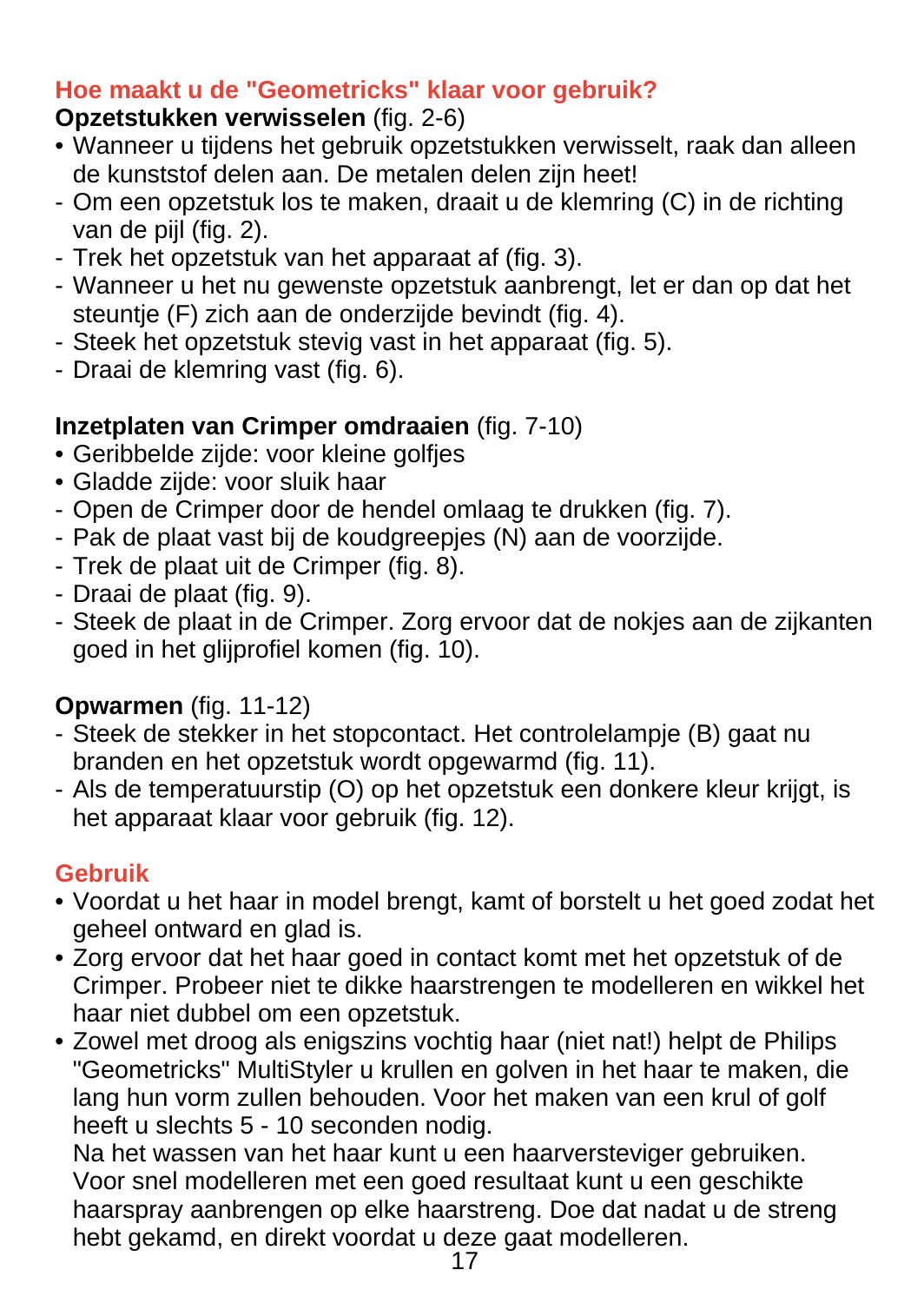### **Hoe maakt u de "Geometricks" klaar voor gebruik?**

# **Opzetstukken verwisselen** (fig. 2-6)

- Wanneer u tijdens het gebruik opzetstukken verwisselt, raak dan alleen de kunststof delen aan. De metalen delen zijn heet!
- Om een opzetstuk los te maken, draait u de klemring (C) in de richting van de pijl (fig. 2).
- Trek het opzetstuk van het apparaat af (fig. 3).
- Wanneer u het nu gewenste opzetstuk aanbrengt, let er dan op dat het steuntie (F) zich aan de onderzijde bevindt (fig. 4).
- Steek het opzetstuk stevig vast in het apparaat (fig. 5).
- Draai de klemring vast (fig. 6).

## **Inzetplaten van Crimper omdraaien** (fig. 7-10)

- Geribbelde zijde: voor kleine golfjes
- Gladde zijde: voor sluik haar
- Open de Crimper door de hendel omlaag te drukken (fig. 7).
- Pak de plaat vast bij de koudgreepjes (N) aan de voorzijde.
- Trek de plaat uit de Crimper (fig. 8).
- Draai de plaat (fig. 9).
- Steek de plaat in de Crimper. Zorg ervoor dat de nokjes aan de zijkanten goed in het glijprofiel komen (fig. 10).

# **Opwarmen** (fig. 11-12)

- Steek de stekker in het stopcontact. Het controlelampje (B) gaat nu branden en het opzetstuk wordt opgewarmd (fig. 11).
- Als de temperatuurstip (O) op het opzetstuk een donkere kleur krijgt, is het apparaat klaar voor gebruik (fig. 12).

## **Gebruik**

- Voordat u het haar in model brengt, kamt of borstelt u het goed zodat het geheel ontward en glad is.
- Zorg ervoor dat het haar goed in contact komt met het opzetstuk of de Crimper. Probeer niet te dikke haarstrengen te modelleren en wikkel het haar niet dubbel om een opzetstuk.
- Zowel met droog als enigszins vochtig haar (niet nat!) helpt de Philips "Geometricks" MultiStyler u krullen en golven in het haar te maken, die lang hun vorm zullen behouden. Voor het maken van een krul of golf heeft u slechts 5 - 10 seconden nodig.

Na het wassen van het haar kunt u een haarversteviger gebruiken. Voor snel modelleren met een goed resultaat kunt u een geschikte haarspray aanbrengen op elke haarstreng. Doe dat nadat u de streng hebt gekamd, en direkt voordat u deze gaat modelleren.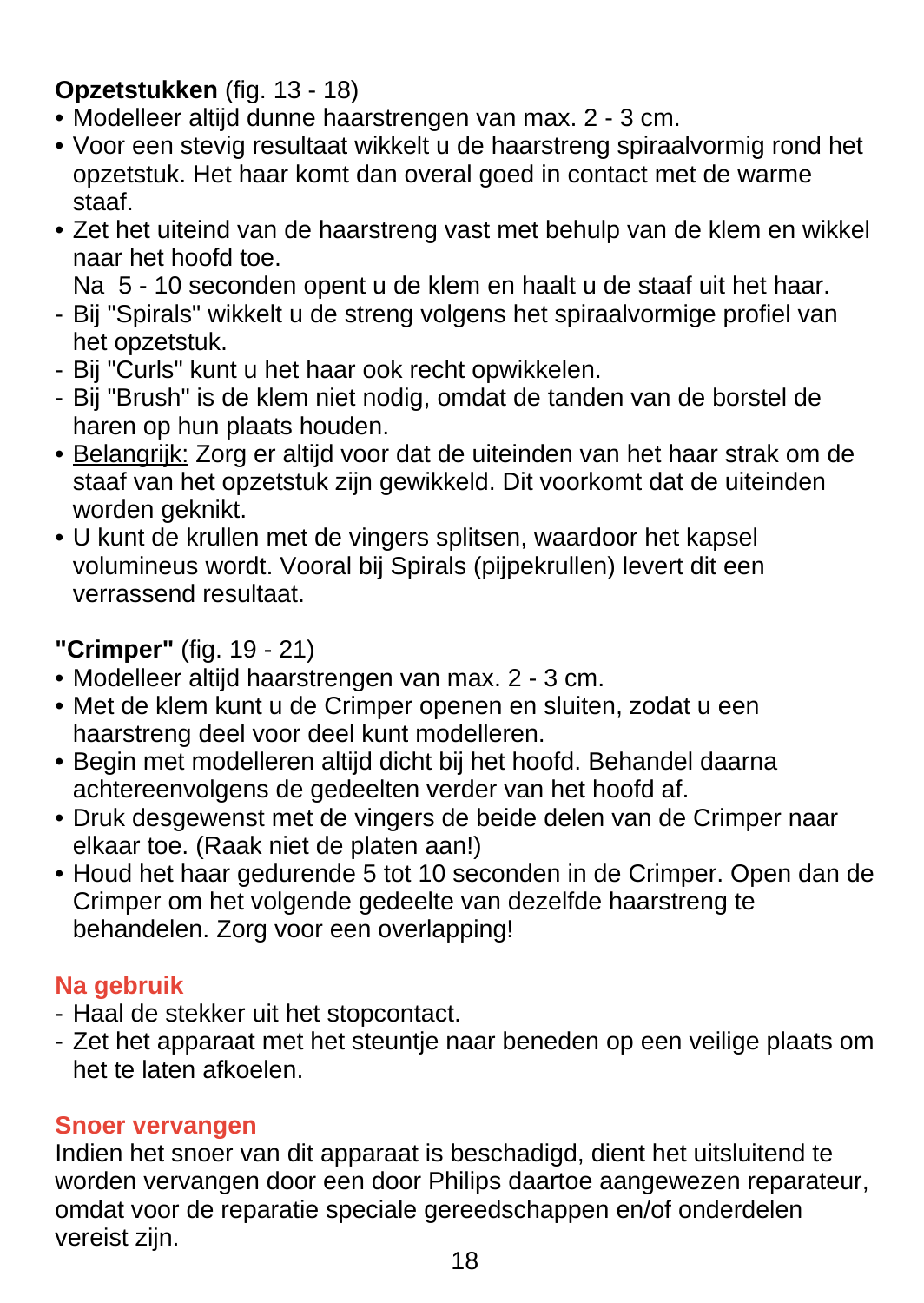## **Opzetstukken** (fig. 13 - 18)

- Modelleer altijd dunne haarstrengen van max. 2 3 cm.
- Voor een stevig resultaat wikkelt u de haarstreng spiraalvormig rond het opzetstuk. Het haar komt dan overal goed in contact met de warme staaf.
- Zet het uiteind van de haarstreng vast met behulp van de klem en wikkel naar het hoofd toe.

Na 5 - 10 seconden opent u de klem en haalt u de staaf uit het haar.

- Bij "Spirals" wikkelt u de streng volgens het spiraalvormige profiel van het opzetstuk.
- Bij "Curls" kunt u het haar ook recht opwikkelen.
- Bij "Brush" is de klem niet nodig, omdat de tanden van de borstel de haren op hun plaats houden.
- Belangrijk: Zorg er altijd voor dat de uiteinden van het haar strak om de staaf van het opzetstuk zijn gewikkeld. Dit voorkomt dat de uiteinden worden geknikt.
- U kunt de krullen met de vingers splitsen, waardoor het kapsel volumineus wordt. Vooral bij Spirals (pijpekrullen) levert dit een verrassend resultaat.
- **"Crimper"** (fig. 19 21)
- Modelleer altijd haarstrengen van max. 2 3 cm.
- Met de klem kunt u de Crimper openen en sluiten, zodat u een haarstreng deel voor deel kunt modelleren.
- Begin met modelleren altijd dicht bij het hoofd. Behandel daarna achtereenvolgens de gedeelten verder van het hoofd af.
- Druk desgewenst met de vingers de beide delen van de Crimper naar elkaar toe. (Raak niet de platen aan!)
- Houd het haar gedurende 5 tot 10 seconden in de Crimper. Open dan de Crimper om het volgende gedeelte van dezelfde haarstreng te behandelen. Zorg voor een overlapping!

## **Na gebruik**

- Haal de stekker uit het stopcontact.
- Zet het apparaat met het steuntje naar beneden op een veilige plaats om het te laten afkoelen.

#### **Snoer vervangen**

Indien het snoer van dit apparaat is beschadigd, dient het uitsluitend te worden vervangen door een door Philips daartoe aangewezen reparateur, omdat voor de reparatie speciale gereedschappen en/of onderdelen vereist zijn.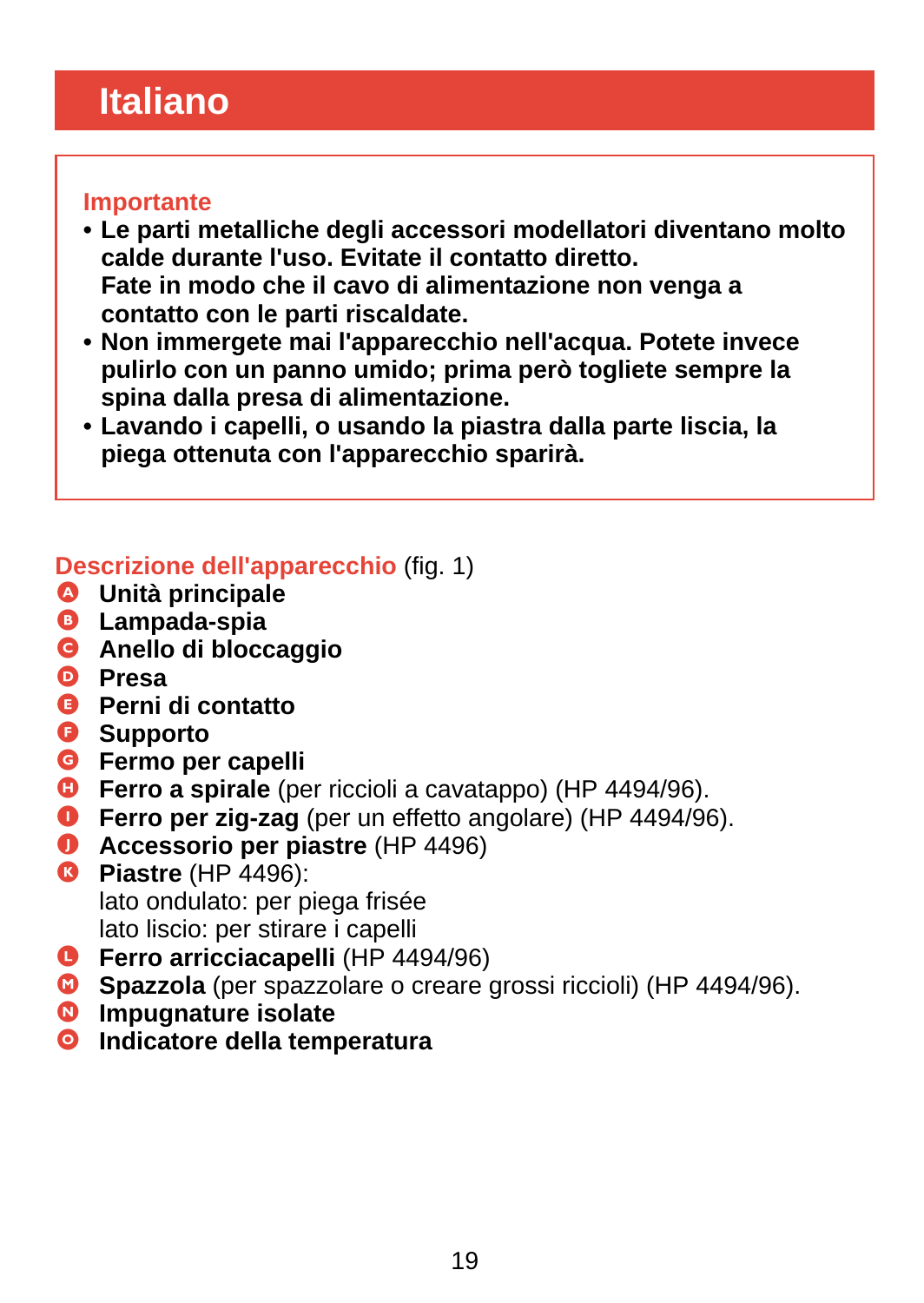# <span id="page-18-0"></span>**Italiano**

#### **Importante**

- **Le parti metalliche degli accessori modellatori diventano molto calde durante l'uso. Evitate il contatto diretto. Fate in modo che il cavo di alimentazione non venga a contatto con le parti riscaldate.**
- **Non immergete mai l'apparecchio nell'acqua. Potete invece pulirlo con un panno umido; prima però togliete sempre la spina dalla presa di alimentazione.**
- **Lavando i capelli, o usando la piastra dalla parte liscia, la piega ottenuta con l'apparecchio sparirà.**

## **Descrizione dell'apparecchio** (fig. 1)

- A **Unità principale**
- **B** Lampada-spia
- **G** Anello di bloccaggio
- D **Presa**
- E **Perni di contatto**
- **G** Supporto
- G **Fermo per capelli**
- **G** Ferro a spirale (per riccioli a cavatappo) (HP 4494/96).
- **O** Ferro per zig-zag (per un effetto angolare) (HP 4494/96).
- **O** Accessorio per piastre (HP 4496)
- **8** Piastre (HP 4496): lato ondulato: per piega frisée lato liscio: per stirare i capelli
- **C** Ferro arricciacapelli (HP 4494/96)
- **C** Spazzola (per spazzolare o creare grossi riccioli) (HP 4494/96).
- $\bullet$  Impugnature isolate
- O **Indicatore della temperatura**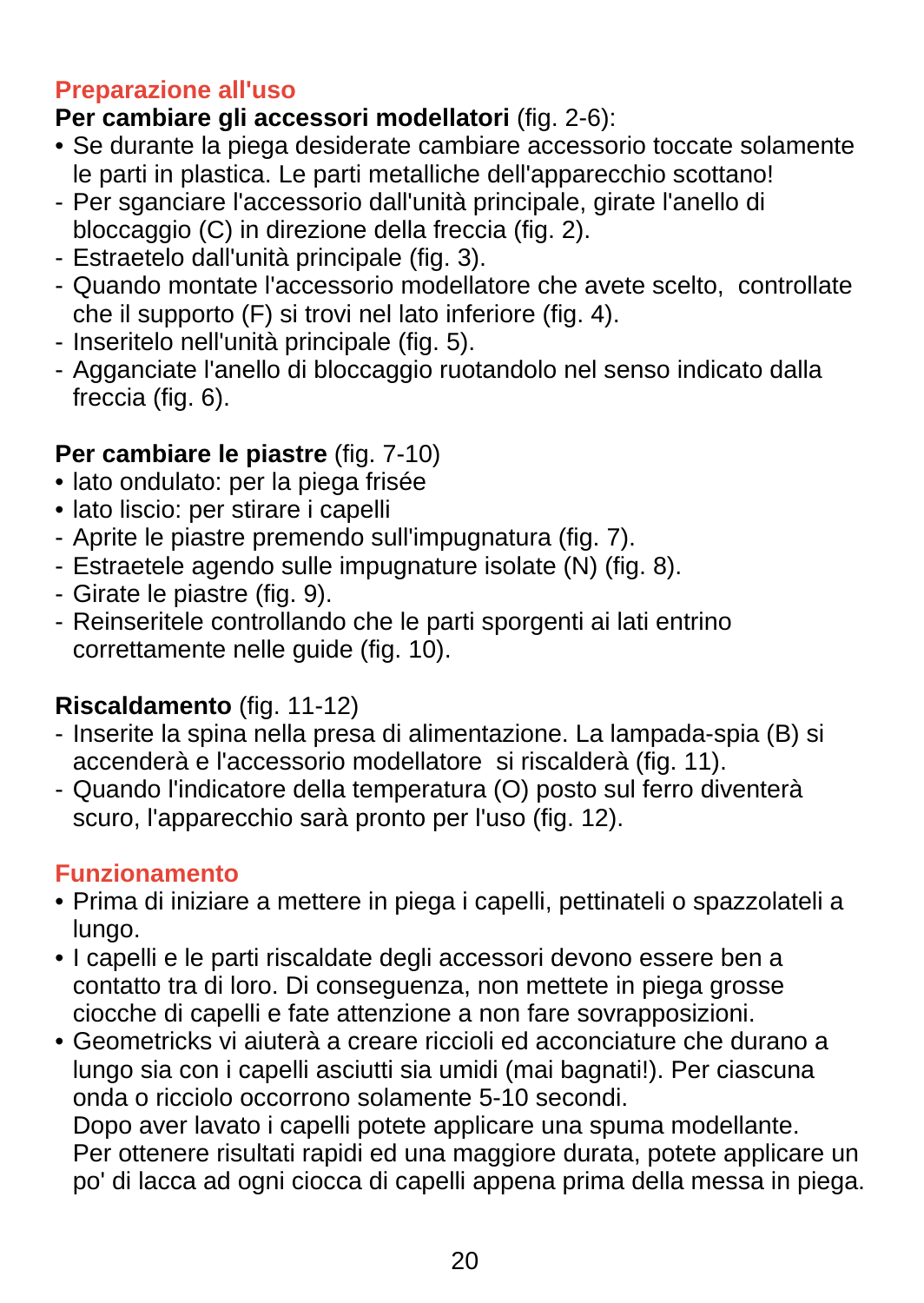### **Preparazione all'uso**

## **Per cambiare gli accessori modellatori** (fig. 2-6):

- Se durante la piega desiderate cambiare accessorio toccate solamente le parti in plastica. Le parti metalliche dell'apparecchio scottano!
- Per sganciare l'accessorio dall'unità principale, girate l'anello di bloccaggio (C) in direzione della freccia (fig. 2).
- Estraetelo dall'unità principale (fig. 3).
- Quando montate l'accessorio modellatore che avete scelto, controllate che il supporto (F) si trovi nel lato inferiore (fig. 4).
- Inseritelo nell'unità principale (fig. 5).
- Agganciate l'anello di bloccaggio ruotandolo nel senso indicato dalla freccia (fig. 6).

## **Per cambiare le piastre** (fig. 7-10)

- lato ondulato: per la piega frisée
- lato liscio: per stirare i capelli
- Aprite le piastre premendo sull'impugnatura (fig. 7).
- Estraetele agendo sulle impugnature isolate (N) (fig. 8).
- Girate le piastre (fig. 9).
- Reinseritele controllando che le parti sporgenti ai lati entrino correttamente nelle guide (fig. 10).

## **Riscaldamento** (fig. 11-12)

- Inserite la spina nella presa di alimentazione. La lampada-spia (B) si accenderà e l'accessorio modellatore si riscalderà (fig. 11).
- Quando l'indicatore della temperatura (O) posto sul ferro diventerà scuro, l'apparecchio sarà pronto per l'uso (fig. 12).

### **Funzionamento**

- Prima di iniziare a mettere in piega i capelli, pettinateli o spazzolateli a lungo.
- I capelli e le parti riscaldate degli accessori devono essere ben a contatto tra di loro. Di conseguenza, non mettete in piega grosse ciocche di capelli e fate attenzione a non fare sovrapposizioni.
- Geometricks vi aiuterà a creare riccioli ed acconciature che durano a lungo sia con i capelli asciutti sia umidi (mai bagnati!). Per ciascuna onda o ricciolo occorrono solamente 5-10 secondi. Dopo aver lavato i capelli potete applicare una spuma modellante. Per ottenere risultati rapidi ed una maggiore durata, potete applicare un po' di lacca ad ogni ciocca di capelli appena prima della messa in piega.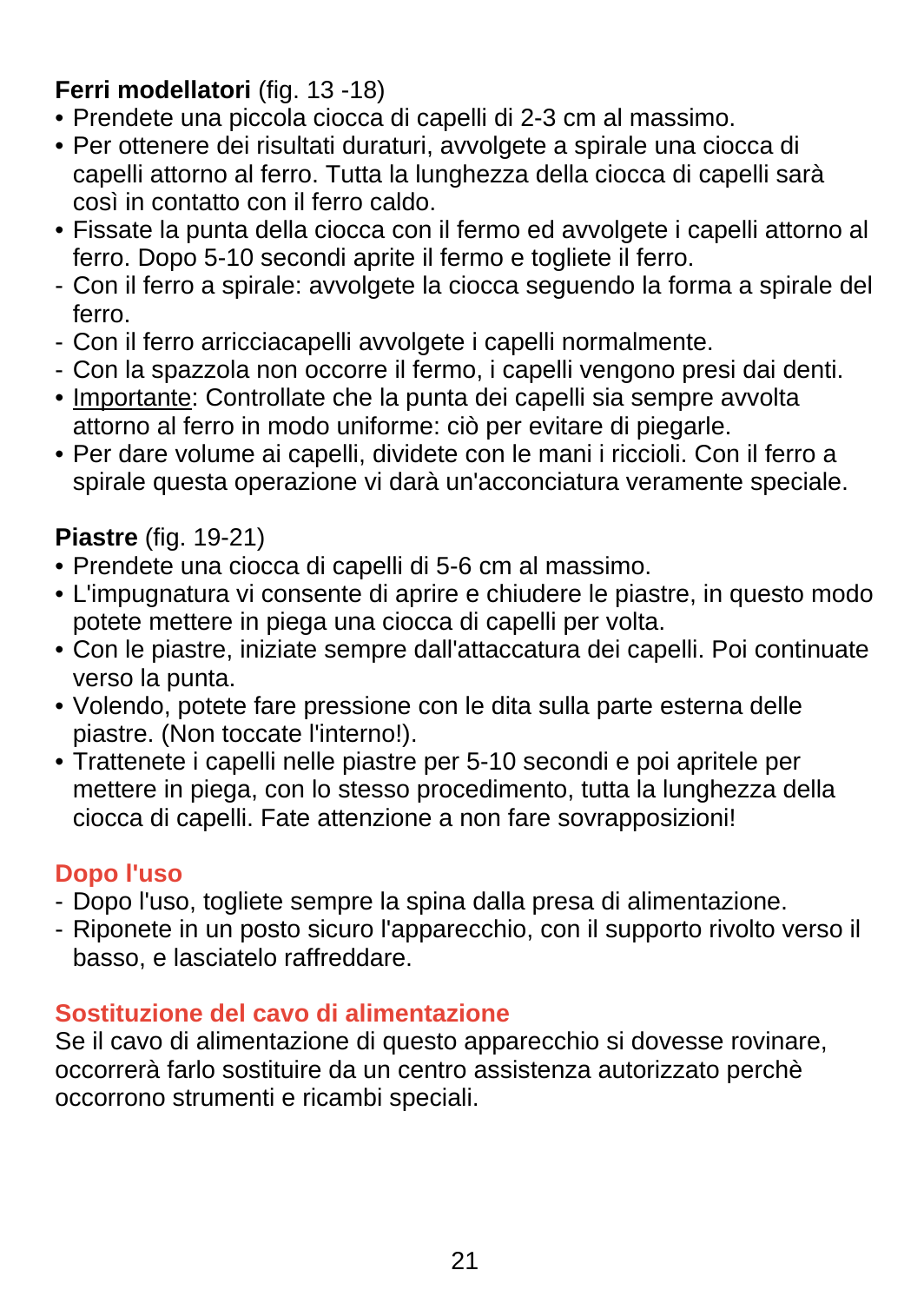## **Ferri modellatori** (fig. 13 -18)

- Prendete una piccola ciocca di capelli di 2-3 cm al massimo.
- Per ottenere dei risultati duraturi, avvolgete a spirale una ciocca di capelli attorno al ferro. Tutta la lunghezza della ciocca di capelli sarà così in contatto con il ferro caldo.
- Fissate la punta della ciocca con il fermo ed avvolgete i capelli attorno al ferro. Dopo 5-10 secondi aprite il fermo e togliete il ferro.
- Con il ferro a spirale: avvolgete la ciocca seguendo la forma a spirale del ferro.
- Con il ferro arricciacapelli avvolgete i capelli normalmente.
- Con la spazzola non occorre il fermo, i capelli vengono presi dai denti.
- Importante: Controllate che la punta dei capelli sia sempre avvolta attorno al ferro in modo uniforme: ciò per evitare di piegarle.
- Per dare volume ai capelli, dividete con le mani i riccioli. Con il ferro a spirale questa operazione vi darà un'acconciatura veramente speciale.

## **Piastre** (fig. 19-21)

- Prendete una ciocca di capelli di 5-6 cm al massimo.
- L'impugnatura vi consente di aprire e chiudere le piastre, in questo modo potete mettere in piega una ciocca di capelli per volta.
- Con le piastre, iniziate sempre dall'attaccatura dei capelli. Poi continuate verso la punta.
- Volendo, potete fare pressione con le dita sulla parte esterna delle piastre. (Non toccate l'interno!).
- Trattenete i capelli nelle piastre per 5-10 secondi e poi apritele per mettere in piega, con lo stesso procedimento, tutta la lunghezza della ciocca di capelli. Fate attenzione a non fare sovrapposizioni!

### **Dopo l'uso**

- Dopo l'uso, togliete sempre la spina dalla presa di alimentazione.
- Riponete in un posto sicuro l'apparecchio, con il supporto rivolto verso il basso, e lasciatelo raffreddare.

## **Sostituzione del cavo di alimentazione**

Se il cavo di alimentazione di questo apparecchio si dovesse rovinare, occorrerà farlo sostituire da un centro assistenza autorizzato perchè occorrono strumenti e ricambi speciali.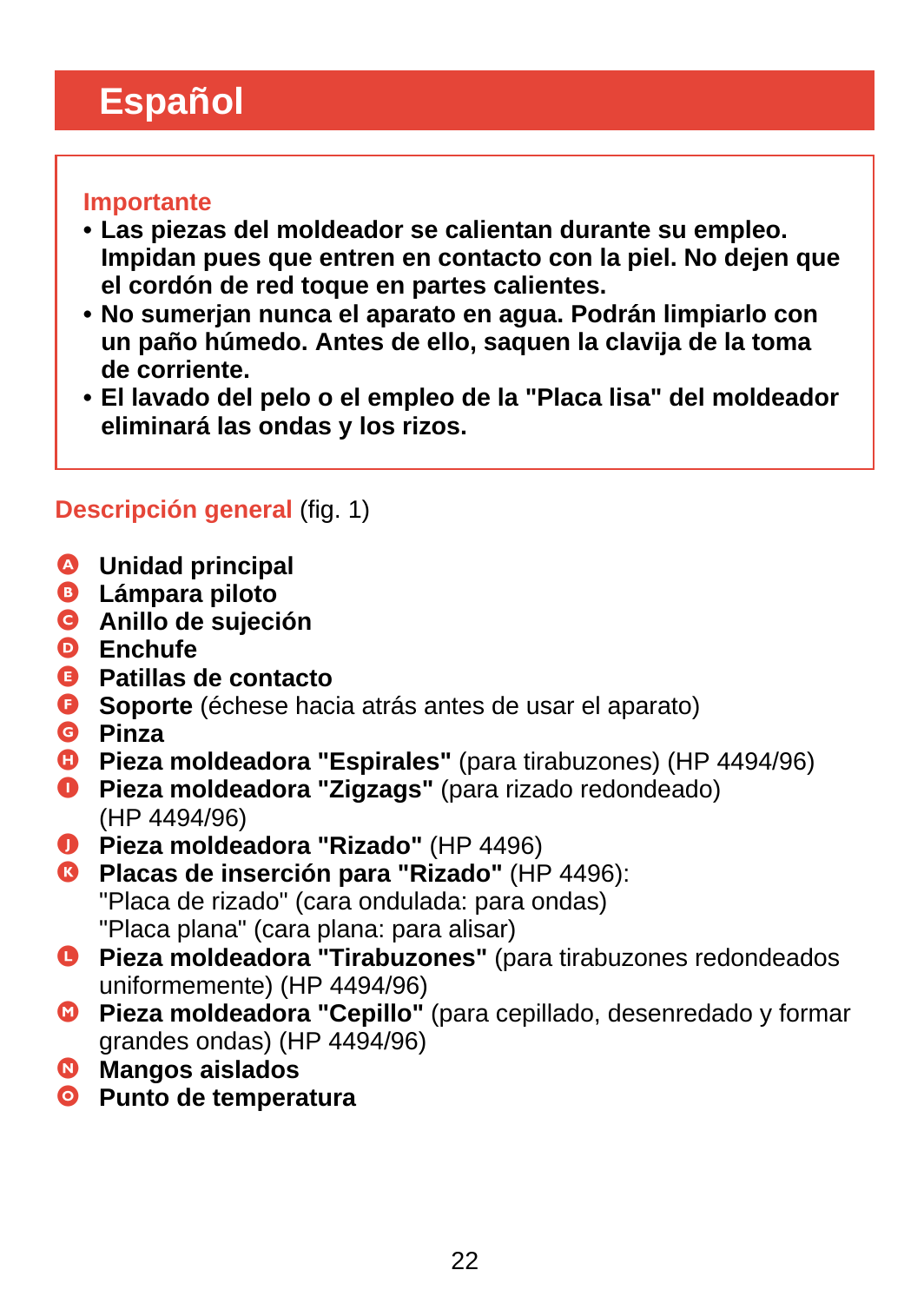# <span id="page-21-0"></span>**Español**

#### **Importante**

- **Las piezas del moldeador se calientan durante su empleo. Impidan pues que entren en contacto con la piel. No dejen que el cordón de red toque en partes calientes.**
- **No sumerjan nunca el aparato en agua. Podrán limpiarlo con un paño húmedo. Antes de ello, saquen la clavija de la toma de corriente.**
- **El lavado del pelo o el empleo de la "Placa lisa" del moldeador eliminará las ondas y los rizos.**

### **Descripción general** (fig. 1)

- A **Unidad principal**
- B **Lámpara piloto**
- C **Anillo de sujeción**
- D **Enchufe**
- E **Patillas de contacto**
- F **Soporte** (échese hacia atrás antes de usar el aparato)
- G **Pinza**
- **C** Pieza moldeadora "Espirales" (para tirabuzones) (HP 4494/96)
- **O** Pieza moldeadora "Zigzags" (para rizado redondeado) (HP 4494/96)
- J **Pieza moldeadora "Rizado"** (HP 4496)
- K **Placas de inserción para "Rizado"** (HP 4496): "Placa de rizado" (cara ondulada: para ondas) "Placa plana" (cara plana: para alisar)
- L **Pieza moldeadora "Tirabuzones"** (para tirabuzones redondeados uniformemente) (HP 4494/96)
- M **Pieza moldeadora "Cepillo"** (para cepillado, desenredado y formar grandes ondas) (HP 4494/96)
- $\bullet$  Mangos aislados
- O **Punto de temperatura**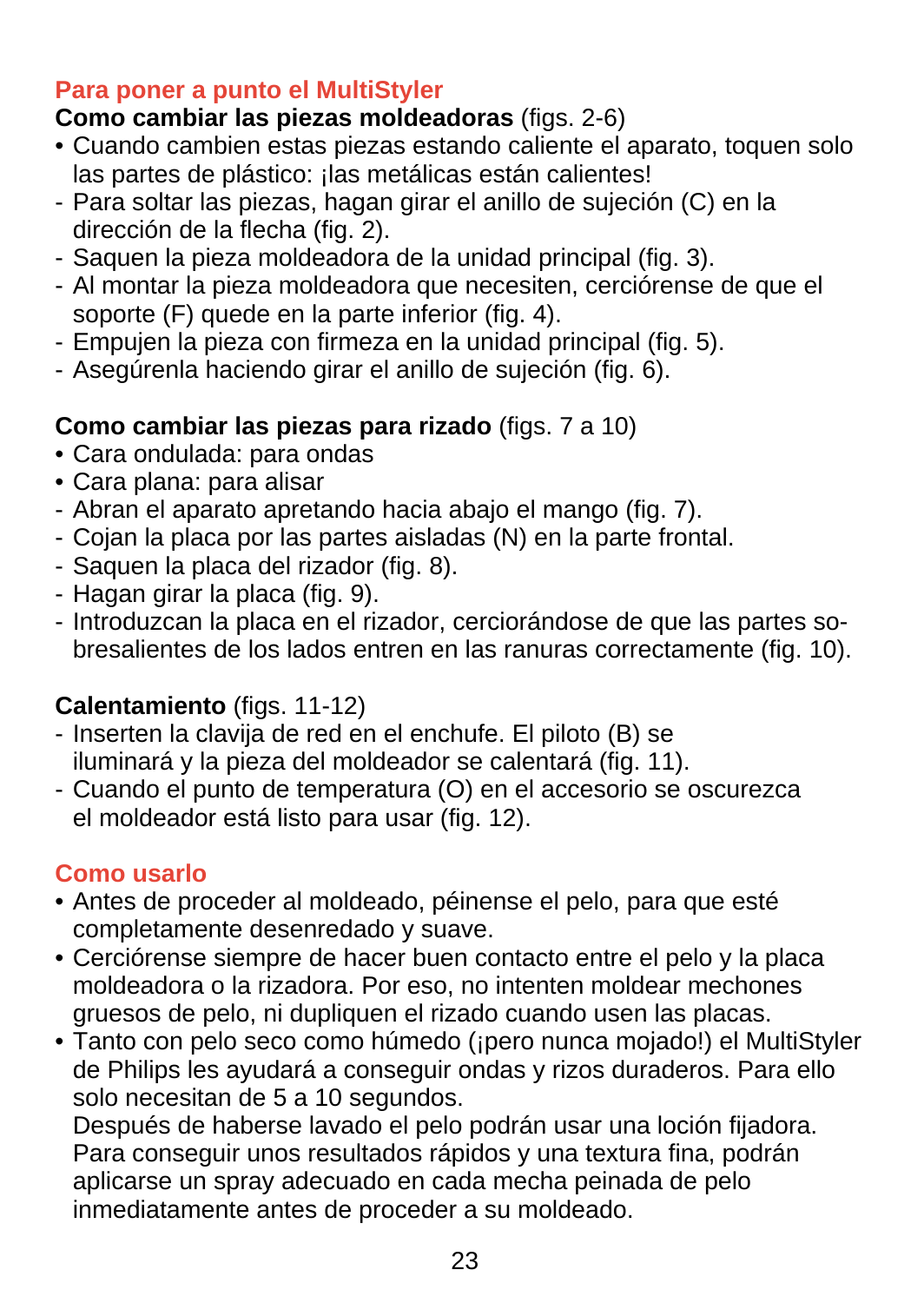#### **Para poner a punto el MultiStyler**

# **Como cambiar las piezas moldeadoras** (figs. 2-6)

- Cuando cambien estas piezas estando caliente el aparato, toquen solo las partes de plástico: ¡las metálicas están calientes!
- Para soltar las piezas, hagan girar el anillo de sujeción (C) en la dirección de la flecha (fig. 2).
- Saquen la pieza moldeadora de la unidad principal (fig. 3).
- Al montar la pieza moldeadora que necesiten, cerciórense de que el soporte (F) quede en la parte inferior (fig. 4).
- Empujen la pieza con firmeza en la unidad principal (fig. 5).
- Asegúrenla haciendo girar el anillo de sujeción (fig. 6).

# **Como cambiar las piezas para rizado** (figs. 7 a 10)

- Cara ondulada: para ondas
- Cara plana: para alisar
- Abran el aparato apretando hacia abajo el mango (fig. 7).
- Cojan la placa por las partes aisladas (N) en la parte frontal.
- Saquen la placa del rizador (fig. 8).
- Hagan girar la placa (fig. 9).
- Introduzcan la placa en el rizador, cerciorándose de que las partes sobresalientes de los lados entren en las ranuras correctamente (fig. 10).

# **Calentamiento** (figs. 11-12)

- Inserten la clavija de red en el enchufe. El piloto (B) se iluminará y la pieza del moldeador se calentará (fig. 11).
- Cuando el punto de temperatura (O) en el accesorio se oscurezca el moldeador está listo para usar (fig. 12).

# **Como usarlo**

- Antes de proceder al moldeado, péinense el pelo, para que esté completamente desenredado y suave.
- Cerciórense siempre de hacer buen contacto entre el pelo y la placa moldeadora o la rizadora. Por eso, no intenten moldear mechones gruesos de pelo, ni dupliquen el rizado cuando usen las placas.
- Tanto con pelo seco como húmedo (¡pero nunca mojado!) el MultiStyler de Philips les ayudará a conseguir ondas y rizos duraderos. Para ello solo necesitan de 5 a 10 segundos.

Después de haberse lavado el pelo podrán usar una loción fijadora. Para conseguir unos resultados rápidos y una textura fina, podrán aplicarse un spray adecuado en cada mecha peinada de pelo inmediatamente antes de proceder a su moldeado.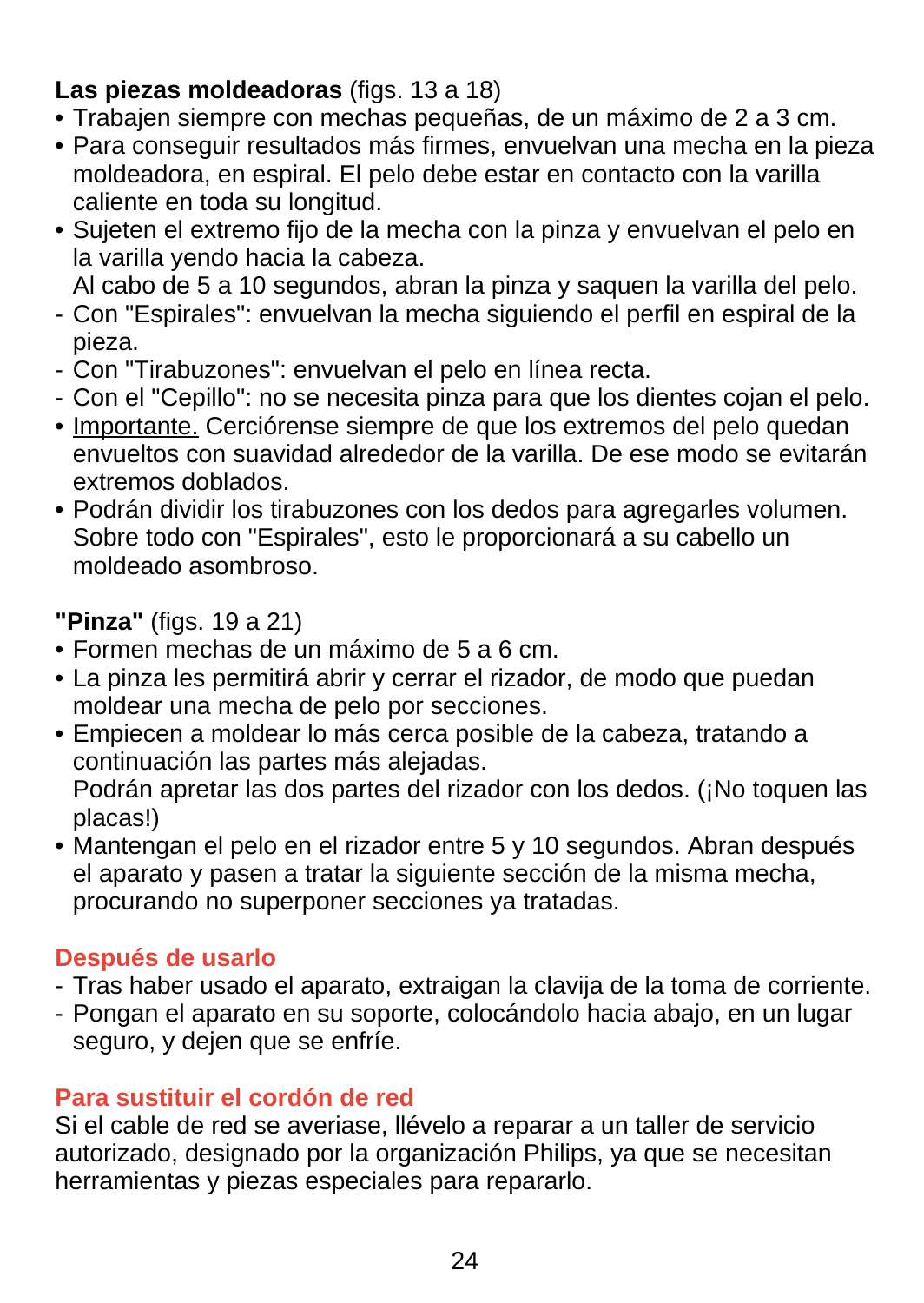### **Las piezas moldeadoras** (figs. 13 a 18)

- Trabajen siempre con mechas pequeñas, de un máximo de 2 a 3 cm.
- Para conseguir resultados más firmes, envuelvan una mecha en la pieza moldeadora, en espiral. El pelo debe estar en contacto con la varilla caliente en toda su longitud.
- Sujeten el extremo fijo de la mecha con la pinza y envuelvan el pelo en la varilla yendo hacia la cabeza.

Al cabo de 5 a 10 segundos, abran la pinza y saquen la varilla del pelo.

- Con "Espirales": envuelvan la mecha siguiendo el perfil en espiral de la pieza.
- Con "Tirabuzones": envuelvan el pelo en línea recta.
- Con el "Cepillo": no se necesita pinza para que los dientes cojan el pelo.
- Importante. Cerciórense siempre de que los extremos del pelo quedan envueltos con suavidad alrededor de la varilla. De ese modo se evitarán extremos doblados.
- Podrán dividir los tirabuzones con los dedos para agregarles volumen. Sobre todo con "Espirales", esto le proporcionará a su cabello un moldeado asombroso.

#### **"Pinza"** (figs. 19 a 21)

- Formen mechas de un máximo de 5 a 6 cm.
- La pinza les permitirá abrir y cerrar el rizador, de modo que puedan moldear una mecha de pelo por secciones.
- Empiecen a moldear lo más cerca posible de la cabeza, tratando a continuación las partes más alejadas. Podrán apretar las dos partes del rizador con los dedos. (¡No toquen las

placas!)

• Mantengan el pelo en el rizador entre 5 y 10 segundos. Abran después el aparato y pasen a tratar la siguiente sección de la misma mecha, procurando no superponer secciones ya tratadas.

#### **Después de usarlo**

- Tras haber usado el aparato, extraigan la clavija de la toma de corriente.
- Pongan el aparato en su soporte, colocándolo hacia abajo, en un lugar seguro, y dejen que se enfríe.

### **Para sustituir el cordón de red**

Si el cable de red se averiase, llévelo a reparar a un taller de servicio autorizado, designado por la organización Philips, ya que se necesitan herramientas y piezas especiales para repararlo.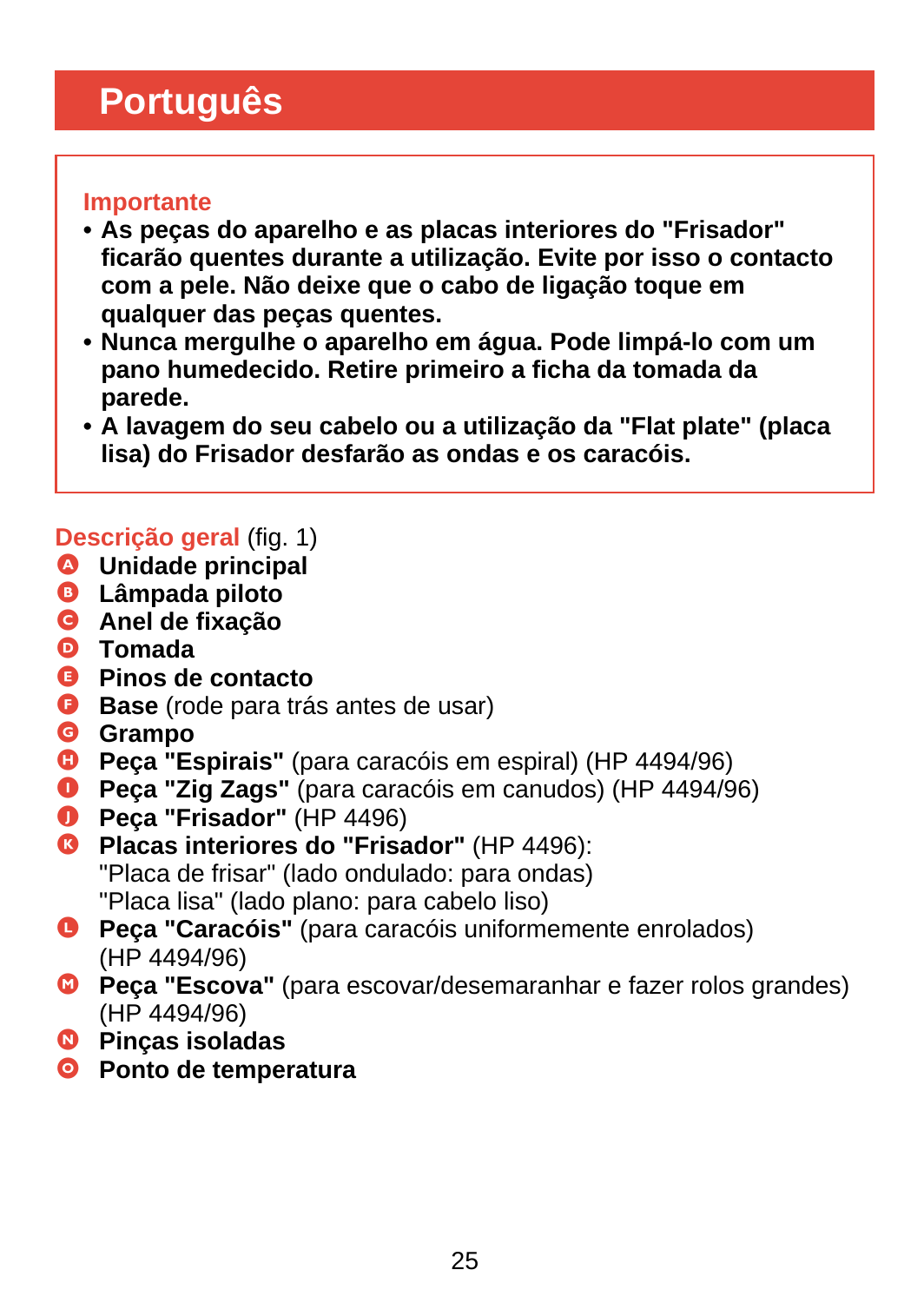# <span id="page-24-0"></span>**Português**

#### **Importante**

- **As peças do aparelho e as placas interiores do "Frisador" ficarão quentes durante a utilização. Evite por isso o contacto com a pele. Não deixe que o cabo de ligação toque em qualquer das peças quentes.**
- **Nunca mergulhe o aparelho em água. Pode limpá-lo com um pano humedecido. Retire primeiro a ficha da tomada da parede.**
- **A lavagem do seu cabelo ou a utilização da "Flat plate" (placa lisa) do Frisador desfarão as ondas e os caracóis.**

## **Descrição geral** (fig. 1)

- A **Unidade principal**
- B **Lâmpada piloto**
- C **Anel de fixação**
- D **Tomada**
- E **Pinos de contacto**
- **Base** (rode para trás antes de usar)
- G **Grampo**
- **D** Peca "Espirais" (para caracóis em espiral) (HP 4494/96)
- I **Peça "Zig Zags"** (para caracóis em canudos) (HP 4494/96)
- J **Peça "Frisador"** (HP 4496)
- **C** Placas interiores do "Frisador" (HP 4496): "Placa de frisar" (lado ondulado: para ondas) "Placa lisa" (lado plano: para cabelo liso)
- L **Peça "Caracóis"** (para caracóis uniformemente enrolados) (HP 4494/96)
- M **Peça "Escova"** (para escovar/desemaranhar e fazer rolos grandes) (HP 4494/96)
- N **Pinças isoladas**
- O **Ponto de temperatura**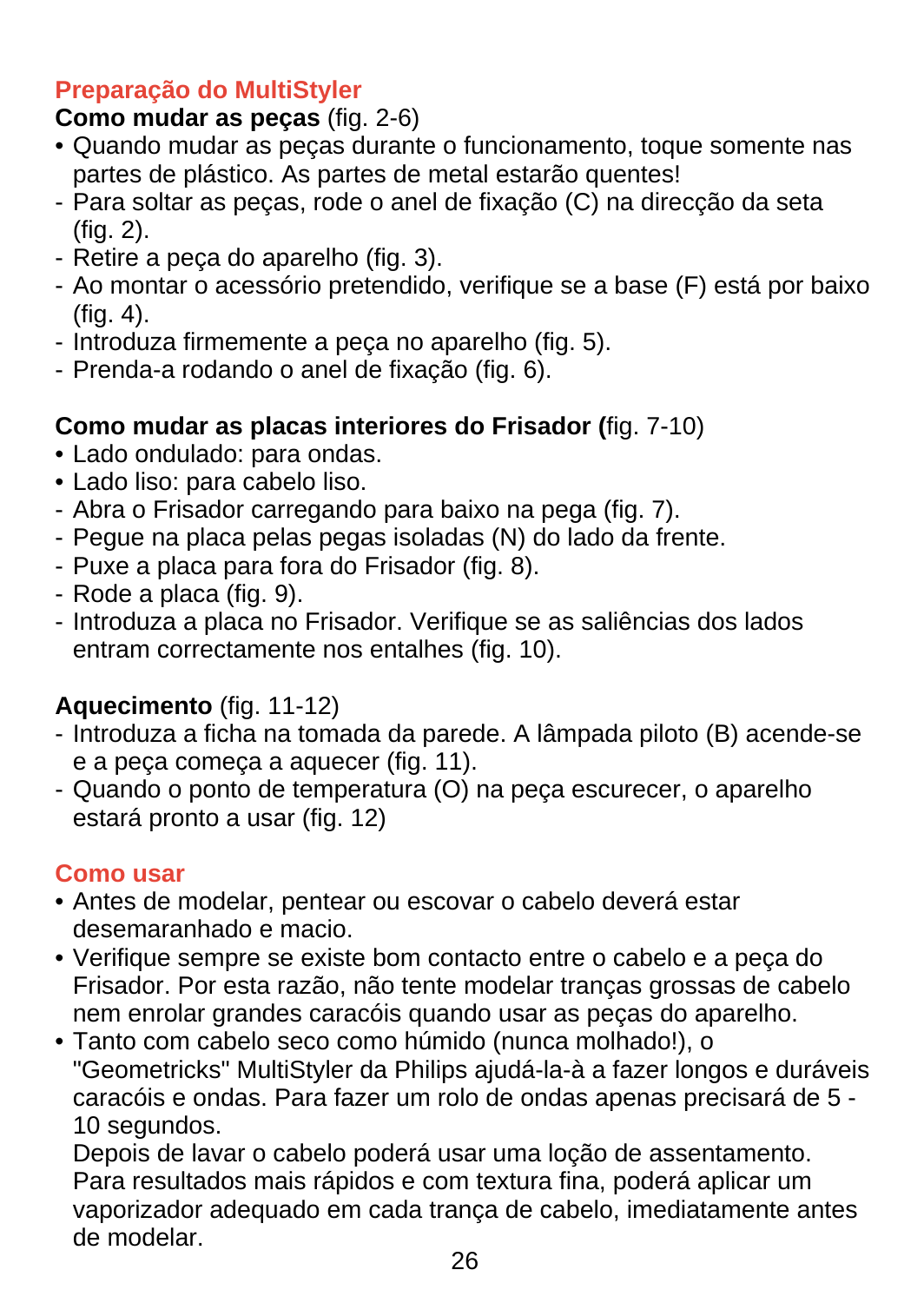### **Preparação do MultiStyler**

## **Como mudar as peças** (fig. 2-6)

- Quando mudar as peças durante o funcionamento, toque somente nas partes de plástico. As partes de metal estarão quentes!
- Para soltar as peças, rode o anel de fixação (C) na direcção da seta (fig. 2).
- Retire a peça do aparelho (fig. 3).
- Ao montar o acessório pretendido, verifique se a base (F) está por baixo (fig. 4).
- Introduza firmemente a peça no aparelho (fig. 5).
- Prenda-a rodando o anel de fixação (fig. 6).

## **Como mudar as placas interiores do Frisador (**fig. 7-10)

- Lado ondulado: para ondas.
- Lado liso: para cabelo liso.
- Abra o Frisador carregando para baixo na pega (fig. 7).
- Pegue na placa pelas pegas isoladas (N) do lado da frente.
- Puxe a placa para fora do Frisador (fig. 8).
- Rode a placa (fig. 9).
- Introduza a placa no Frisador. Verifique se as saliências dos lados entram correctamente nos entalhes (fig. 10).

# **Aquecimento** (fig. 11-12)

- Introduza a ficha na tomada da parede. A lâmpada piloto (B) acende-se e a peça começa a aquecer (fig. 11).
- Quando o ponto de temperatura (O) na peça escurecer, o aparelho estará pronto a usar (fig. 12)

### **Como usar**

- Antes de modelar, pentear ou escovar o cabelo deverá estar desemaranhado e macio.
- Verifique sempre se existe bom contacto entre o cabelo e a peça do Frisador. Por esta razão, não tente modelar tranças grossas de cabelo nem enrolar grandes caracóis quando usar as peças do aparelho.
- Tanto com cabelo seco como húmido (nunca molhado!), o "Geometricks" MultiStyler da Philips ajudá-la-à a fazer longos e duráveis caracóis e ondas. Para fazer um rolo de ondas apenas precisará de 5 - 10 segundos.

Depois de lavar o cabelo poderá usar uma loção de assentamento. Para resultados mais rápidos e com textura fina, poderá aplicar um vaporizador adequado em cada trança de cabelo, imediatamente antes de modelar.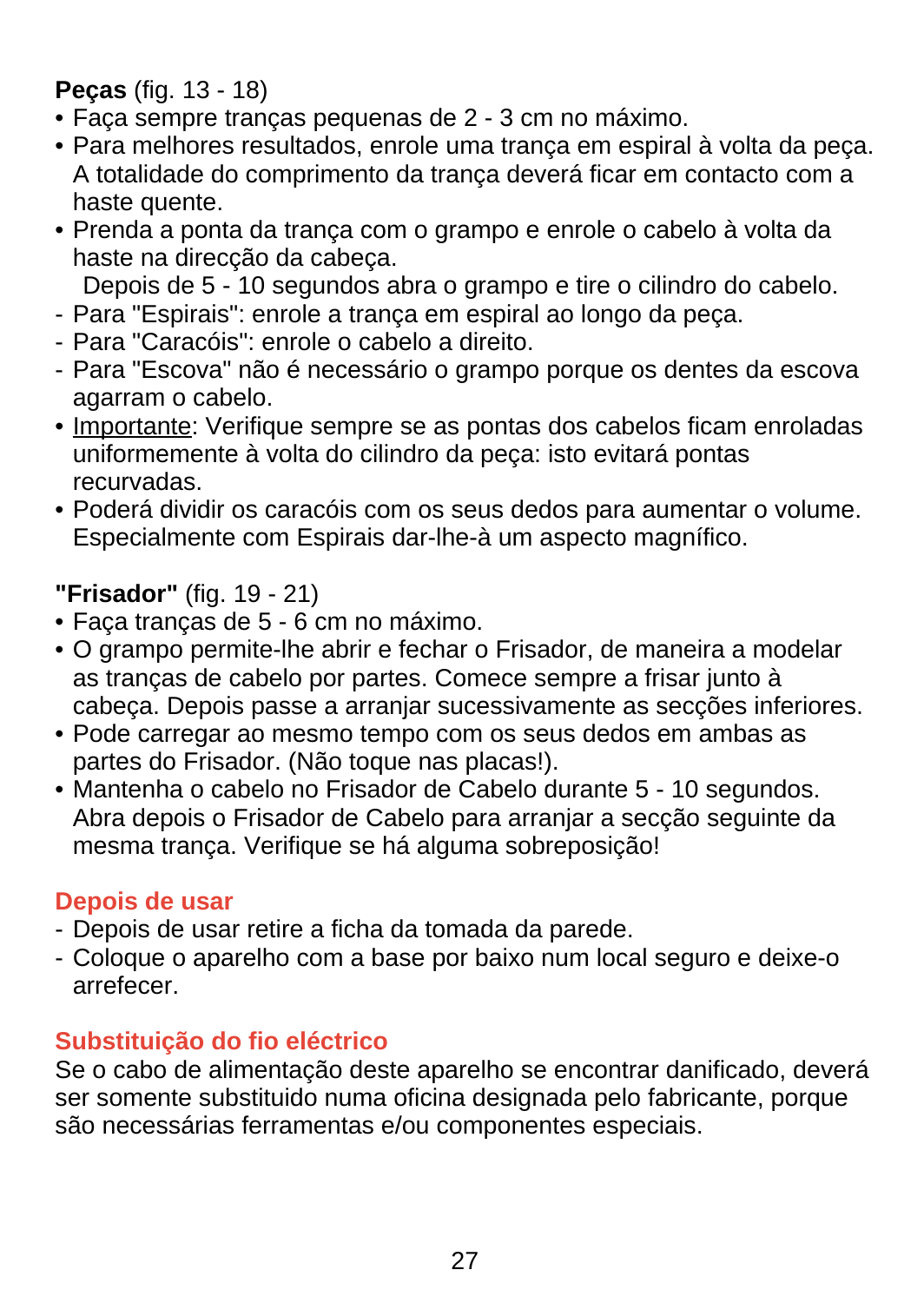#### **Peças** (fig. 13 - 18)

- Faça sempre tranças pequenas de 2 3 cm no máximo.
- Para melhores resultados, enrole uma trança em espiral à volta da peça. A totalidade do comprimento da trança deverá ficar em contacto com a haste quente.
- Prenda a ponta da trança com o grampo e enrole o cabelo à volta da haste na direcção da cabeça.

Depois de 5 - 10 segundos abra o grampo e tire o cilindro do cabelo.

- Para "Espirais": enrole a trança em espiral ao longo da peça.
- Para "Caracóis": enrole o cabelo a direito.
- Para "Escova" não é necessário o grampo porque os dentes da escova agarram o cabelo.
- Importante: Verifique sempre se as pontas dos cabelos ficam enroladas uniformemente à volta do cilindro da peça: isto evitará pontas recurvadas.
- Poderá dividir os caracóis com os seus dedos para aumentar o volume. Especialmente com Espirais dar-lhe-à um aspecto magnífico.

#### **"Frisador"** (fig. 19 - 21)

- Faça tranças de 5 6 cm no máximo.
- O grampo permite-lhe abrir e fechar o Frisador, de maneira a modelar as tranças de cabelo por partes. Comece sempre a frisar junto à cabeça. Depois passe a arranjar sucessivamente as secções inferiores.
- Pode carregar ao mesmo tempo com os seus dedos em ambas as partes do Frisador. (Não toque nas placas!).
- Mantenha o cabelo no Frisador de Cabelo durante 5 10 segundos. Abra depois o Frisador de Cabelo para arranjar a secção seguinte da mesma trança. Verifique se há alguma sobreposição!

#### **Depois de usar**

- Depois de usar retire a ficha da tomada da parede.
- Coloque o aparelho com a base por baixo num local seguro e deixe-o arrefecer.

### **Substituição do fio eléctrico**

Se o cabo de alimentação deste aparelho se encontrar danificado, deverá ser somente substituido numa oficina designada pelo fabricante, porque são necessárias ferramentas e/ou componentes especiais.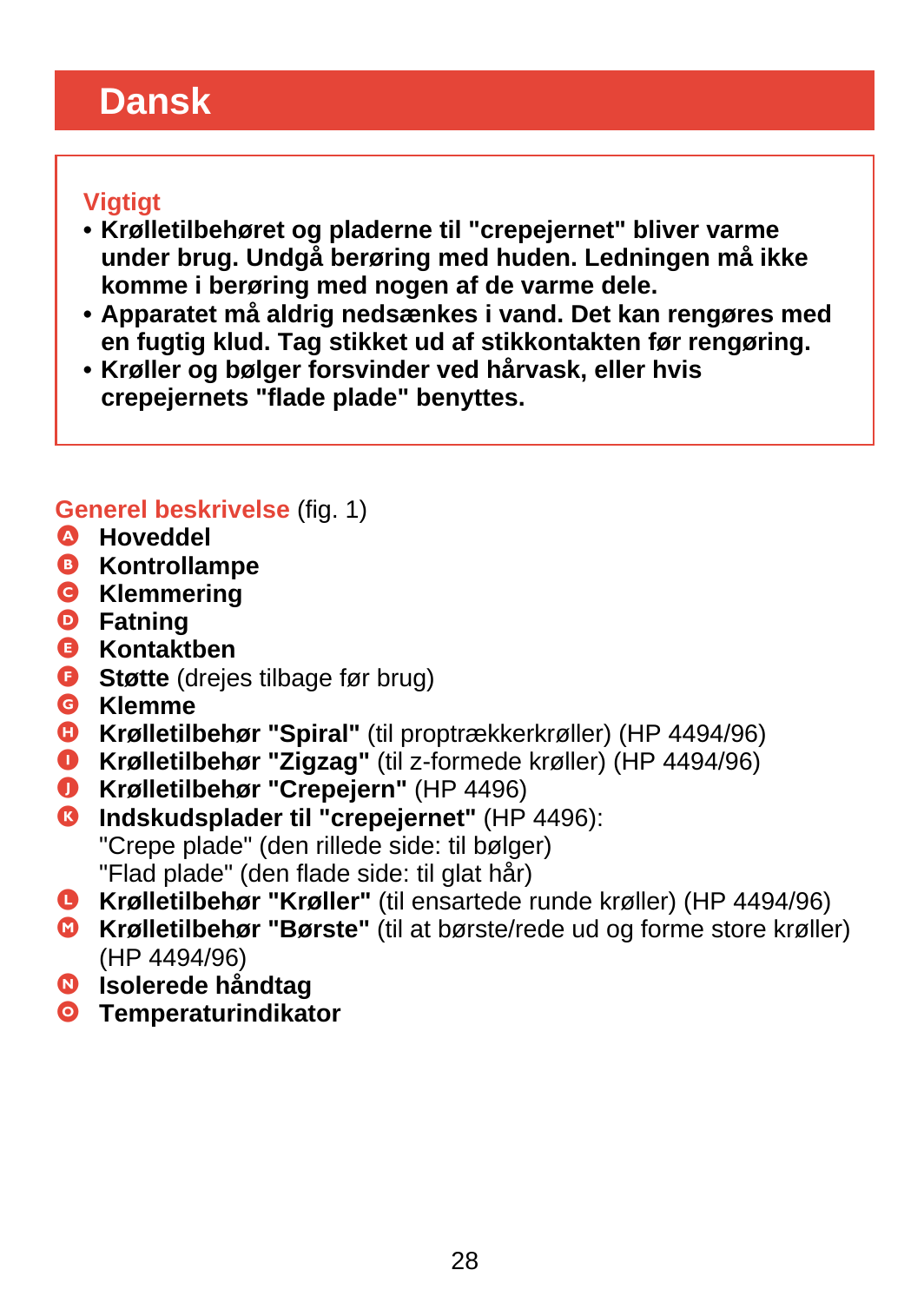# <span id="page-27-0"></span>**Dansk**

#### **Vigtigt**

- **Krølletilbehøret og pladerne til "crepejernet" bliver varme under brug. Undgå berøring med huden. Ledningen må ikke komme i berøring med nogen af de varme dele.**
- **Apparatet må aldrig nedsænkes i vand. Det kan rengøres med en fugtig klud. Tag stikket ud af stikkontakten før rengøring.**
- **Krøller og bølger forsvinder ved hårvask, eller hvis crepejernets "flade plade" benyttes.**

## **Generel beskrivelse** (fig. 1)

- A **Hoveddel**
- B **Kontrollampe**
- C **Klemmering**
- D **Fatning**
- E **Kontaktben**
- **B** Støtte (drejes tilbage før brug)
- G **Klemme**
- **G** Krølletilbehør "Spiral" (til proptrækkerkrøller) (HP 4494/96)
- I **Krølletilbehør "Zigzag"** (til z-formede krøller) (HP 4494/96)
- J **Krølletilbehør "Crepejern"** (HP 4496)
- **G** Indskudsplader til "crepejernet" (HP 4496): "Crepe plade" (den rillede side: til bølger) "Flad plade" (den flade side: til glat hår)
- L **Krølletilbehør "Krøller"** (til ensartede runde krøller) (HP 4494/96)
- M **Krølletilbehør "Børste"** (til at børste/rede ud og forme store krøller) (HP 4494/96)
- N **Isolerede håndtag**
- O **Temperaturindikator**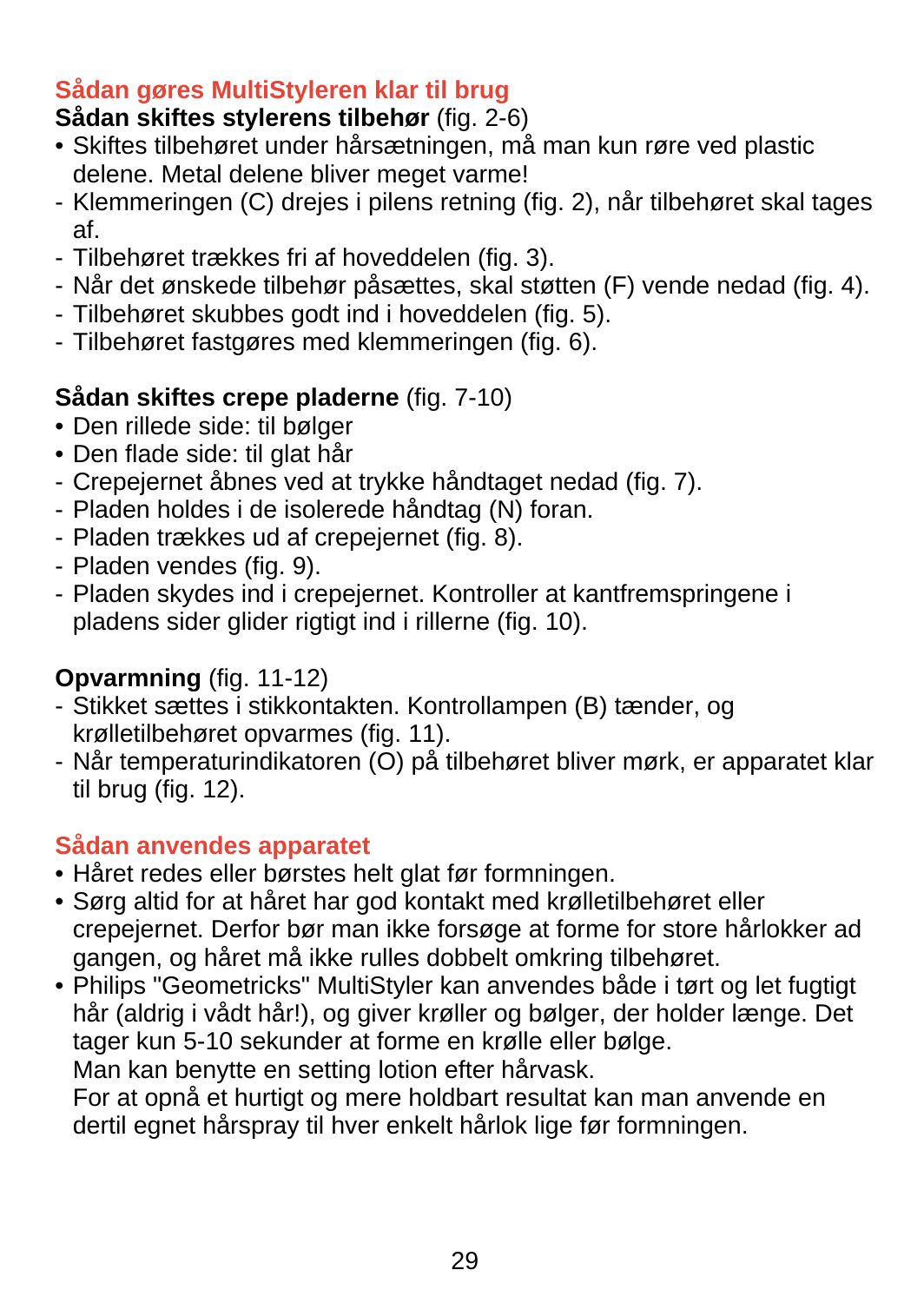### **Sådan gøres MultiStyleren klar til brug**

## **Sådan skiftes stylerens tilbehør** (fig. 2-6)

- Skiftes tilbehøret under hårsætningen, må man kun røre ved plastic delene. Metal delene bliver meget varme!
- Klemmeringen (C) drejes i pilens retning (fig. 2), når tilbehøret skal tages af.
- Tilbehøret trækkes fri af hoveddelen (fig. 3).
- Når det ønskede tilbehør påsættes, skal støtten (F) vende nedad (fig. 4).
- Tilbehøret skubbes godt ind i hoveddelen (fig. 5).
- Tilbehøret fastgøres med klemmeringen (fig. 6).

### **Sådan skiftes crepe pladerne** (fig. 7-10)

- Den rillede side: til bølger
- Den flade side: til glat hår
- Crepejernet åbnes ved at trykke håndtaget nedad (fig. 7).
- Pladen holdes i de isolerede håndtag (N) foran.
- Pladen trækkes ud af crepejernet (fig. 8).
- Pladen vendes (fig. 9).
- Pladen skydes ind i crepejernet. Kontroller at kantfremspringene i pladens sider glider rigtigt ind i rillerne (fig. 10).

## **Opvarmning** (fig. 11-12)

- Stikket sættes i stikkontakten. Kontrollampen (B) tænder, og krølletilbehøret opvarmes (fig. 11).
- Når temperaturindikatoren (O) på tilbehøret bliver mørk, er apparatet klar til brug (fig. 12).

### **Sådan anvendes apparatet**

- Håret redes eller børstes helt glat før formningen.
- Sørg altid for at håret har god kontakt med krølletilbehøret eller crepejernet. Derfor bør man ikke forsøge at forme for store hårlokker ad gangen, og håret må ikke rulles dobbelt omkring tilbehøret.
- Philips "Geometricks" MultiStyler kan anvendes både i tørt og let fugtigt hår (aldrig i vådt hår!), og giver krøller og bølger, der holder længe. Det tager kun 5-10 sekunder at forme en krølle eller bølge. Man kan benytte en setting lotion efter hårvask.

For at opnå et hurtigt og mere holdbart resultat kan man anvende en dertil egnet hårspray til hver enkelt hårlok lige før formningen.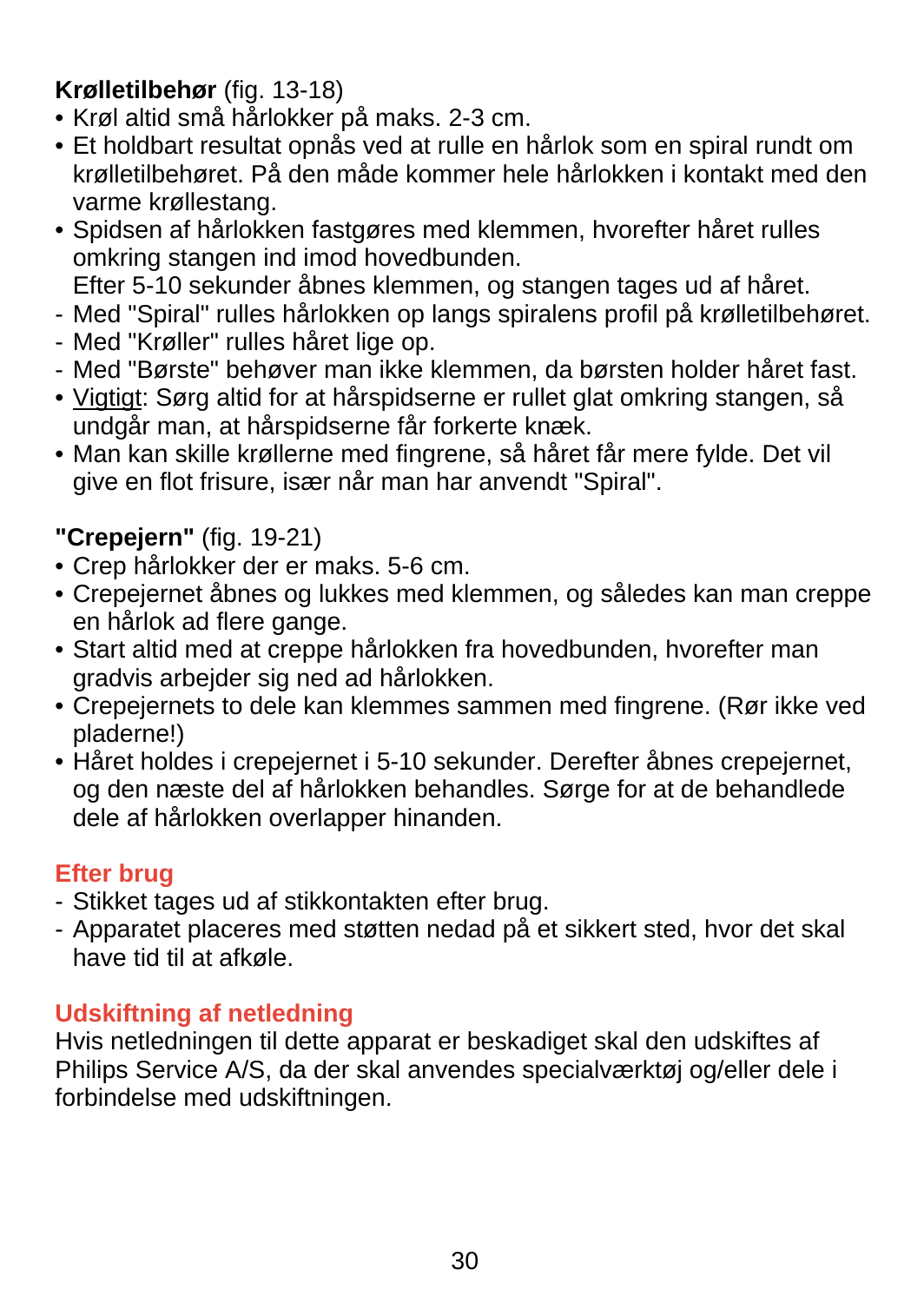## **Krølletilbehør** (fig. 13-18)

- Krøl altid små hårlokker på maks. 2-3 cm.
- Et holdbart resultat opnås ved at rulle en hårlok som en spiral rundt om krølletilbehøret. På den måde kommer hele hårlokken i kontakt med den varme krøllestang.
- Spidsen af hårlokken fastgøres med klemmen, hvorefter håret rulles omkring stangen ind imod hovedbunden. Efter 5-10 sekunder åbnes klemmen, og stangen tages ud af håret.
- Med "Spiral" rulles hårlokken op langs spiralens profil på krølletilbehøret.
- 
- Med "Krøller" rulles håret lige op.
- Med "Børste" behøver man ikke klemmen, da børsten holder håret fast.
- Vigtigt: Sørg altid for at hårspidserne er rullet glat omkring stangen, så undgår man, at hårspidserne får forkerte knæk.
- Man kan skille krøllerne med fingrene, så håret får mere fylde. Det vil give en flot frisure, især når man har anvendt "Spiral".

## **"Crepejern"** (fig. 19-21)

- Crep hårlokker der er maks. 5-6 cm.
- Crepejernet åbnes og lukkes med klemmen, og således kan man creppe en hårlok ad flere gange.
- Start altid med at creppe hårlokken fra hovedbunden, hvorefter man gradvis arbejder sig ned ad hårlokken.
- Crepejernets to dele kan klemmes sammen med fingrene. (Rør ikke ved pladerne!)
- Håret holdes i crepejernet i 5-10 sekunder. Derefter åbnes crepejernet, og den næste del af hårlokken behandles. Sørge for at de behandlede dele af hårlokken overlapper hinanden.

## **Efter brug**

- Stikket tages ud af stikkontakten efter brug.
- Apparatet placeres med støtten nedad på et sikkert sted, hvor det skal have tid til at afkøle.

## **Udskiftning af netledning**

Hvis netledningen til dette apparat er beskadiget skal den udskiftes af Philips Service A/S, da der skal anvendes specialværktøj og/eller dele i forbindelse med udskiftningen.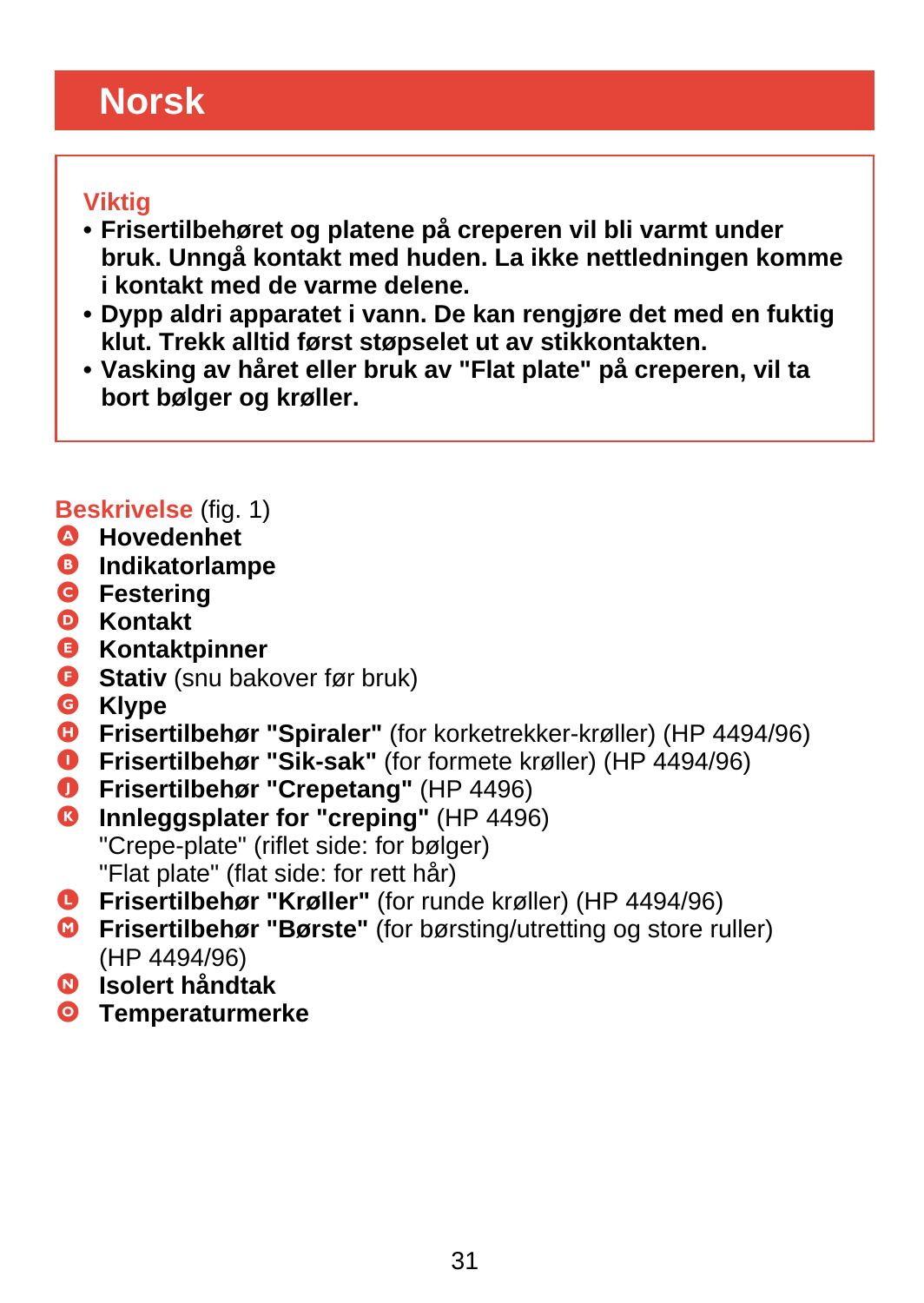# <span id="page-30-0"></span>**Norsk**

#### **Viktig**

- **Frisertilbehøret og platene på creperen vil bli varmt under bruk. Unngå kontakt med huden. La ikke nettledningen komme i kontakt med de varme delene.**
- **Dypp aldri apparatet i vann. De kan rengjøre det med en fuktig klut. Trekk alltid først støpselet ut av stikkontakten.**
- **Vasking av håret eller bruk av "Flat plate" på creperen, vil ta bort bølger og krøller.**

## **Beskrivelse** (fig. 1)

- A **Hovedenhet**
- B **Indikatorlampe**
- **G** Festering
- D **Kontakt**
- E **Kontaktpinner**
- **G** Stativ (snu bakover før bruk)
- G **Klype**
- **G** Frisertilbehør "Spiraler" (for korketrekker-krøller) (HP 4494/96)
- **O** Frisertilbehør "Sik-sak" (for formete krøller) (HP 4494/96)
- J **Frisertilbehør "Crepetang"** (HP 4496)
- **C** Innleggsplater for "creping" (HP 4496) "Crepe-plate" (riflet side: for bølger) "Flat plate" (flat side: for rett hår)
- L **Frisertilbehør "Krøller"** (for runde krøller) (HP 4494/96)
- M **Frisertilbehør "Børste"** (for børsting/utretting og store ruller) (HP 4494/96)
- N **Isolert håndtak**
- O **Temperaturmerke**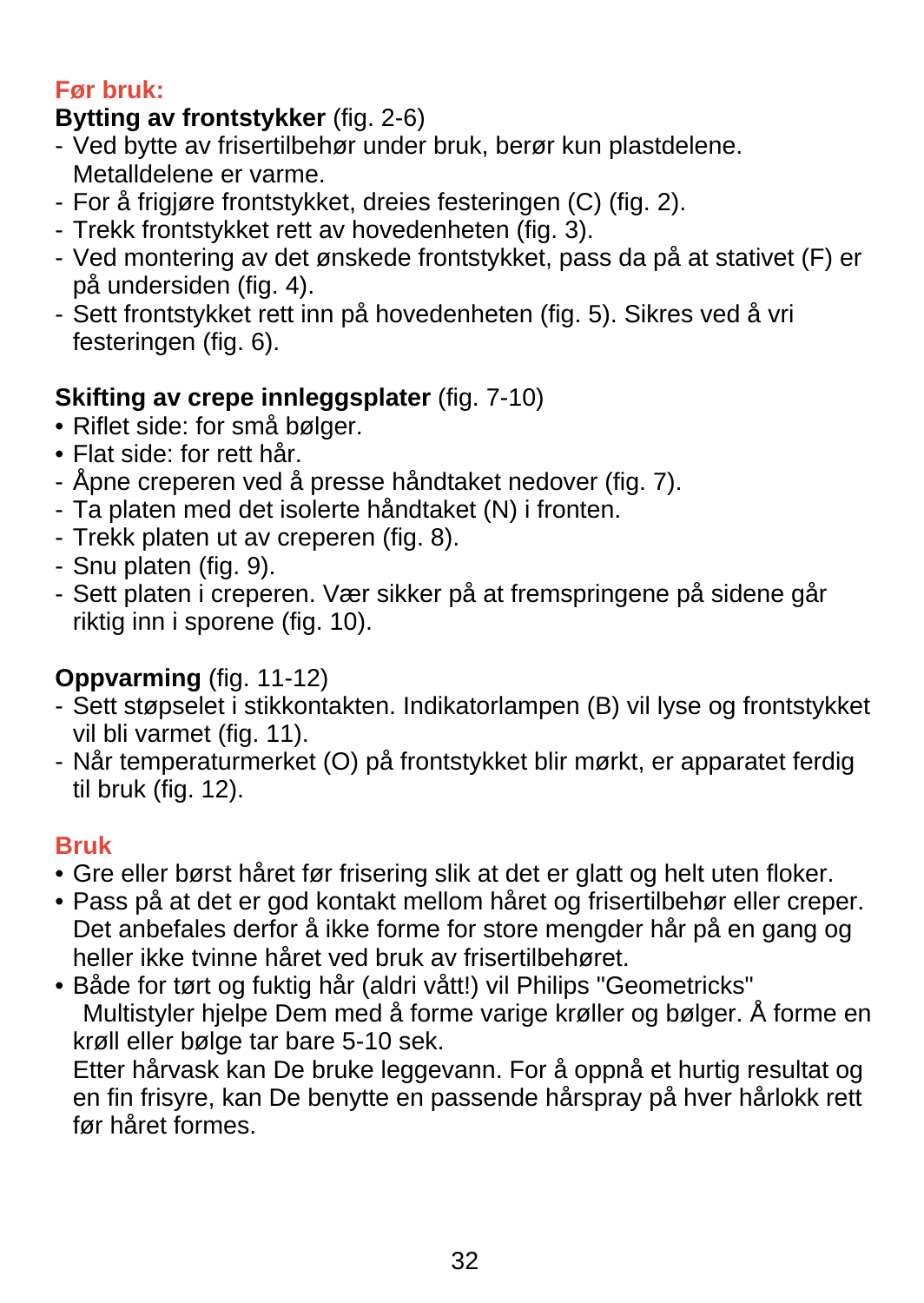## **Før bruk:**

## **Bytting av frontstykker** (fig. 2-6)

- Ved bytte av frisertilbehør under bruk, berør kun plastdelene. Metalldelene er varme.
- For å frigjøre frontstykket, dreies festeringen (C) (fig. 2).
- Trekk frontstykket rett av hovedenheten (fig. 3).
- Ved montering av det ønskede frontstykket, pass da på at stativet (F) er på undersiden (fig. 4).
- Sett frontstykket rett inn på hovedenheten (fig. 5). Sikres ved å vri festeringen (fig. 6).

## **Skifting av crepe innleggsplater** (fig. 7-10)

- Riflet side: for små bølger.
- Flat side: for rett hår.
- Åpne creperen ved å presse håndtaket nedover (fig. 7).
- Ta platen med det isolerte håndtaket (N) i fronten.
- Trekk platen ut av creperen (fig. 8).
- Snu platen (fig. 9).
- Sett platen i creperen. Vær sikker på at fremspringene på sidene går riktig inn i sporene (fig. 10).

# **Oppvarming** (fig. 11-12)

- Sett støpselet i stikkontakten. Indikatorlampen (B) vil lyse og frontstykket vil bli varmet (fig. 11).
- Når temperaturmerket (O) på frontstykket blir mørkt, er apparatet ferdig til bruk (fig. 12).

# **Bruk**

- Gre eller børst håret før frisering slik at det er glatt og helt uten floker.
- Pass på at det er god kontakt mellom håret og frisertilbehør eller creper. Det anbefales derfor å ikke forme for store mengder hår på en gang og heller ikke tvinne håret ved bruk av frisertilbehøret.
- Både for tørt og fuktig hår (aldri vått!) vil Philips "Geometricks" Multistyler hjelpe Dem med å forme varige krøller og bølger. Å forme en krøll eller bølge tar bare 5-10 sek.

Etter hårvask kan De bruke leggevann. For å oppnå et hurtig resultat og en fin frisyre, kan De benytte en passende hårspray på hver hårlokk rett før håret formes.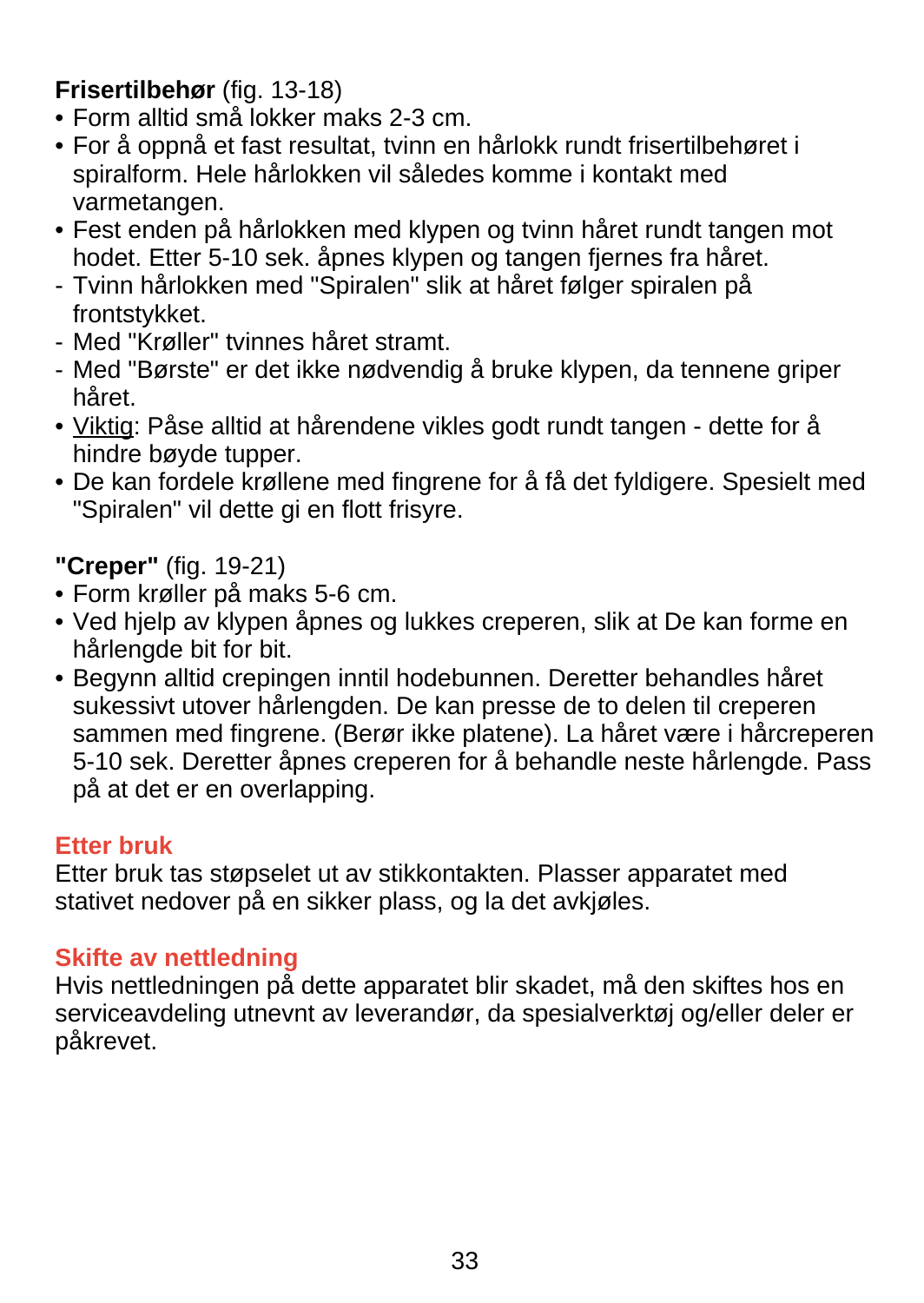## **Frisertilbehør** (fig. 13-18)

- Form alltid små lokker maks 2-3 cm.
- For å oppnå et fast resultat, tvinn en hårlokk rundt frisertilbehøret i spiralform. Hele hårlokken vil således komme i kontakt med varmetangen.
- Fest enden på hårlokken med klypen og tvinn håret rundt tangen mot hodet. Etter 5-10 sek. åpnes klypen og tangen fjernes fra håret.
- Tvinn hårlokken med "Spiralen" slik at håret følger spiralen på frontstykket.
- Med "Krøller" tvinnes håret stramt.
- Med "Børste" er det ikke nødvendig å bruke klypen, da tennene griper håret.
- Viktig: Påse alltid at hårendene vikles godt rundt tangen dette for å hindre bøyde tupper.
- De kan fordele krøllene med fingrene for å få det fyldigere. Spesielt med "Spiralen" vil dette gi en flott frisyre.
- **"Creper"** (fig. 19-21)
- Form krøller på maks 5-6 cm.
- Ved hjelp av klypen åpnes og lukkes creperen, slik at De kan forme en hårlengde bit for bit.
- Begynn alltid crepingen inntil hodebunnen. Deretter behandles håret sukessivt utover hårlengden. De kan presse de to delen til creperen sammen med fingrene. (Berør ikke platene). La håret være i hårcreperen 5-10 sek. Deretter åpnes creperen for å behandle neste hårlengde. Pass på at det er en overlapping.

### **Etter bruk**

Etter bruk tas støpselet ut av stikkontakten. Plasser apparatet med stativet nedover på en sikker plass, og la det avkjøles.

### **Skifte av nettledning**

Hvis nettledningen på dette apparatet blir skadet, må den skiftes hos en serviceavdeling utnevnt av leverandør, da spesialverktøj og/eller deler er påkrevet.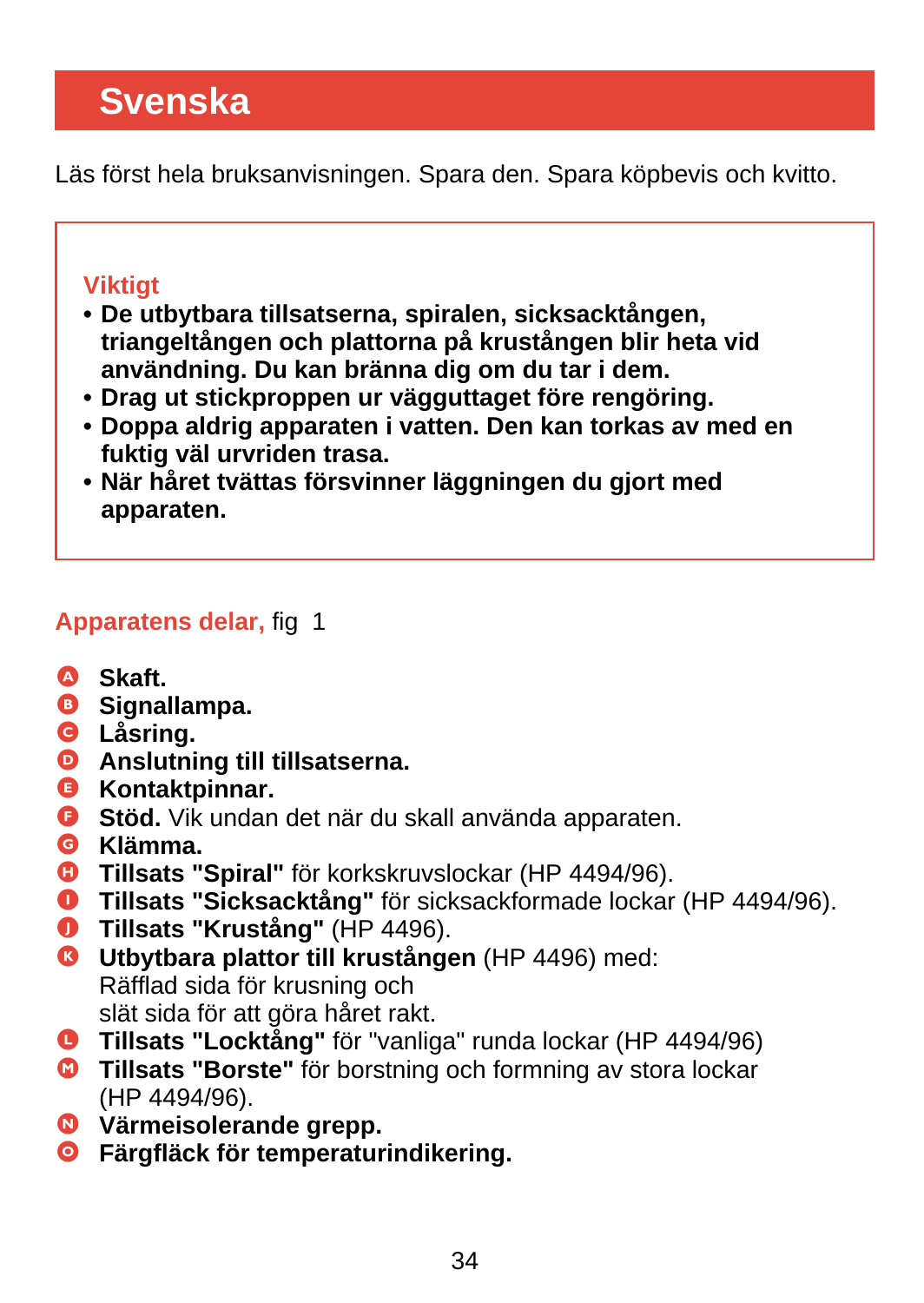# <span id="page-33-0"></span>**Svenska**

Läs först hela bruksanvisningen. Spara den. Spara köpbevis och kvitto.

## **Viktigt**

- **De utbytbara tillsatserna, spiralen, sicksacktången, triangeltången och plattorna på krustången blir heta vid användning. Du kan bränna dig om du tar i dem.**
- **Drag ut stickproppen ur vägguttaget före rengöring.**
- **Doppa aldrig apparaten i vatten. Den kan torkas av med en fuktig väl urvriden trasa.**
- **När håret tvättas försvinner läggningen du gjort med apparaten.**

## **Apparatens delar,** fig 1

- A **Skaft.**
- **B** Signallampa.
- C **Låsring.**
- D **Anslutning till tillsatserna.**
- E **Kontaktpinnar.**
- **G** Stöd. Vik undan det när du skall använda apparaten.
- G **Klämma.**
- **G** Tillsats "Spiral" för korkskruvslockar (HP 4494/96).
- **O** Tillsats "Sicksacktång" för sicksackformade lockar (HP 4494/96).
- J **Tillsats "Krustång"** (HP 4496).
- **G** Utbytbara plattor till krustången (HP 4496) med: Räfflad sida för krusning och slät sida för att göra håret rakt.
- L **Tillsats "Locktång"** för "vanliga" runda lockar (HP 4494/96)
- M **Tillsats "Borste"** för borstning och formning av stora lockar (HP 4494/96).
- N **Värmeisolerande grepp.**
- O **Färgfläck för temperaturindikering.**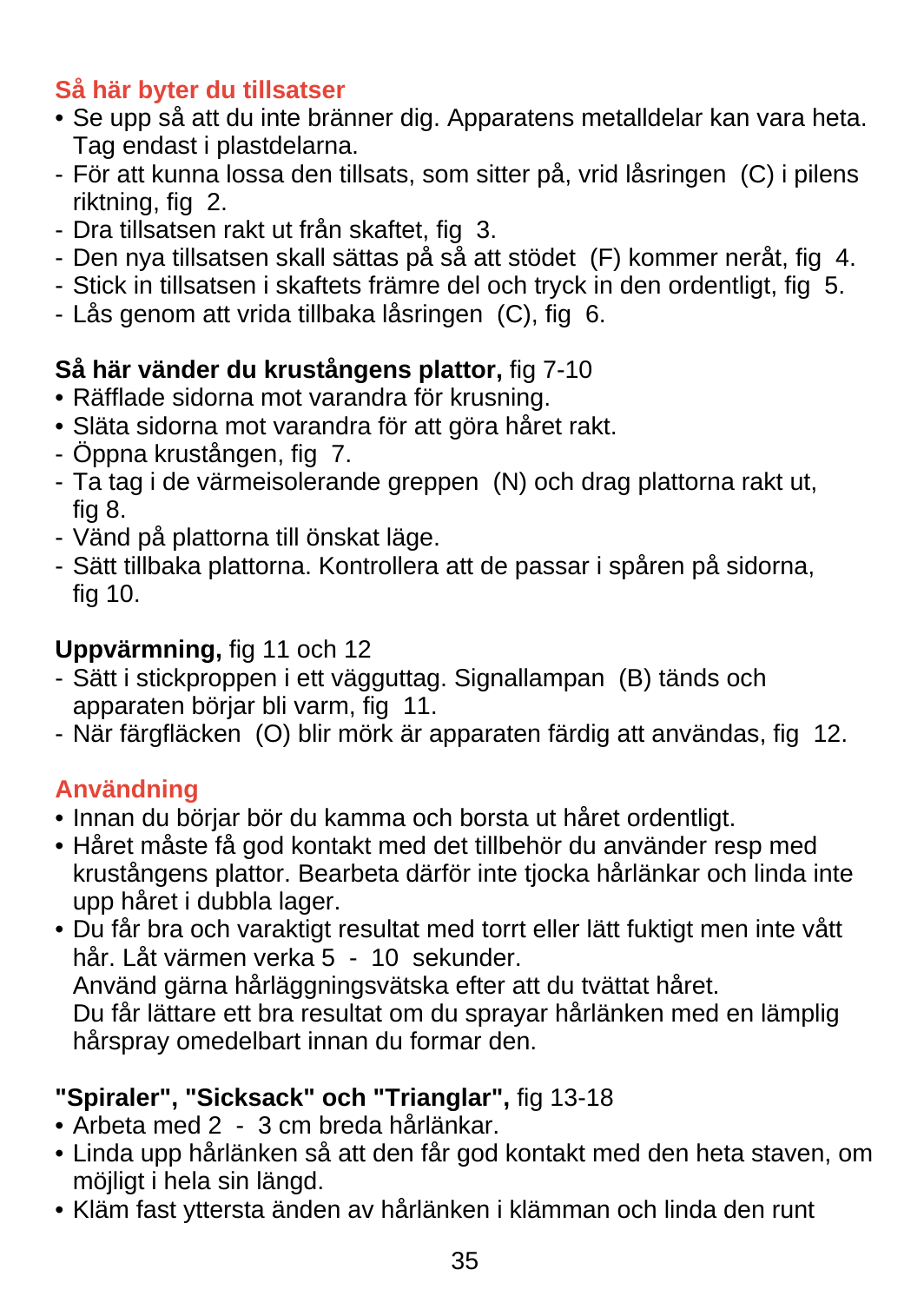## **Så här byter du tillsatser**

- Se upp så att du inte bränner dig. Apparatens metalldelar kan vara heta. Tag endast i plastdelarna.
- För att kunna lossa den tillsats, som sitter på, vrid låsringen (C) i pilens riktning, fig 2.
- Dra tillsatsen rakt ut från skaftet, fig 3.
- Den nya tillsatsen skall sättas på så att stödet (F) kommer neråt, fig 4.
- Stick in tillsatsen i skaftets främre del och tryck in den ordentligt, fig 5.
- Lås genom att vrida tillbaka låsringen (C), fig 6.

## **Så här vänder du krustångens plattor,** fig 7-10

- Räfflade sidorna mot varandra för krusning.
- Släta sidorna mot varandra för att göra håret rakt.
- Öppna krustången, fig 7.
- Ta tag i de värmeisolerande greppen (N) och drag plattorna rakt ut, fig 8.
- Vänd på plattorna till önskat läge.
- Sätt tillbaka plattorna. Kontrollera att de passar i spåren på sidorna, fig 10.

## **Uppvärmning,** fig 11 och 12

- Sätt i stickproppen i ett vägguttag. Signallampan (B) tänds och apparaten börjar bli varm, fig 11.
- När färgfläcken (O) blir mörk är apparaten färdig att användas, fig 12.

# **Användning**

- Innan du börjar bör du kamma och borsta ut håret ordentligt.
- Håret måste få god kontakt med det tillbehör du använder resp med krustångens plattor. Bearbeta därför inte tjocka hårlänkar och linda inte upp håret i dubbla lager.
- Du får bra och varaktigt resultat med torrt eller lätt fuktigt men inte vått hår. Låt värmen verka 5 - 10 sekunder. Använd gärna hårläggningsvätska efter att du tvättat håret. Du får lättare ett bra resultat om du sprayar hårlänken med en lämplig hårspray omedelbart innan du formar den.
- **"Spiraler", "Sicksack" och "Trianglar",** fig 13-18
- Arbeta med 2 3 cm breda hårlänkar.
- Linda upp hårlänken så att den får god kontakt med den heta staven, om möjligt i hela sin längd.
- Kläm fast yttersta änden av hårlänken i klämman och linda den runt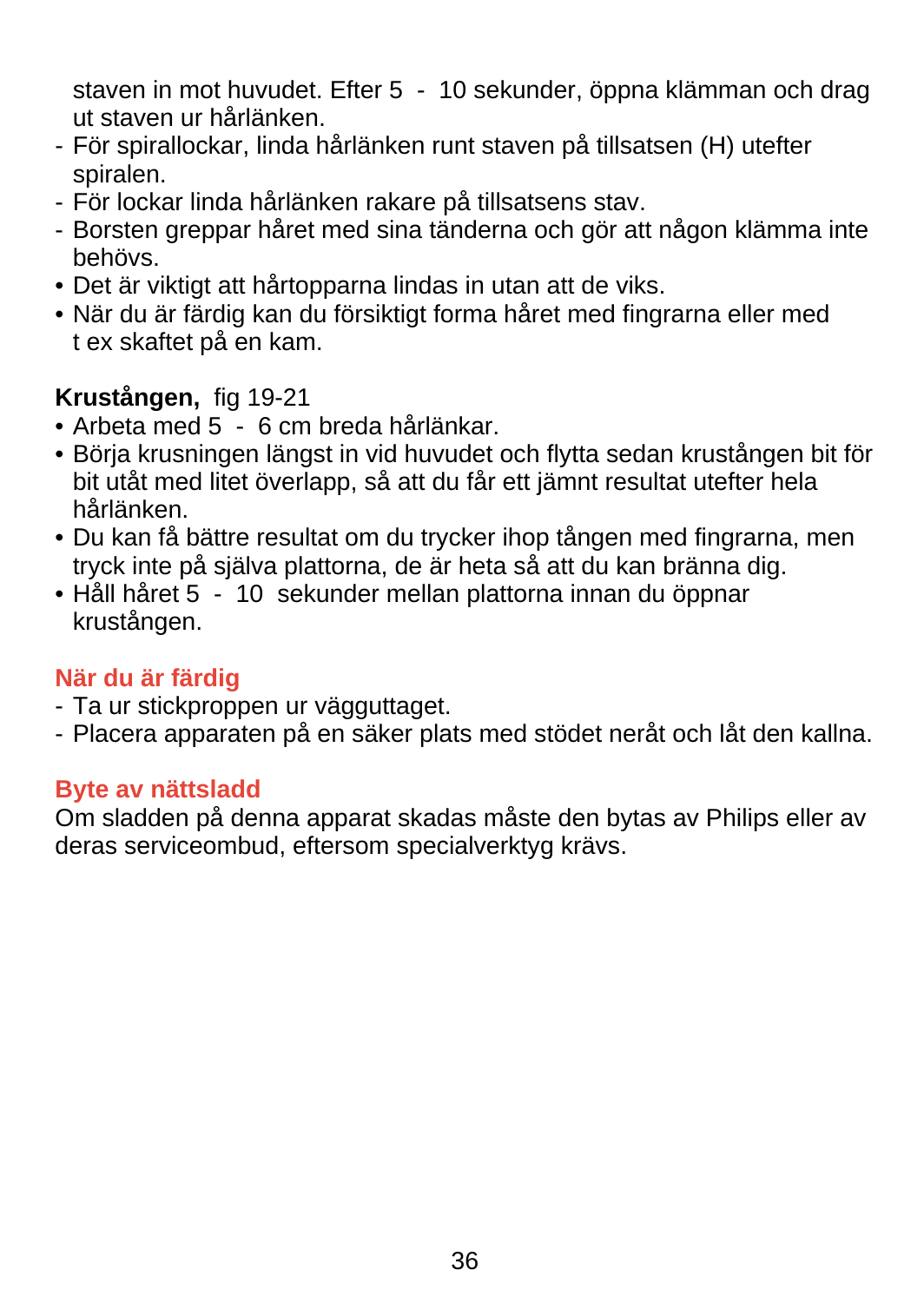staven in mot huvudet. Efter 5 - 10 sekunder, öppna klämman och drag ut staven ur hårlänken.

- För spirallockar, linda hårlänken runt staven på tillsatsen (H) utefter spiralen.
- För lockar linda hårlänken rakare på tillsatsens stav.
- Borsten greppar håret med sina tänderna och gör att någon klämma inte behövs.
- Det är viktigt att hårtopparna lindas in utan att de viks.
- När du är färdig kan du försiktigt forma håret med fingrarna eller med t ex skaftet på en kam.

## **Krustången,** fig 19-21

- Arbeta med 5 6 cm breda hårlänkar.
- Börja krusningen längst in vid huvudet och flytta sedan krustången bit för bit utåt med litet överlapp, så att du får ett jämnt resultat utefter hela hårlänken.
- Du kan få bättre resultat om du trycker ihop tången med fingrarna, men tryck inte på själva plattorna, de är heta så att du kan bränna dig.
- Håll håret 5 10 sekunder mellan plattorna innan du öppnar krustången.

### **När du är färdig**

- Ta ur stickproppen ur vägguttaget.
- Placera apparaten på en säker plats med stödet neråt och låt den kallna.

### **Byte av nättsladd**

Om sladden på denna apparat skadas måste den bytas av Philips eller av deras serviceombud, eftersom specialverktyg krävs.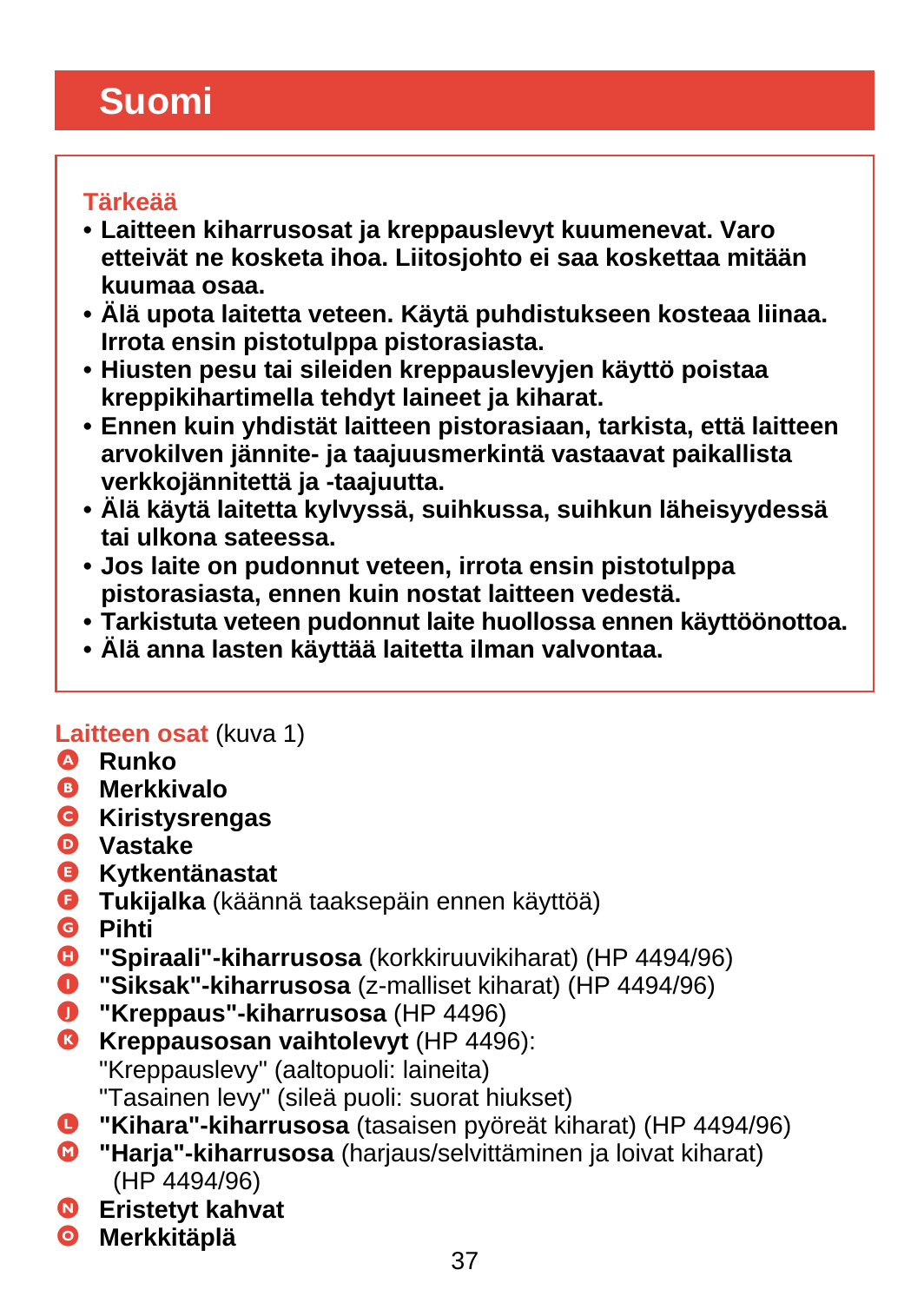# <span id="page-36-0"></span>**Suomi**

## **Tärkeää**

- **Laitteen kiharrusosat ja kreppauslevyt kuumenevat. Varo etteivät ne kosketa ihoa. Liitosjohto ei saa koskettaa mitään kuumaa osaa.**
- **Älä upota laitetta veteen. Käytä puhdistukseen kosteaa liinaa. Irrota ensin pistotulppa pistorasiasta.**
- **Hiusten pesu tai sileiden kreppauslevyjen käyttö poistaa kreppikihartimella tehdyt laineet ja kiharat.**
- **Ennen kuin yhdistät laitteen pistorasiaan, tarkista, että laitteen arvokilven jännite- ja taajuusmerkintä vastaavat paikallista verkkojännitettä ja -taajuutta.**
- **Älä käytä laitetta kylvyssä, suihkussa, suihkun läheisyydessä tai ulkona sateessa.**
- **Jos laite on pudonnut veteen, irrota ensin pistotulppa pistorasiasta, ennen kuin nostat laitteen vedestä.**
- **Tarkistuta veteen pudonnut laite huollossa ennen käyttöönottoa.**
- **Älä anna lasten käyttää laitetta ilman valvontaa.**

### **Laitteen osat** (kuva 1)

- A **Runko**
- B **Merkkivalo**
- C **Kiristysrengas**
- D **Vastake**
- E **Kytkentänastat**
- **G** Tukijalka (käännä taaksepäin ennen käyttöä)<br>**G** Pihti
- G **Pihti**
- **D** "Spiraali"-kiharrusosa (korkkiruuvikiharat) (HP 4494/96)<br>**D** "Siksak"-kiharrusosa (z-malliset kiharat) (HP 4494/96)
- **0** "Siksak"-kiharrusosa (z-malliset kiharat) (HP 4494/96)<br>**0** "Krennaus"-kiharrusosa (HP 4496)
- J **"Kreppaus"-kiharrusosa** (HP 4496)
- **G** Kreppausosan vaihtolevyt (HP 4496): "Kreppauslevy" (aaltopuoli: laineita) "Tasainen levy" (sileä puoli: suorat hiukset)
- L **"Kihara"-kiharrusosa** (tasaisen pyöreät kiharat) (HP 4494/96)
- M **"Harja"-kiharrusosa** (harjaus/selvittäminen ja loivat kiharat) (HP 4494/96)
- N **Eristetyt kahvat**
- O **Merkkitäplä**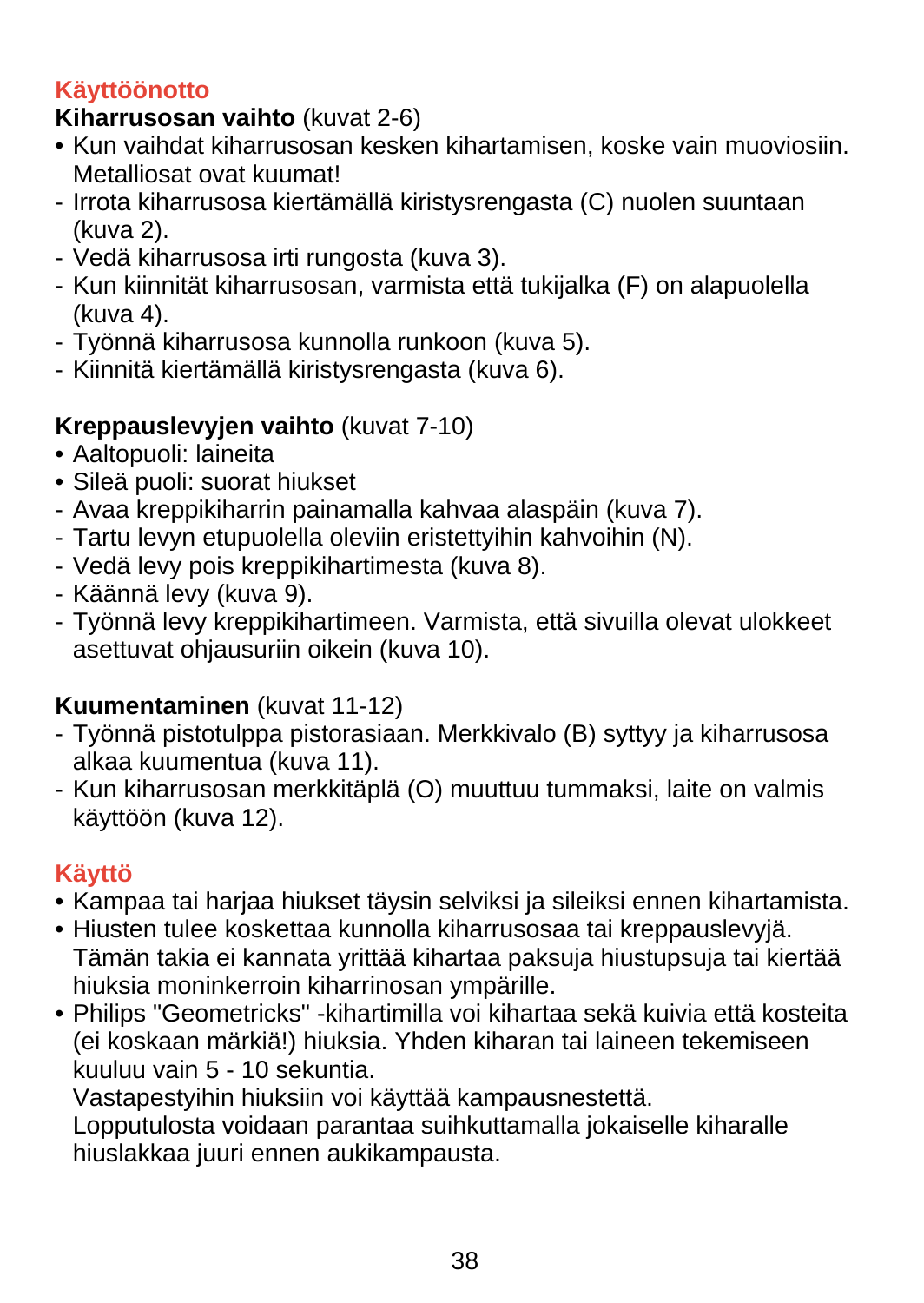## **Käyttöönotto**

## **Kiharrusosan vaihto** (kuvat 2-6)

- Kun vaihdat kiharrusosan kesken kihartamisen, koske vain muoviosiin. Metalliosat ovat kuumat!
- Irrota kiharrusosa kiertämällä kiristysrengasta (C) nuolen suuntaan (kuva 2).
- Vedä kiharrusosa irti rungosta (kuva 3).
- Kun kiinnität kiharrusosan, varmista että tukijalka (F) on alapuolella (kuva 4).
- Työnnä kiharrusosa kunnolla runkoon (kuva 5).
- Kiinnitä kiertämällä kiristysrengasta (kuva 6).

# **Kreppauslevyjen vaihto** (kuvat 7-10)

- Aaltopuoli: laineita
- Sileä puoli: suorat hiukset
- Avaa kreppikiharrin painamalla kahvaa alaspäin (kuva 7).
- Tartu levyn etupuolella oleviin eristettyihin kahvoihin (N).
- Vedä levy pois kreppikihartimesta (kuva 8).
- Käännä levy (kuva 9).
- Työnnä levy kreppikihartimeen. Varmista, että sivuilla olevat ulokkeet asettuvat ohjausuriin oikein (kuva 10).

# **Kuumentaminen** (kuvat 11-12)

- Työnnä pistotulppa pistorasiaan. Merkkivalo (B) syttyy ja kiharrusosa alkaa kuumentua (kuva 11).
- Kun kiharrusosan merkkitäplä (O) muuttuu tummaksi, laite on valmis käyttöön (kuva 12).

# **Käyttö**

- Kampaa tai harjaa hiukset täysin selviksi ja sileiksi ennen kihartamista.
- Hiusten tulee koskettaa kunnolla kiharrusosaa tai kreppauslevyjä. Tämän takia ei kannata yrittää kihartaa paksuja hiustupsuja tai kiertää hiuksia moninkerroin kiharrinosan ympärille.
- Philips "Geometricks" -kihartimilla voi kihartaa sekä kuivia että kosteita (ei koskaan märkiä!) hiuksia. Yhden kiharan tai laineen tekemiseen kuuluu vain 5 - 10 sekuntia.

Vastapestyihin hiuksiin voi käyttää kampausnestettä.

Lopputulosta voidaan parantaa suihkuttamalla jokaiselle kiharalle hiuslakkaa juuri ennen aukikampausta.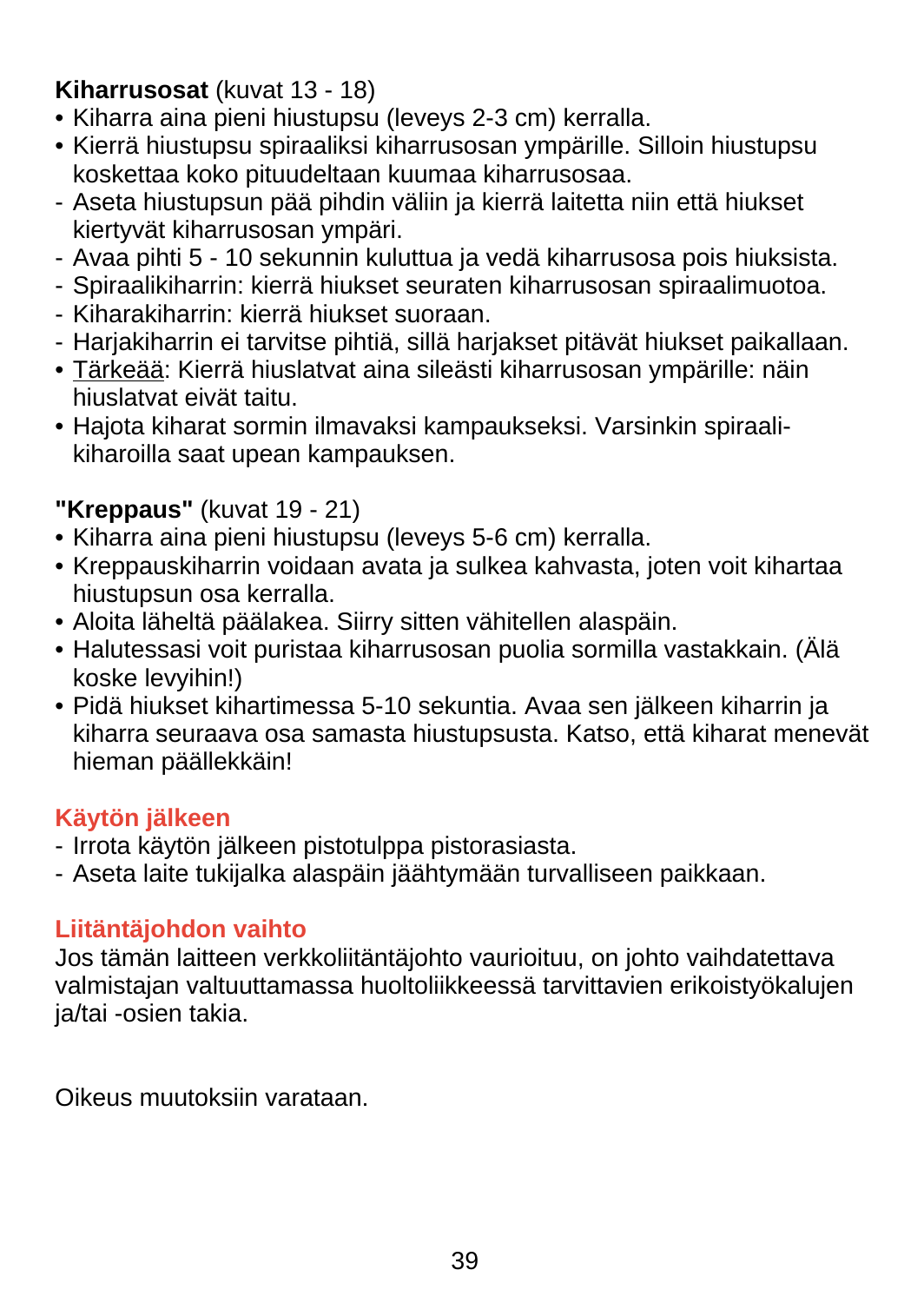## **Kiharrusosat** (kuvat 13 - 18)

- Kiharra aina pieni hiustupsu (leveys 2-3 cm) kerralla.
- Kierrä hiustupsu spiraaliksi kiharrusosan ympärille. Silloin hiustupsu koskettaa koko pituudeltaan kuumaa kiharrusosaa.
- Aseta hiustupsun pää pihdin väliin ja kierrä laitetta niin että hiukset kiertyvät kiharrusosan ympäri.
- Avaa pihti 5 10 sekunnin kuluttua ja vedä kiharrusosa pois hiuksista.
- Spiraalikiharrin: kierrä hiukset seuraten kiharrusosan spiraalimuotoa.
- Kiharakiharrin: kierrä hiukset suoraan.
- Harjakiharrin ei tarvitse pihtiä, sillä harjakset pitävät hiukset paikallaan.
- Tärkeää: Kierrä hiuslatvat aina sileästi kiharrusosan ympärille: näin hiuslatvat eivät taitu.
- Hajota kiharat sormin ilmavaksi kampaukseksi. Varsinkin spiraalikiharoilla saat upean kampauksen.

# **"Kreppaus"** (kuvat 19 - 21)

- Kiharra aina pieni hiustupsu (leveys 5-6 cm) kerralla.
- Kreppauskiharrin voidaan avata ja sulkea kahvasta, joten voit kihartaa hiustupsun osa kerralla.
- Aloita läheltä päälakea. Siirry sitten vähitellen alaspäin.
- Halutessasi voit puristaa kiharrusosan puolia sormilla vastakkain. (Älä koske levyihin!)
- Pidä hiukset kihartimessa 5-10 sekuntia. Avaa sen jälkeen kiharrin ja kiharra seuraava osa samasta hiustupsusta. Katso, että kiharat menevät hieman päällekkäin!

## **Käytön jälkeen**

- Irrota käytön jälkeen pistotulppa pistorasiasta.
- Aseta laite tukijalka alaspäin jäähtymään turvalliseen paikkaan.

## **Liitäntäjohdon vaihto**

Jos tämän laitteen verkkoliitäntäjohto vaurioituu, on johto vaihdatettava valmistajan valtuuttamassa huoltoliikkeessä tarvittavien erikoistyökalujen ja/tai -osien takia.

Oikeus muutoksiin varataan.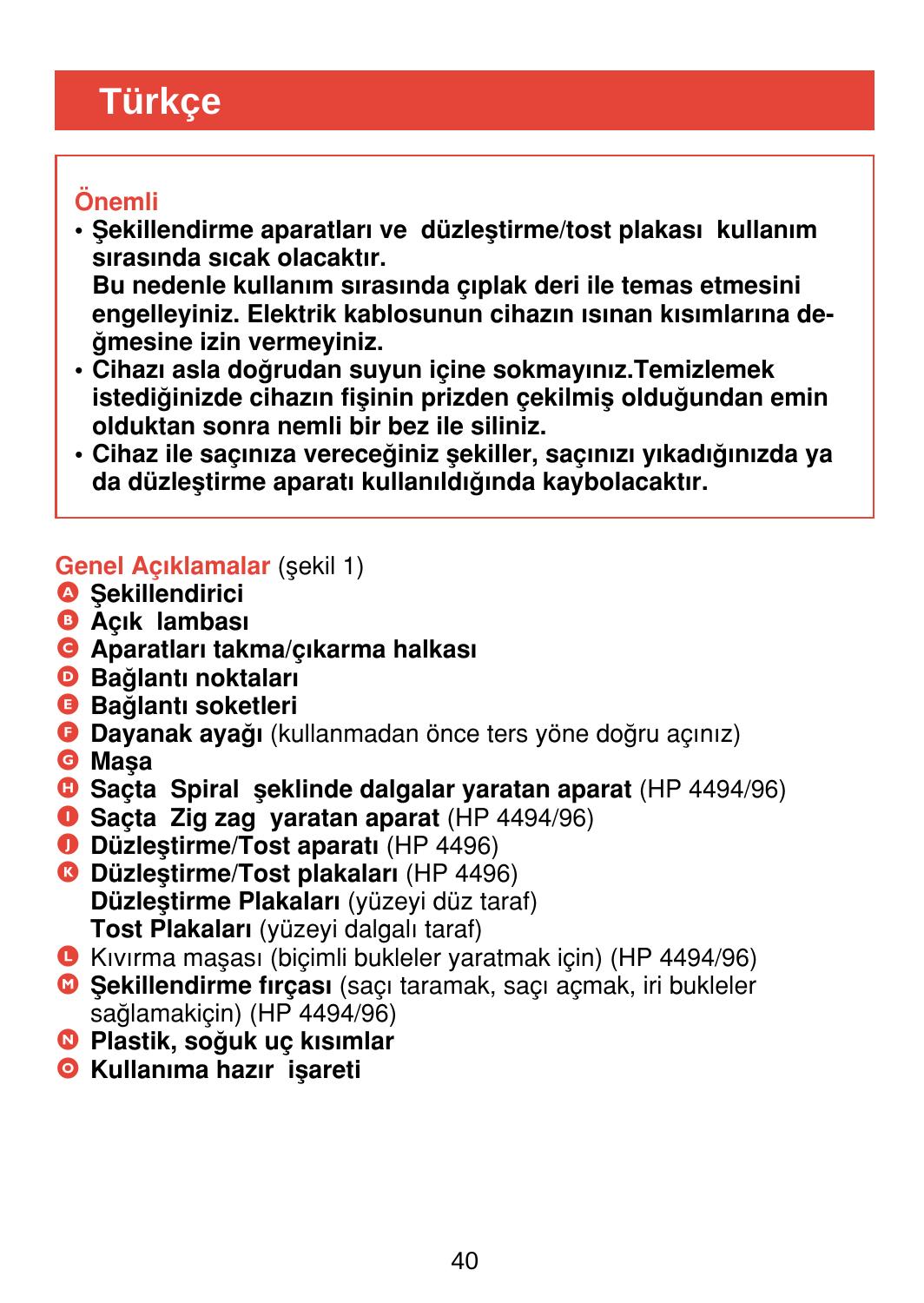# <span id="page-39-0"></span>**Türkçe**

# Önemli

- Sekillendirme aparatları ve düzlestirme/tost plakası kullanım sırasında sıcak olacaktır. Bu nedenle kullanım sırasında çıplak deri ile temas etmesini engelleyiniz. Elektrik kablosunun cihazın ısınan kısımlarına de-¤mesine izin vermeyiniz.
- Cihazı asla doğrudan suyun içine sokmayınız.Temizlemek istediğinizde cihazın fişinin prizden çekilmiş olduğundan emin olduktan sonra nemli bir bez ile siliniz.
- Cihaz ile saçınıza vereceğiniz sekiller, saçınızı yıkadığınızda ya da düzleştirme aparatı kullanıldığında kaybolacaktır.

### Genel Acıklamalar (sekil 1)

- **A** Sekillendirici
- **B** Acık lambası
- **G** Aparatları takma/çıkarma halkası
- **D** Bağlantı noktaları
- **B** Bağlantı soketleri
- **G** Dayanak ayağı (kullanmadan önce ters yöne doğru açınız)
- **G** Masa
- G Sacta Spiral seklinde dalgalar yaratan aparat (HP 4494/96)
- **O** Sacta Zig zag varatan aparat (HP 4494/96)
- **O** Düzlestirme/Tost aparatı (HP 4496)
- **G** Düzlestirme/Tost plakaları (HP 4496) Düzlestirme Plakaları (yüzeyi düz taraf) Tost Plakaları (yüzeyi dalgalı taraf)
- L K›v›rma maflas› (biçimli bukleler yaratmak için) (HP 4494/96)
- <sup>O</sup> Sekillendirme firçası (saçı taramak, saçı açmak, iri bukleler sağlamakiçin) (HP 4494/96)
- <sup>O</sup> Plastik, soğuk uç kısımlar
- **O** Kullanıma hazır isareti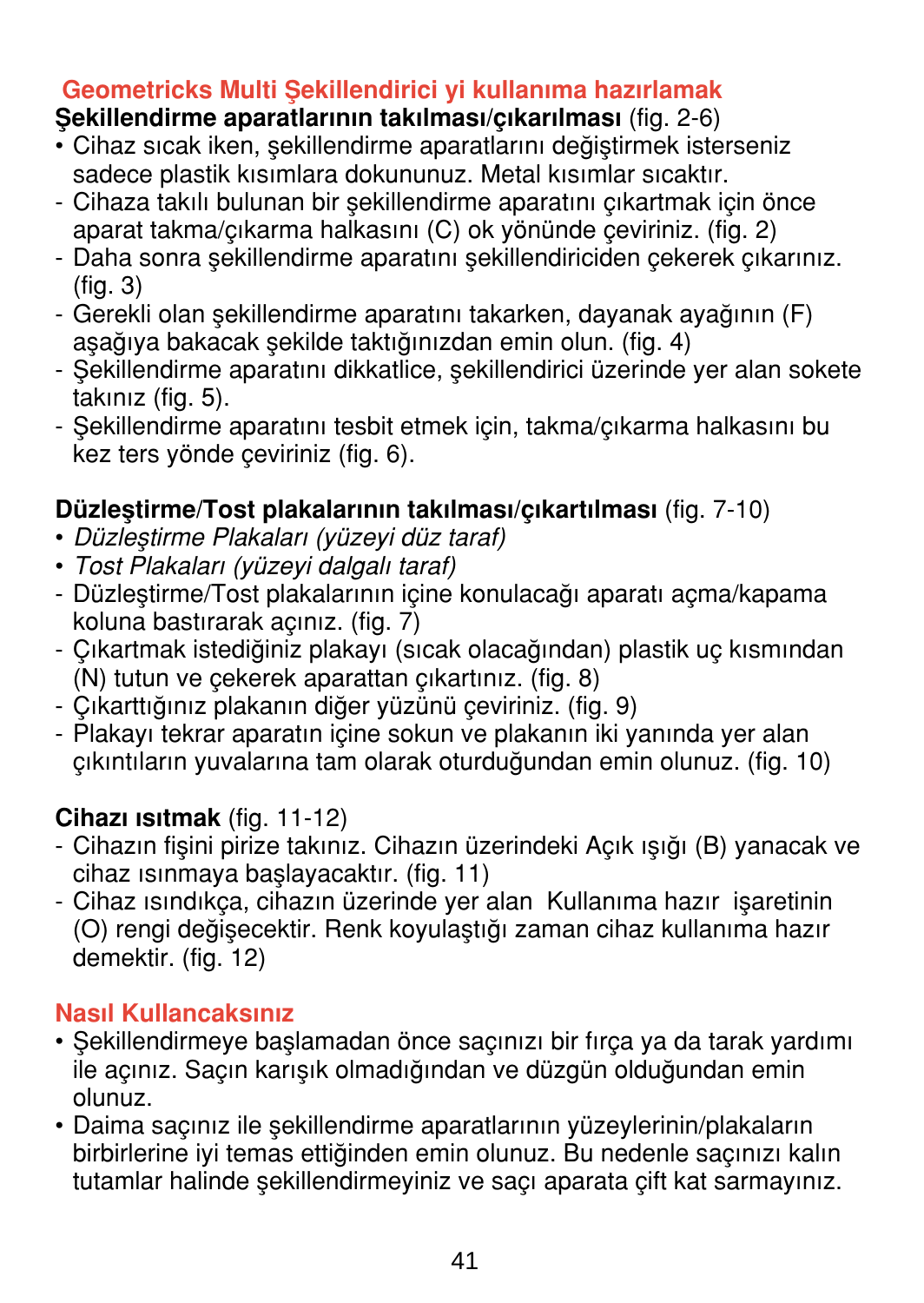## Geometricks Multi Sekillendirici vi kullanıma hazırlamak

## Sekillendirme aparatlarının takılması/çıkarılması (fig. 2-6)

- Cihaz sıcak iken, sekillendirme aparatlarını değiştirmek isterseniz sadece plastik kısımlara dokununuz. Metal kısımlar sıcaktır.
- Cihaza takılı bulunan bir sekillendirme aparatını çıkartmak için önce aparat takma/cıkarma halkasını (C) ok yönünde çeviriniz. (fig. 2)
- Daha sonra sekillendirme aparatını sekillendiriciden çekerek çıkarınız. (fig. 3)
- Gerekli olan sekillendirme aparatını takarken, dayanak ayağının (F) asağıya bakacak sekilde taktığınızdan emin olun. (fig. 4)
- Sekillendirme aparatını dikkatlice, sekillendirici üzerinde yer alan sokete takınız (fig. 5).
- Sekillendirme aparatını tesbit etmek için, takma/çıkarma halkasını bu kez ters yönde çeviriniz (fig. 6).

## Düzlestirme/Tost plakalarının takılması/çıkartılması (fig. 7-10)

- Düzlestirme Plakaları (yüzeyi düz taraf)
- Tost Plakaları (yüzeyi dalgalı taraf)
- Düzlestirme/Tost plakalarının içine konulacağı aparatı açma/kapama koluna bastırarak açınız. (fig. 7)
- Çıkartmak istediğiniz plakayı (sıcak olacağından) plastik uç kısmından  $(N)$  tutun ve cekerek aparattan cikartiniz. (fig. 8)
- Cıkarttığınız plakanın diğer vüzünü çeviriniz. (fig. 9)
- Plakayı tekrar aparatın içine sokun ve plakanın iki yanında yer alan cıkıntıların yuvalarına tam olarak oturduğundan emin olunuz. (fig. 10)

### Cihazı ısıtmak (fig. 11-12)

- Cihazın fisini pirize takınız. Cihazın üzerindeki Açık ışığı (B) yanacak ve cihaz isinmaya baslayacaktır. (fig. 11)
- Cihaz ısındıkça, cihazın üzerinde yer alan Kullanıma hazır isaretinin (O) rengi değisecektir. Renk koyulaştığı zaman cihaz kullanıma hazır demektir. (fig. 12)

### Nasıl Kullancaksınız

- Şekillendirmeye başlamadan önce saçınızı bir fırça ya da tarak yardımı ile açınız. Saçın karışık olmadığından ve düzgün olduğundan emin olunuz.
- Daima saçınız ile şekillendirme aparatlarının yüzeylerinin/plakaların birbirlerine iyi temas ettiğinden emin olunuz. Bu nedenle saçınızı kalın tutamlar halinde şekillendirmeyiniz ve saçı aparata çift kat sarmayınız.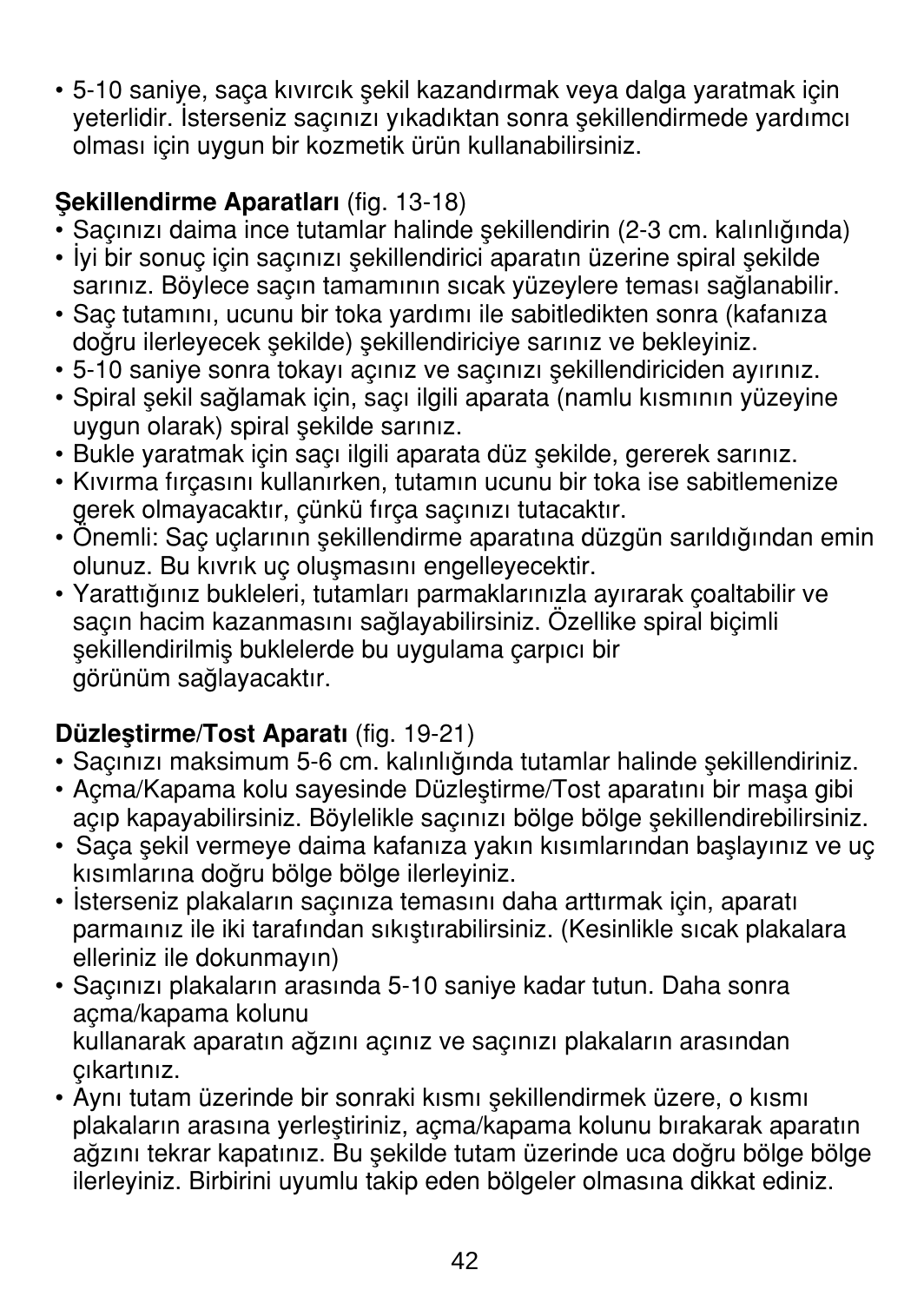• 5-10 saniye, saça kıvırcık şekil kazandırmak veya dalga yaratmak için veterlidir. İsterseniz saçınızı yıkadıktan sonra sekillendirmede yardımcı olması için uygun bir kozmetik ürün kullanabilirsiniz.

# Sekillendirme Aparatları (fig. 13-18)

- Sacınızı daima ince tutamlar halinde sekillendirin (2-3 cm. kalınlığında)
- İyi bir sonuç için saçınızı şekillendirici aparatın üzerine spiral şekilde sarınız. Böylece saçın tamamının sıcak yüzeylere teması sağlanabilir.
- Sac tutamını, ucunu bir toka yardımı ile sabitledikten sonra (kafanıza doğru ilerleyecek sekilde) sekillendiriciye sarınız ve bekleyiniz.
- 5-10 saniye sonra tokayı açınız ve saçınızı sekillendiriciden ayırınız.
- Spiral sekil sağlamak için, saçı ilgili aparata (namlu kısmının yüzeyine uygun olarak) spiral sekilde sarınız.
- Bukle yaratmak için saçı ilgili aparata düz sekilde, gererek sarınız.
- Kıvırma fırcasını kullanırken, tutamın ucunu bir toka ise sabitlemenize gerek olmayacaktır, çünkü fırça saçınızı tutacaktır.
- Önemli: Saç uçlarının sekillendirme aparatına düzgün sarıldığından emin olunuz. Bu kıvrık uç oluşmasını engelleyecektir.
- Yarattığınız bukleleri, tutamları parmaklarınızla ayırarak çoaltabilir ve saçın hacim kazanmasını sağlayabilirsiniz. Özellike spiral biçimli sekillendirilmis buklelerde bu uygulama çarpıcı bir görünüm sağlayacaktır.

# Düzlestirme/Tost Aparatı (fig. 19-21)

- Saçınızı maksimum 5-6 cm. kalınlığında tutamlar halinde sekillendiriniz.
- Acma/Kapama kolu sayesinde Düzlestirme/Tost aparatını bir masa gibi açıp kapayabilirsiniz. Böylelikle saçınızı bölge bölge sekillendirebilirsiniz.
- Saca sekil vermeye daima kafanıza yakın kısımlarından baslayınız ve uc kısımlarına doğru bölge bölge ilerleyiniz.
- İsterseniz plakaların saçınıza temasını daha arttırmak için, aparatı parmaınız ile iki tarafından sıkıstırabilirsiniz. (Kesinlikle sıcak plakalara elleriniz ile dokunmayın)
- Sacinizi plakalarin arasında 5-10 saniye kadar tutun. Daha sonra açma/kapama kolunu kullanarak aparatın ağzını açınız ve saçınızı plakaların arasından cıkartınız.
- Aynı tutam üzerinde bir sonraki kısmı şekillendirmek üzere, o kısmı plakaların arasına yerleştiriniz, açma/kapama kolunu bırakarak aparatın ağzını tekrar kapatınız. Bu şekilde tutam üzerinde uca doğru bölge bölge ilerleyiniz. Birbirini uyumlu takip eden bölgeler olmasına dikkat ediniz.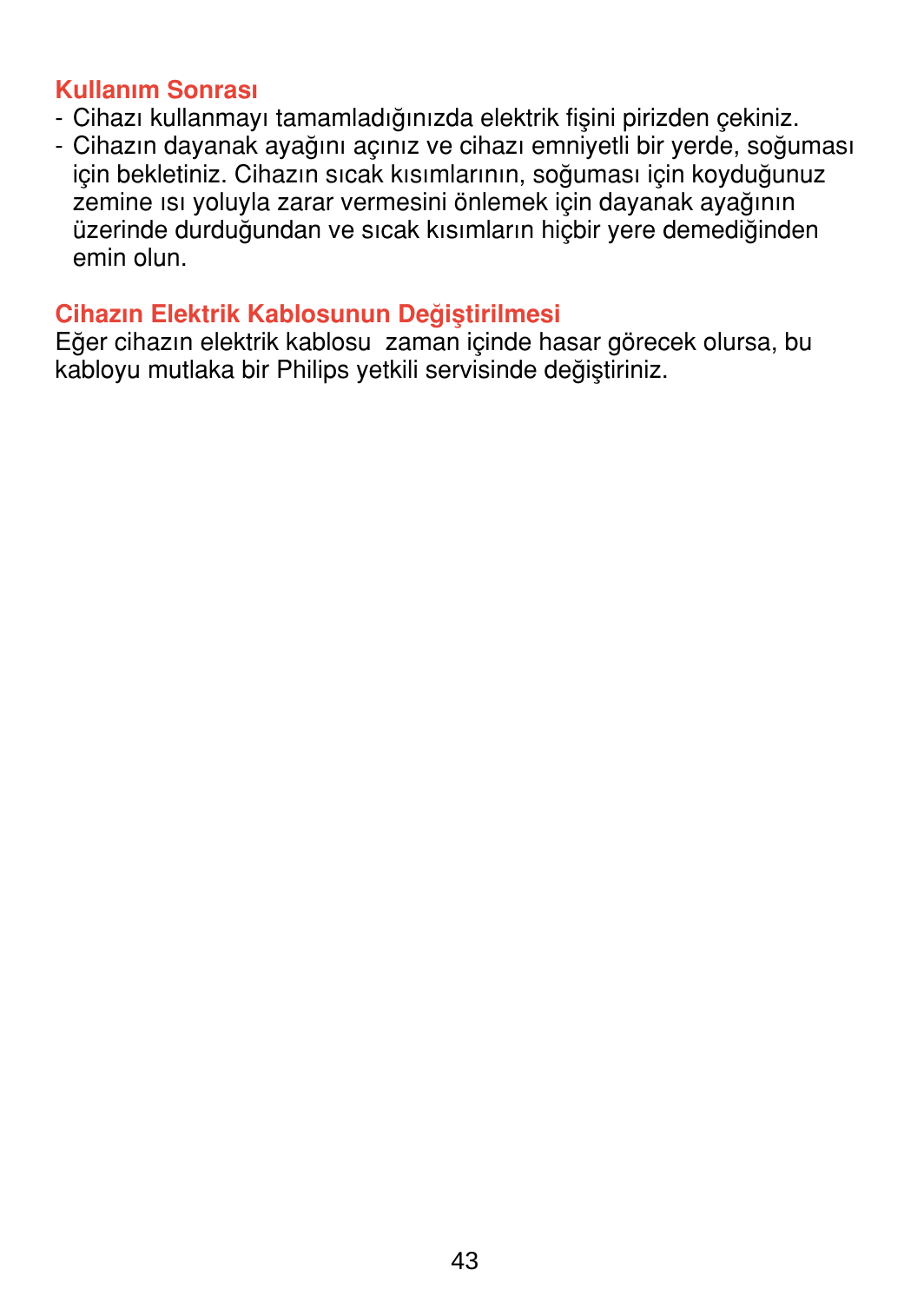#### Kullanım Sonrası

- Cihazı kullanmayı tamamladığınızda elektrik fisini pirizden çekiniz.
- Cihazın dayanak ayağını açınız ve cihazı emniyetli bir yerde, soğuması için bekletiniz. Cihazın sıcak kısımlarının, soğuması için koyduğunuz zemine ısı yoluyla zarar vermesini önlemek için dayanak ayağının üzerinde durduğundan ve sıcak kısımların hiçbir yere demediğinden emin olun.

#### Cihazın Elektrik Kablosunun Değiştirilmesi

Eğer cihazın elektrik kablosu zaman içinde hasar görecek olursa, bu kabloyu mutlaka bir Philips yetkili servisinde değiştiriniz.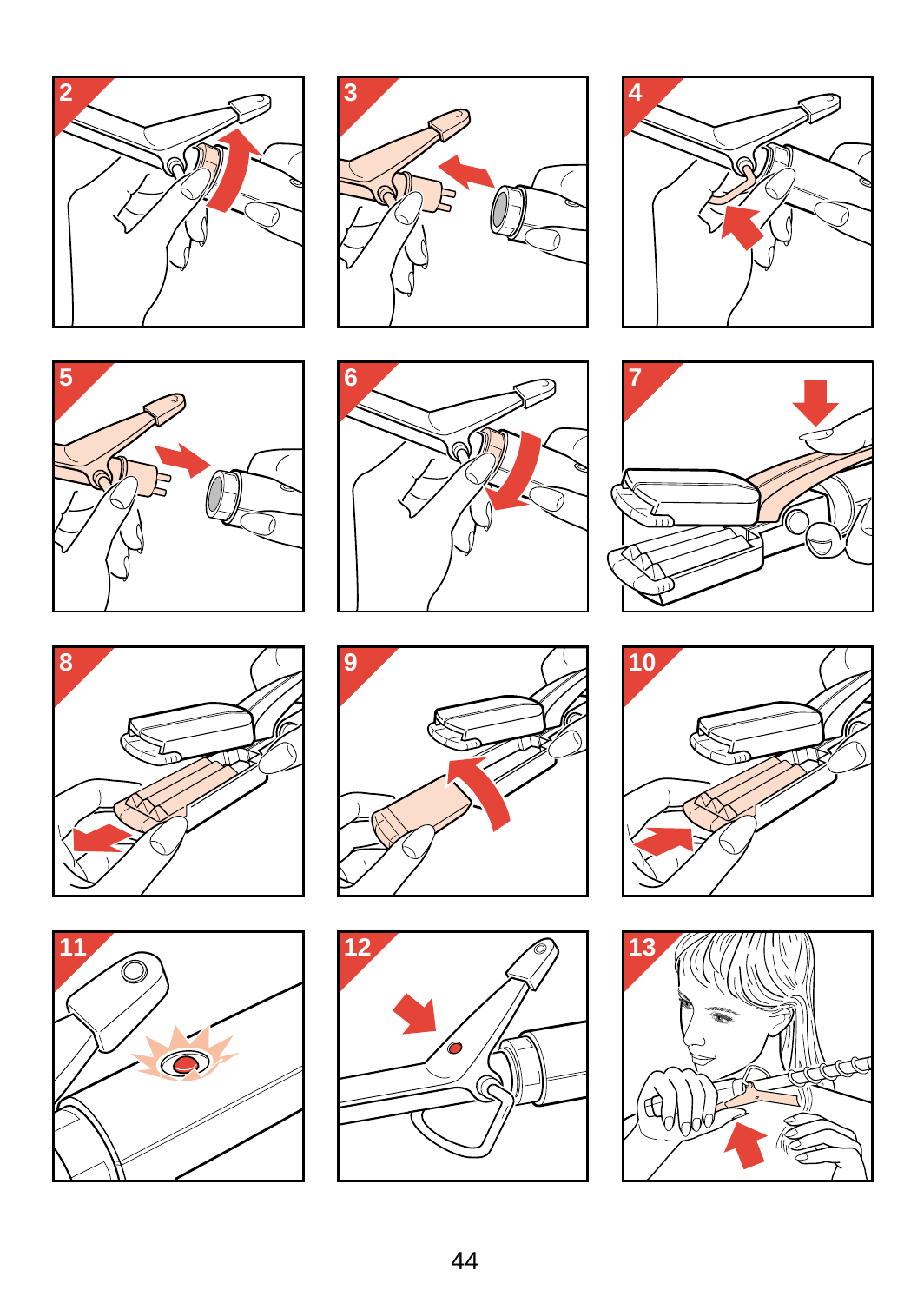<span id="page-43-0"></span>





















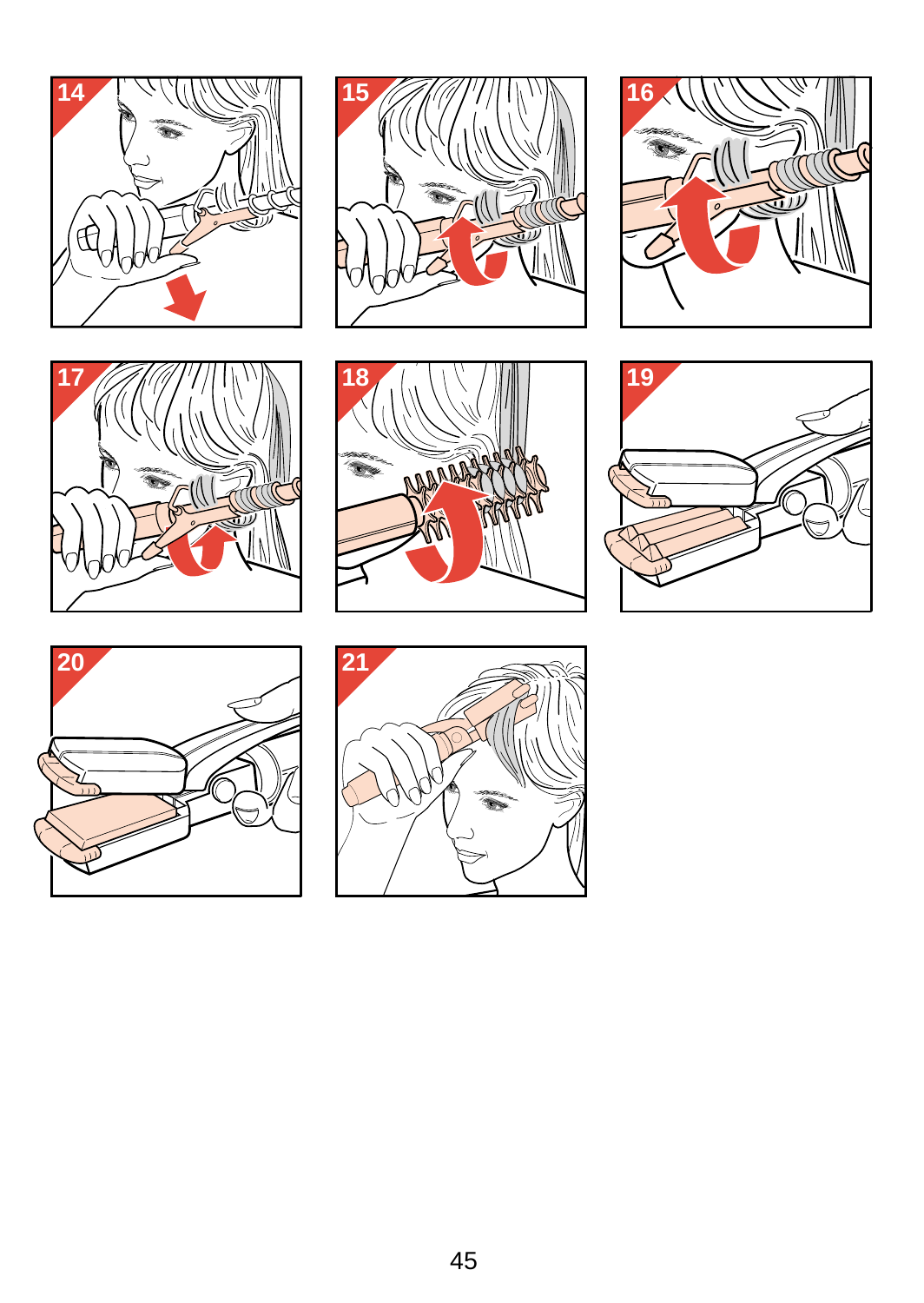<span id="page-44-0"></span>